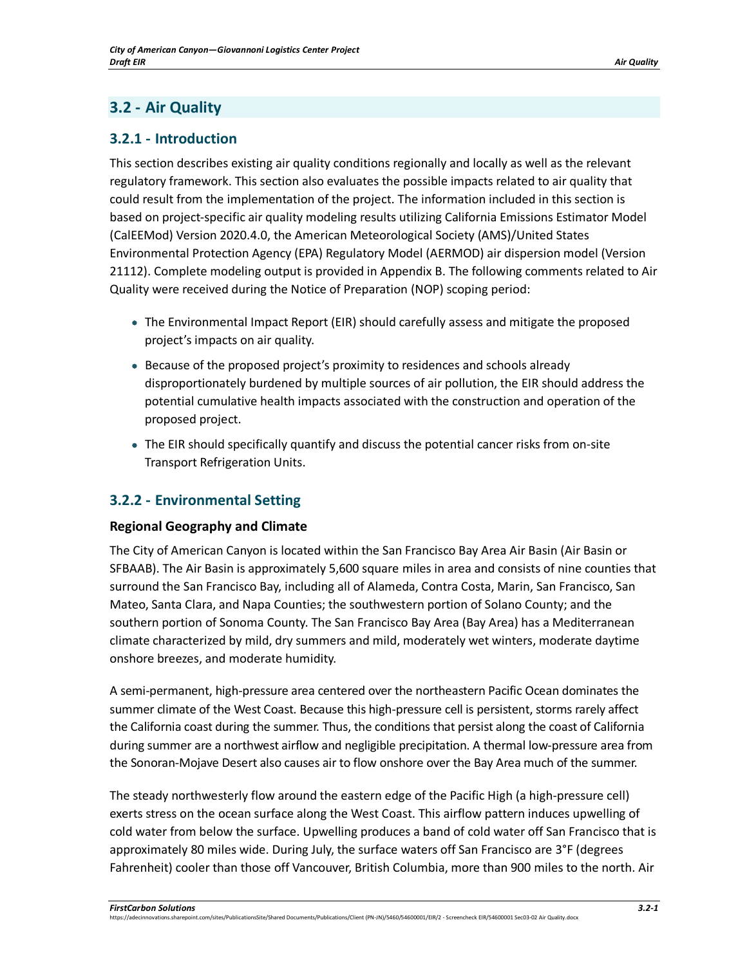# **3.2 - Air Quality**

# **3.2.1 - Introduction**

This section describes existing air quality conditions regionally and locally as well as the relevant regulatory framework. This section also evaluates the possible impacts related to air quality that could result from the implementation of the project. The information included in this section is based on project-specific air quality modeling results utilizing California Emissions Estimator Model (CalEEMod) Version 2020.4.0, the American Meteorological Society (AMS)/United States Environmental Protection Agency (EPA) Regulatory Model (AERMOD) air dispersion model (Version 21112). Complete modeling output is provided in Appendix B. The following comments related to Air Quality were received during the Notice of Preparation (NOP) scoping period:

- The Environmental Impact Report (EIR) should carefully assess and mitigate the proposed project's impacts on air quality.
- Because of the proposed project's proximity to residences and schools already disproportionately burdened by multiple sources of air pollution, the EIR should address the potential cumulative health impacts associated with the construction and operation of the proposed project.
- The EIR should specifically quantify and discuss the potential cancer risks from on-site Transport Refrigeration Units.

# **3.2.2 - Environmental Setting**

# **Regional Geography and Climate**

The City of American Canyon is located within the San Francisco Bay Area Air Basin (Air Basin or SFBAAB). The Air Basin is approximately 5,600 square miles in area and consists of nine counties that surround the San Francisco Bay, including all of Alameda, Contra Costa, Marin, San Francisco, San Mateo, Santa Clara, and Napa Counties; the southwestern portion of Solano County; and the southern portion of Sonoma County. The San Francisco Bay Area (Bay Area) has a Mediterranean climate characterized by mild, dry summers and mild, moderately wet winters, moderate daytime onshore breezes, and moderate humidity.

A semi-permanent, high-pressure area centered over the northeastern Pacific Ocean dominates the summer climate of the West Coast. Because this high-pressure cell is persistent, storms rarely affect the California coast during the summer. Thus, the conditions that persist along the coast of California during summer are a northwest airflow and negligible precipitation. A thermal low-pressure area from the Sonoran-Mojave Desert also causes air to flow onshore over the Bay Area much of the summer.

The steady northwesterly flow around the eastern edge of the Pacific High (a high-pressure cell) exerts stress on the ocean surface along the West Coast. This airflow pattern induces upwelling of cold water from below the surface. Upwelling produces a band of cold water off San Francisco that is approximately 80 miles wide. During July, the surface waters off San Francisco are 3°F (degrees Fahrenheit) cooler than those off Vancouver, British Columbia, more than 900 miles to the north. Air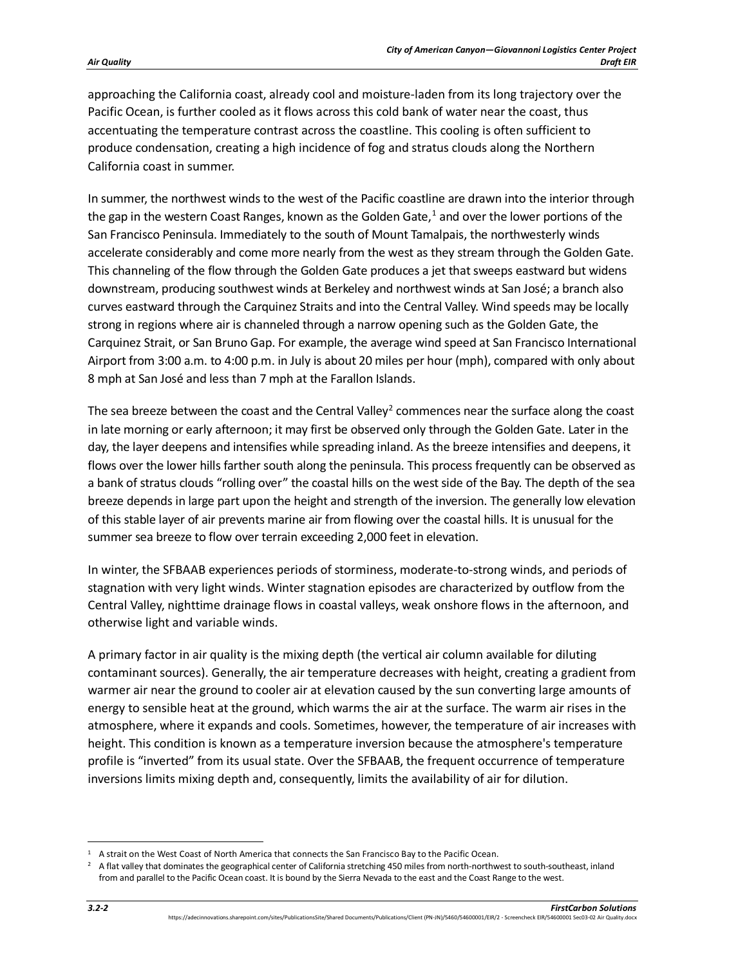approaching the California coast, already cool and moisture-laden from its long trajectory over the Pacific Ocean, is further cooled as it flows across this cold bank of water near the coast, thus accentuating the temperature contrast across the coastline. This cooling is often sufficient to produce condensation, creating a high incidence of fog and stratus clouds along the Northern California coast in summer.

In summer, the northwest winds to the west of the Pacific coastline are drawn into the interior through the gap in the western Coast Ranges, known as the Golden Gate, $1$  and over the lower portions of the San Francisco Peninsula. Immediately to the south of Mount Tamalpais, the northwesterly winds accelerate considerably and come more nearly from the west as they stream through the Golden Gate. This channeling of the flow through the Golden Gate produces a jet that sweeps eastward but widens downstream, producing southwest winds at Berkeley and northwest winds at San José; a branch also curves eastward through the Carquinez Straits and into the Central Valley. Wind speeds may be locally strong in regions where air is channeled through a narrow opening such as the Golden Gate, the Carquinez Strait, or San Bruno Gap. For example, the average wind speed at San Francisco International Airport from 3:00 a.m. to 4:00 p.m. in July is about 20 miles per hour (mph), compared with only about 8 mph at San José and less than 7 mph at the Farallon Islands.

The sea breeze between the coast and the Central Valley<sup>[2](#page-1-1)</sup> commences near the surface along the coast in late morning or early afternoon; it may first be observed only through the Golden Gate. Later in the day, the layer deepens and intensifies while spreading inland. As the breeze intensifies and deepens, it flows over the lower hills farther south along the peninsula. This process frequently can be observed as a bank of stratus clouds "rolling over" the coastal hills on the west side of the Bay. The depth of the sea breeze depends in large part upon the height and strength of the inversion. The generally low elevation of this stable layer of air prevents marine air from flowing over the coastal hills. It is unusual for the summer sea breeze to flow over terrain exceeding 2,000 feet in elevation.

In winter, the SFBAAB experiences periods of storminess, moderate-to-strong winds, and periods of stagnation with very light winds. Winter stagnation episodes are characterized by outflow from the Central Valley, nighttime drainage flows in coastal valleys, weak onshore flows in the afternoon, and otherwise light and variable winds.

A primary factor in air quality is the mixing depth (the vertical air column available for diluting contaminant sources). Generally, the air temperature decreases with height, creating a gradient from warmer air near the ground to cooler air at elevation caused by the sun converting large amounts of energy to sensible heat at the ground, which warms the air at the surface. The warm air rises in the atmosphere, where it expands and cools. Sometimes, however, the temperature of air increases with height. This condition is known as a temperature inversion because the atmosphere's temperature profile is "inverted" from its usual state. Over the SFBAAB, the frequent occurrence of temperature inversions limits mixing depth and, consequently, limits the availability of air for dilution.

<span id="page-1-0"></span><sup>1</sup> A strait on the West Coast of North America that connects the San Francisco Bay to the Pacific Ocean.

<span id="page-1-1"></span> $2\text{ A flat valley that dominates the geographical center of California stretching 450 miles from north-northwest to south-southeast, in land.}$ from and parallel to the Pacific Ocean coast. It is bound by the Sierra Nevada to the east and the Coast Range to the west.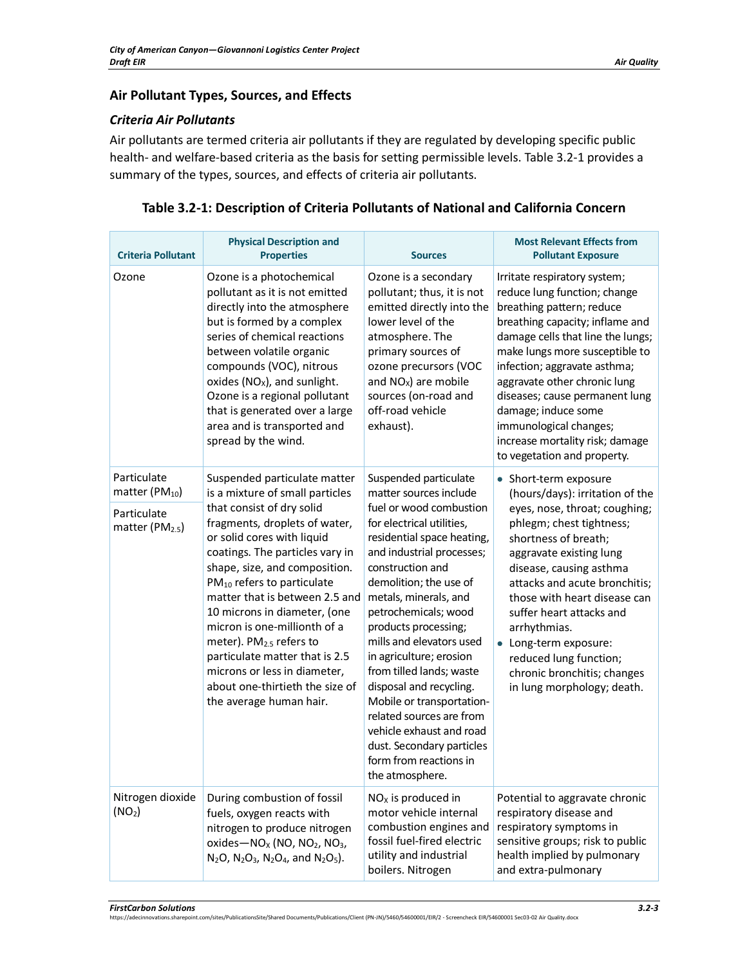# **Air Pollutant Types, Sources, and Effects**

### *Criteria Air Pollutants*

Air pollutants are termed criteria air pollutants if they are regulated by developing specific public health- and welfare-based criteria as the basis for setting permissible levels. [Table 3.2-1](#page-2-0) provides a summary of the types, sources, and effects of criteria air pollutants.

| <b>Criteria Pollutant</b>                                                         | <b>Physical Description and</b><br><b>Properties</b>                                                                                                                                                                                                                                                                                                                                                                                                                                                                                               | <b>Sources</b>                                                                                                                                                                                                                                                                                                                                                                                                                                                                                                                                                         | <b>Most Relevant Effects from</b><br><b>Pollutant Exposure</b>                                                                                                                                                                                                                                                                                                                                                                   |
|-----------------------------------------------------------------------------------|----------------------------------------------------------------------------------------------------------------------------------------------------------------------------------------------------------------------------------------------------------------------------------------------------------------------------------------------------------------------------------------------------------------------------------------------------------------------------------------------------------------------------------------------------|------------------------------------------------------------------------------------------------------------------------------------------------------------------------------------------------------------------------------------------------------------------------------------------------------------------------------------------------------------------------------------------------------------------------------------------------------------------------------------------------------------------------------------------------------------------------|----------------------------------------------------------------------------------------------------------------------------------------------------------------------------------------------------------------------------------------------------------------------------------------------------------------------------------------------------------------------------------------------------------------------------------|
| Ozone                                                                             | Ozone is a photochemical<br>pollutant as it is not emitted<br>directly into the atmosphere<br>but is formed by a complex<br>series of chemical reactions<br>between volatile organic<br>compounds (VOC), nitrous<br>oxides ( $NOx$ ), and sunlight.<br>Ozone is a regional pollutant<br>that is generated over a large<br>area and is transported and<br>spread by the wind.                                                                                                                                                                       | Ozone is a secondary<br>pollutant; thus, it is not<br>emitted directly into the<br>lower level of the<br>atmosphere. The<br>primary sources of<br>ozone precursors (VOC<br>and $NOx$ ) are mobile<br>sources (on-road and<br>off-road vehicle<br>exhaust).                                                                                                                                                                                                                                                                                                             | Irritate respiratory system;<br>reduce lung function; change<br>breathing pattern; reduce<br>breathing capacity; inflame and<br>damage cells that line the lungs;<br>make lungs more susceptible to<br>infection; aggravate asthma;<br>aggravate other chronic lung<br>diseases; cause permanent lung<br>damage; induce some<br>immunological changes;<br>increase mortality risk; damage<br>to vegetation and property.         |
| Particulate<br>matter (P $M_{10}$ )<br>Particulate<br>matter (PM <sub>2.5</sub> ) | Suspended particulate matter<br>is a mixture of small particles<br>that consist of dry solid<br>fragments, droplets of water,<br>or solid cores with liquid<br>coatings. The particles vary in<br>shape, size, and composition.<br>PM <sub>10</sub> refers to particulate<br>matter that is between 2.5 and<br>10 microns in diameter, (one<br>micron is one-millionth of a<br>meter). PM <sub>2.5</sub> refers to<br>particulate matter that is 2.5<br>microns or less in diameter,<br>about one-thirtieth the size of<br>the average human hair. | Suspended particulate<br>matter sources include<br>fuel or wood combustion<br>for electrical utilities,<br>residential space heating,<br>and industrial processes;<br>construction and<br>demolition; the use of<br>metals, minerals, and<br>petrochemicals; wood<br>products processing;<br>mills and elevators used<br>in agriculture; erosion<br>from tilled lands; waste<br>disposal and recycling.<br>Mobile or transportation-<br>related sources are from<br>vehicle exhaust and road<br>dust. Secondary particles<br>form from reactions in<br>the atmosphere. | • Short-term exposure<br>(hours/days): irritation of the<br>eyes, nose, throat; coughing;<br>phlegm; chest tightness;<br>shortness of breath;<br>aggravate existing lung<br>disease, causing asthma<br>attacks and acute bronchitis;<br>those with heart disease can<br>suffer heart attacks and<br>arrhythmias.<br>• Long-term exposure:<br>reduced lung function;<br>chronic bronchitis; changes<br>in lung morphology; death. |
| Nitrogen dioxide<br>(NO <sub>2</sub> )                                            | During combustion of fossil<br>fuels, oxygen reacts with<br>nitrogen to produce nitrogen<br>oxides- $NOX$ (NO, NO <sub>2</sub> , NO <sub>3</sub> ,<br>$N_2O$ , $N_2O_3$ , $N_2O_4$ , and $N_2O_5$ ).                                                                                                                                                                                                                                                                                                                                               | $NOx$ is produced in<br>motor vehicle internal<br>combustion engines and<br>fossil fuel-fired electric<br>utility and industrial<br>boilers. Nitrogen                                                                                                                                                                                                                                                                                                                                                                                                                  | Potential to aggravate chronic<br>respiratory disease and<br>respiratory symptoms in<br>sensitive groups; risk to public<br>health implied by pulmonary<br>and extra-pulmonary                                                                                                                                                                                                                                                   |

## <span id="page-2-0"></span>**Table 3.2-1: Description of Criteria Pollutants of National and California Concern**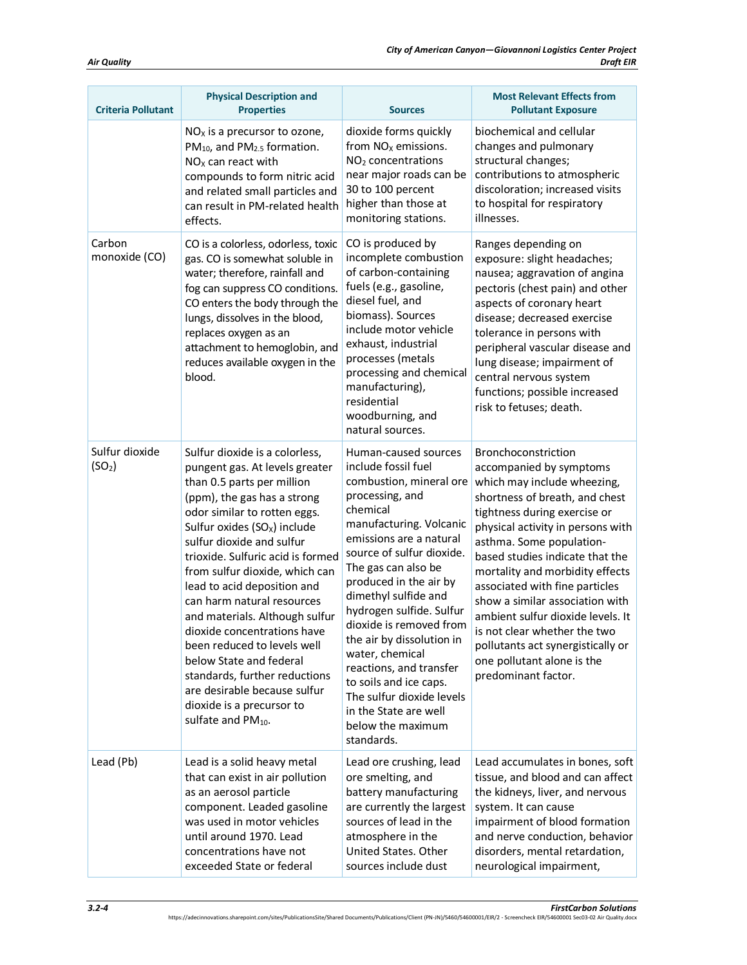| <b>Criteria Pollutant</b>            | <b>Physical Description and</b><br><b>Properties</b>                                                                                                                                                                                                                                                                                                                                                                                                                                                                                                                                                                       | <b>Sources</b>                                                                                                                                                                                                                                                                                                                                                                                                                                                                                                         | <b>Most Relevant Effects from</b><br><b>Pollutant Exposure</b>                                                                                                                                                                                                                                                                                                                                                                                                                                                             |
|--------------------------------------|----------------------------------------------------------------------------------------------------------------------------------------------------------------------------------------------------------------------------------------------------------------------------------------------------------------------------------------------------------------------------------------------------------------------------------------------------------------------------------------------------------------------------------------------------------------------------------------------------------------------------|------------------------------------------------------------------------------------------------------------------------------------------------------------------------------------------------------------------------------------------------------------------------------------------------------------------------------------------------------------------------------------------------------------------------------------------------------------------------------------------------------------------------|----------------------------------------------------------------------------------------------------------------------------------------------------------------------------------------------------------------------------------------------------------------------------------------------------------------------------------------------------------------------------------------------------------------------------------------------------------------------------------------------------------------------------|
|                                      | $NOx$ is a precursor to ozone,<br>PM <sub>10</sub> , and PM <sub>2.5</sub> formation.<br>$NOx$ can react with<br>compounds to form nitric acid<br>and related small particles and<br>can result in PM-related health<br>effects.                                                                                                                                                                                                                                                                                                                                                                                           | dioxide forms quickly<br>from $NOx$ emissions.<br>NO <sub>2</sub> concentrations<br>near major roads can be<br>30 to 100 percent<br>higher than those at<br>monitoring stations.                                                                                                                                                                                                                                                                                                                                       | biochemical and cellular<br>changes and pulmonary<br>structural changes;<br>contributions to atmospheric<br>discoloration; increased visits<br>to hospital for respiratory<br>illnesses.                                                                                                                                                                                                                                                                                                                                   |
| Carbon<br>monoxide (CO)              | CO is a colorless, odorless, toxic<br>gas. CO is somewhat soluble in<br>water; therefore, rainfall and<br>fog can suppress CO conditions.<br>CO enters the body through the<br>lungs, dissolves in the blood,<br>replaces oxygen as an<br>attachment to hemoglobin, and<br>reduces available oxygen in the<br>blood.                                                                                                                                                                                                                                                                                                       | CO is produced by<br>incomplete combustion<br>of carbon-containing<br>fuels (e.g., gasoline,<br>diesel fuel, and<br>biomass). Sources<br>include motor vehicle<br>exhaust, industrial<br>processes (metals<br>processing and chemical<br>manufacturing),<br>residential<br>woodburning, and<br>natural sources.                                                                                                                                                                                                        | Ranges depending on<br>exposure: slight headaches;<br>nausea; aggravation of angina<br>pectoris (chest pain) and other<br>aspects of coronary heart<br>disease; decreased exercise<br>tolerance in persons with<br>peripheral vascular disease and<br>lung disease; impairment of<br>central nervous system<br>functions; possible increased<br>risk to fetuses; death.                                                                                                                                                    |
| Sulfur dioxide<br>(SO <sub>2</sub> ) | Sulfur dioxide is a colorless,<br>pungent gas. At levels greater<br>than 0.5 parts per million<br>(ppm), the gas has a strong<br>odor similar to rotten eggs.<br>Sulfur oxides $(SOx)$ include<br>sulfur dioxide and sulfur<br>trioxide. Sulfuric acid is formed<br>from sulfur dioxide, which can<br>lead to acid deposition and<br>can harm natural resources<br>and materials. Although sulfur<br>dioxide concentrations have<br>been reduced to levels well<br>below State and federal<br>standards, further reductions<br>are desirable because sulfur<br>dioxide is a precursor to<br>sulfate and PM <sub>10</sub> . | Human-caused sources<br>include fossil fuel<br>combustion, mineral ore<br>processing, and<br>chemical<br>manufacturing. Volcanic<br>emissions are a natural<br>source of sulfur dioxide.<br>The gas can also be<br>produced in the air by<br>dimethyl sulfide and<br>hydrogen sulfide. Sulfur<br>dioxide is removed from<br>the air by dissolution in<br>water, chemical<br>reactions, and transfer<br>to soils and ice caps.<br>The sulfur dioxide levels<br>in the State are well<br>below the maximum<br>standards. | Bronchoconstriction<br>accompanied by symptoms<br>which may include wheezing,<br>shortness of breath, and chest<br>tightness during exercise or<br>physical activity in persons with<br>asthma. Some population-<br>based studies indicate that the<br>mortality and morbidity effects<br>associated with fine particles<br>show a similar association with<br>ambient sulfur dioxide levels. It<br>is not clear whether the two<br>pollutants act synergistically or<br>one pollutant alone is the<br>predominant factor. |
| Lead (Pb)                            | Lead is a solid heavy metal<br>that can exist in air pollution<br>as an aerosol particle<br>component. Leaded gasoline<br>was used in motor vehicles<br>until around 1970. Lead<br>concentrations have not<br>exceeded State or federal                                                                                                                                                                                                                                                                                                                                                                                    | Lead ore crushing, lead<br>ore smelting, and<br>battery manufacturing<br>are currently the largest<br>sources of lead in the<br>atmosphere in the<br>United States. Other<br>sources include dust                                                                                                                                                                                                                                                                                                                      | Lead accumulates in bones, soft<br>tissue, and blood and can affect<br>the kidneys, liver, and nervous<br>system. It can cause<br>impairment of blood formation<br>and nerve conduction, behavior<br>disorders, mental retardation,<br>neurological impairment,                                                                                                                                                                                                                                                            |

**FirstCarbon Solutions**<br>https://adecinnovations.sharepoint.com/sites/PublicationsSite/Shared Documents/Publications/Client (PN-JN)/5460/54600001/EIR/2 - Screencheck EIR/54600001 Sec03-02 Air Quality.docx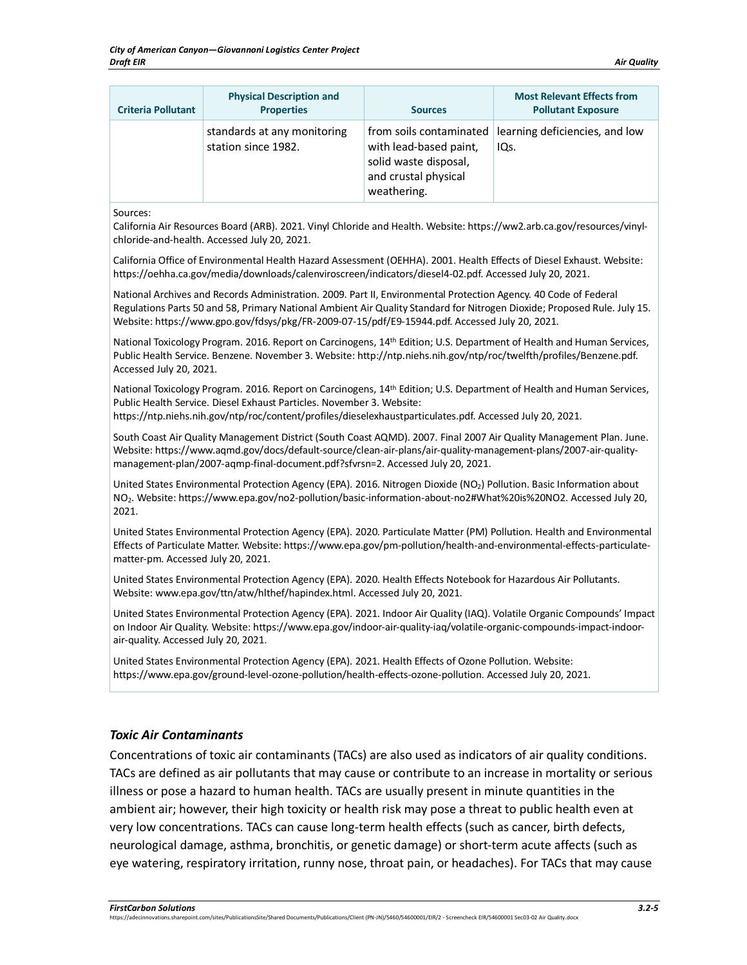| <b>Criteria Pollutant</b> | <b>Physical Description and</b><br><b>Properties</b> | <b>Sources</b>                                                                         | <b>Most Relevant Effects from</b><br><b>Pollutant Exposure</b> |
|---------------------------|------------------------------------------------------|----------------------------------------------------------------------------------------|----------------------------------------------------------------|
|                           | standards at any monitoring<br>station since 1982.   | with lead-based paint,<br>solid waste disposal,<br>and crustal physical<br>weathering. | from soils contaminated learning deficiencies, and low<br>IQs. |

Sources:

California Air Resources Board (ARB). 2021. Vinyl Chloride and Health. Website: https://ww2.arb.ca.gov/resources/vinylchloride-and-health. Accessed July 20, 2021.

California Office of Environmental Health Hazard Assessment (OEHHA). 2001. Health Effects of Diesel Exhaust. Website: https://oehha.ca.gov/media/downloads/calenviroscreen/indicators/diesel4-02.pdf. Accessed July 20, 2021.

National Archives and Records Administration. 2009. Part II, Environmental Protection Agency. 40 Code of Federal Regulations Parts 50 and 58, Primary National Ambient Air Quality Standard for Nitrogen Dioxide; Proposed Rule. July 15. Website: https://www.gpo.gov/fdsys/pkg/FR-2009-07-15/pdf/E9-15944.pdf. Accessed July 20, 2021.

National Toxicology Program. 2016. Report on Carcinogens, 14<sup>th</sup> Edition; U.S. Department of Health and Human Services, Public Health Service. Benzene. November 3. Website: http://ntp.niehs.nih.gov/ntp/roc/twelfth/profiles/Benzene.pdf. Accessed July 20, 2021.

National Toxicology Program. 2016. Report on Carcinogens, 14<sup>th</sup> Edition; U.S. Department of Health and Human Services, Public Health Service. Diesel Exhaust Particles. November 3. Website:

https://ntp.niehs.nih.gov/ntp/roc/content/profiles/dieselexhaustparticulates.pdf. Accessed July 20, 2021.

South Coast Air Quality Management District (South Coast AQMD). 2007. Final 2007 Air Quality Management Plan. June. Website: https://www.aqmd.gov/docs/default-source/clean-air-plans/air-quality-management-plans/2007-air-qualitymanagement-plan/2007-aqmp-final-document.pdf?sfvrsn=2. Accessed July 20, 2021.

United States Environmental Protection Agency (EPA). 2016. Nitrogen Dioxide (NO<sub>2</sub>) Pollution. Basic Information about NO2. Website: https://www.epa.gov/no2-pollution/basic-information-about-no2#What%20is%20NO2. Accessed July 20, 2021.

United States Environmental Protection Agency (EPA). 2020. Particulate Matter (PM) Pollution. Health and Environmental Effects of Particulate Matter. Website: https://www.epa.gov/pm-pollution/health-and-environmental-effects-particulatematter-pm. Accessed July 20, 2021.

United States Environmental Protection Agency (EPA). 2020. Health Effects Notebook for Hazardous Air Pollutants. Website: www.epa.gov/ttn/atw/hlthef/hapindex.html. Accessed July 20, 2021.

United States Environmental Protection Agency (EPA). 2021. Indoor Air Quality (IAQ). Volatile Organic Compounds' Impact on Indoor Air Quality. Website: https://www.epa.gov/indoor-air-quality-iaq/volatile-organic-compounds-impact-indoorair-quality. Accessed July 20, 2021.

United States Environmental Protection Agency (EPA). 2021. Health Effects of Ozone Pollution. Website: https://www.epa.gov/ground-level-ozone-pollution/health-effects-ozone-pollution. Accessed July 20, 2021.

#### *Toxic Air Contaminants*

Concentrations of toxic air contaminants (TACs) are also used as indicators of air quality conditions. TACs are defined as air pollutants that may cause or contribute to an increase in mortality or serious illness or pose a hazard to human health. TACs are usually present in minute quantities in the ambient air; however, their high toxicity or health risk may pose a threat to public health even at very low concentrations. TACs can cause long-term health effects (such as cancer, birth defects, neurological damage, asthma, bronchitis, or genetic damage) or short-term acute affects (such as eye watering, respiratory irritation, runny nose, throat pain, or headaches). For TACs that may cause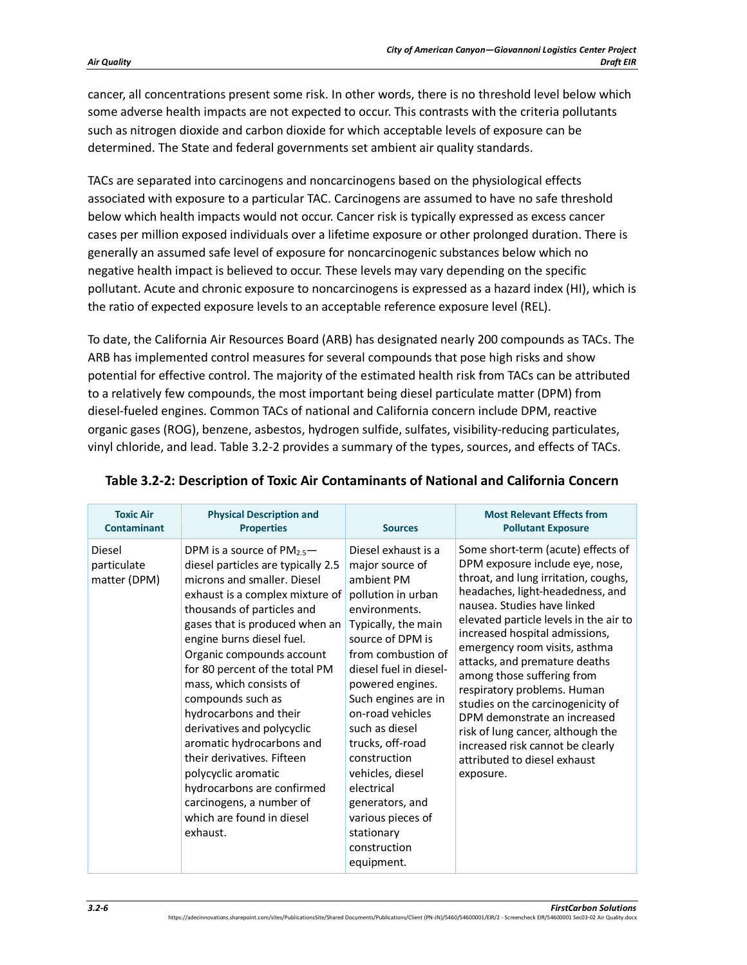cancer, all concentrations present some risk. In other words, there is no threshold level below which some adverse health impacts are not expected to occur. This contrasts with the criteria pollutants such as nitrogen dioxide and carbon dioxide for which acceptable levels of exposure can be determined. The State and federal governments set ambient air quality standards.

TACs are separated into carcinogens and noncarcinogens based on the physiological effects associated with exposure to a particular TAC. Carcinogens are assumed to have no safe threshold below which health impacts would not occur. Cancer risk is typically expressed as excess cancer cases per million exposed individuals over a lifetime exposure or other prolonged duration. There is generally an assumed safe level of exposure for noncarcinogenic substances below which no negative health impact is believed to occur. These levels may vary depending on the specific pollutant. Acute and chronic exposure to noncarcinogens is expressed as a hazard index (HI), which is the ratio of expected exposure levels to an acceptable reference exposure level (REL).

To date, the California Air Resources Board (ARB) has designated nearly 200 compounds as TACs. The ARB has implemented control measures for several compounds that pose high risks and show potential for effective control. The majority of the estimated health risk from TACs can be attributed to a relatively few compounds, the most important being diesel particulate matter (DPM) from diesel-fueled engines. Common TACs of national and California concern include DPM, reactive organic gases (ROG), benzene, asbestos, hydrogen sulfide, sulfates, visibility-reducing particulates, vinyl chloride, and lead. [Table 3.2-2](#page-5-0) provides a summary of the types, sources, and effects of TACs.

| <b>Toxic Air</b>                      | <b>Physical Description and</b>                                                                                                                                                                                                                                                                                                                                                                                                                                                                                                                                                                          | <b>Sources</b>                                                                                                                                                                                                                                                                                                                                                                                                                    | <b>Most Relevant Effects from</b>                                                                                                                                                                                                                                                                                                                                                                                                                                                                                                                                                      |
|---------------------------------------|----------------------------------------------------------------------------------------------------------------------------------------------------------------------------------------------------------------------------------------------------------------------------------------------------------------------------------------------------------------------------------------------------------------------------------------------------------------------------------------------------------------------------------------------------------------------------------------------------------|-----------------------------------------------------------------------------------------------------------------------------------------------------------------------------------------------------------------------------------------------------------------------------------------------------------------------------------------------------------------------------------------------------------------------------------|----------------------------------------------------------------------------------------------------------------------------------------------------------------------------------------------------------------------------------------------------------------------------------------------------------------------------------------------------------------------------------------------------------------------------------------------------------------------------------------------------------------------------------------------------------------------------------------|
| <b>Contaminant</b>                    | <b>Properties</b>                                                                                                                                                                                                                                                                                                                                                                                                                                                                                                                                                                                        |                                                                                                                                                                                                                                                                                                                                                                                                                                   | <b>Pollutant Exposure</b>                                                                                                                                                                                                                                                                                                                                                                                                                                                                                                                                                              |
| Diesel<br>particulate<br>matter (DPM) | DPM is a source of PM <sub>25</sub> $-$<br>diesel particles are typically 2.5<br>microns and smaller. Diesel<br>exhaust is a complex mixture of<br>thousands of particles and<br>gases that is produced when an<br>engine burns diesel fuel.<br>Organic compounds account<br>for 80 percent of the total PM<br>mass, which consists of<br>compounds such as<br>hydrocarbons and their<br>derivatives and polycyclic<br>aromatic hydrocarbons and<br>their derivatives. Fifteen<br>polycyclic aromatic<br>hydrocarbons are confirmed<br>carcinogens, a number of<br>which are found in diesel<br>exhaust. | Diesel exhaust is a<br>major source of<br>ambient PM<br>pollution in urban<br>environments.<br>Typically, the main<br>source of DPM is<br>from combustion of<br>diesel fuel in diesel-<br>powered engines.<br>Such engines are in<br>on-road vehicles<br>such as diesel<br>trucks, off-road<br>construction<br>vehicles, diesel<br>electrical<br>generators, and<br>various pieces of<br>stationary<br>construction<br>equipment. | Some short-term (acute) effects of<br>DPM exposure include eye, nose,<br>throat, and lung irritation, coughs,<br>headaches, light-headedness, and<br>nausea. Studies have linked<br>elevated particle levels in the air to<br>increased hospital admissions,<br>emergency room visits, asthma<br>attacks, and premature deaths<br>among those suffering from<br>respiratory problems. Human<br>studies on the carcinogenicity of<br>DPM demonstrate an increased<br>risk of lung cancer, although the<br>increased risk cannot be clearly<br>attributed to diesel exhaust<br>exposure. |

## <span id="page-5-0"></span>**Table 3.2-2: Description of Toxic Air Contaminants of National and California Concern**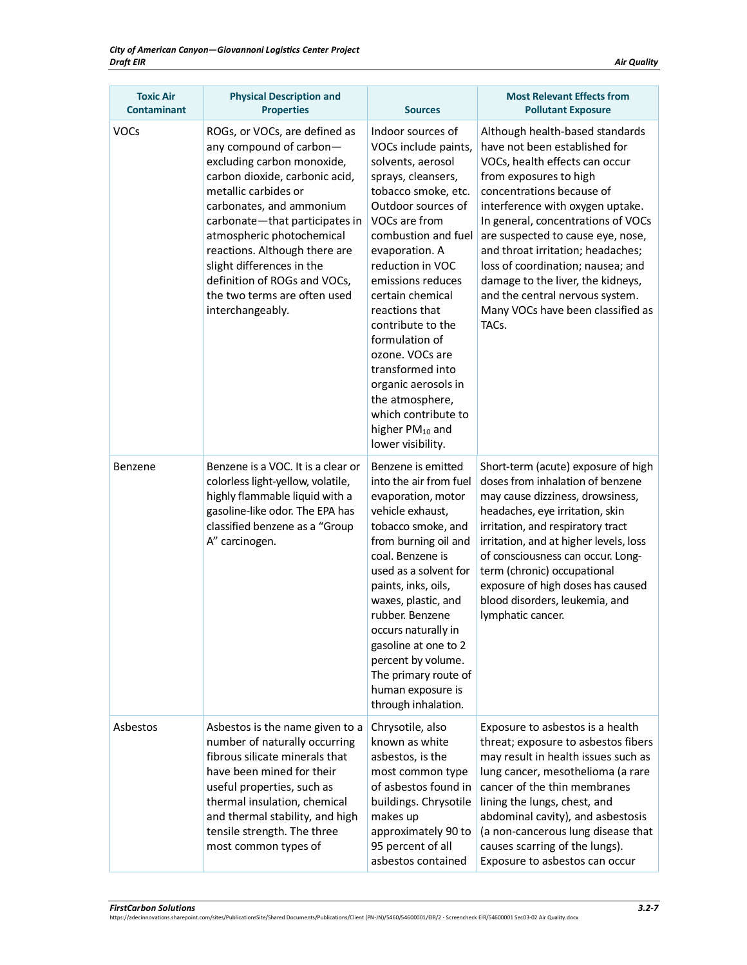| <b>Toxic Air</b><br><b>Contaminant</b> | <b>Physical Description and</b><br><b>Properties</b>                                                                                                                                                                                                                                                                                                                                          | <b>Sources</b>                                                                                                                                                                                                                                                                                                                                                                                                                                                                | <b>Most Relevant Effects from</b><br><b>Pollutant Exposure</b>                                                                                                                                                                                                                                                                                                                                                                                                           |
|----------------------------------------|-----------------------------------------------------------------------------------------------------------------------------------------------------------------------------------------------------------------------------------------------------------------------------------------------------------------------------------------------------------------------------------------------|-------------------------------------------------------------------------------------------------------------------------------------------------------------------------------------------------------------------------------------------------------------------------------------------------------------------------------------------------------------------------------------------------------------------------------------------------------------------------------|--------------------------------------------------------------------------------------------------------------------------------------------------------------------------------------------------------------------------------------------------------------------------------------------------------------------------------------------------------------------------------------------------------------------------------------------------------------------------|
| <b>VOCs</b>                            | ROGs, or VOCs, are defined as<br>any compound of carbon-<br>excluding carbon monoxide,<br>carbon dioxide, carbonic acid,<br>metallic carbides or<br>carbonates, and ammonium<br>carbonate-that participates in<br>atmospheric photochemical<br>reactions. Although there are<br>slight differences in the<br>definition of ROGs and VOCs,<br>the two terms are often used<br>interchangeably. | Indoor sources of<br>VOCs include paints,<br>solvents, aerosol<br>sprays, cleansers,<br>tobacco smoke, etc.<br>Outdoor sources of<br>VOCs are from<br>combustion and fuel<br>evaporation. A<br>reduction in VOC<br>emissions reduces<br>certain chemical<br>reactions that<br>contribute to the<br>formulation of<br>ozone. VOCs are<br>transformed into<br>organic aerosols in<br>the atmosphere,<br>which contribute to<br>higher PM <sub>10</sub> and<br>lower visibility. | Although health-based standards<br>have not been established for<br>VOCs, health effects can occur<br>from exposures to high<br>concentrations because of<br>interference with oxygen uptake.<br>In general, concentrations of VOCs<br>are suspected to cause eye, nose,<br>and throat irritation; headaches;<br>loss of coordination; nausea; and<br>damage to the liver, the kidneys,<br>and the central nervous system.<br>Many VOCs have been classified as<br>TACs. |
| Benzene                                | Benzene is a VOC. It is a clear or<br>colorless light-yellow, volatile,<br>highly flammable liquid with a<br>gasoline-like odor. The EPA has<br>classified benzene as a "Group<br>A" carcinogen.                                                                                                                                                                                              | Benzene is emitted<br>into the air from fuel<br>evaporation, motor<br>vehicle exhaust,<br>tobacco smoke, and<br>from burning oil and<br>coal. Benzene is<br>used as a solvent for<br>paints, inks, oils,<br>waxes, plastic, and<br>rubber. Benzene<br>occurs naturally in<br>gasoline at one to 2<br>percent by volume.<br>The primary route of<br>human exposure is<br>through inhalation.                                                                                   | Short-term (acute) exposure of high<br>doses from inhalation of benzene<br>may cause dizziness, drowsiness,<br>headaches, eye irritation, skin<br>irritation, and respiratory tract<br>irritation, and at higher levels, loss<br>of consciousness can occur. Long-<br>term (chronic) occupational<br>exposure of high doses has caused<br>blood disorders, leukemia, and<br>lymphatic cancer.                                                                            |
| Asbestos                               | Asbestos is the name given to a<br>number of naturally occurring<br>fibrous silicate minerals that<br>have been mined for their<br>useful properties, such as<br>thermal insulation, chemical<br>and thermal stability, and high<br>tensile strength. The three<br>most common types of                                                                                                       | Chrysotile, also<br>known as white<br>asbestos, is the<br>most common type<br>of asbestos found in<br>buildings. Chrysotile<br>makes up<br>approximately 90 to<br>95 percent of all<br>asbestos contained                                                                                                                                                                                                                                                                     | Exposure to asbestos is a health<br>threat; exposure to asbestos fibers<br>may result in health issues such as<br>lung cancer, mesothelioma (a rare<br>cancer of the thin membranes<br>lining the lungs, chest, and<br>abdominal cavity), and asbestosis<br>(a non-cancerous lung disease that<br>causes scarring of the lungs).<br>Exposure to asbestos can occur                                                                                                       |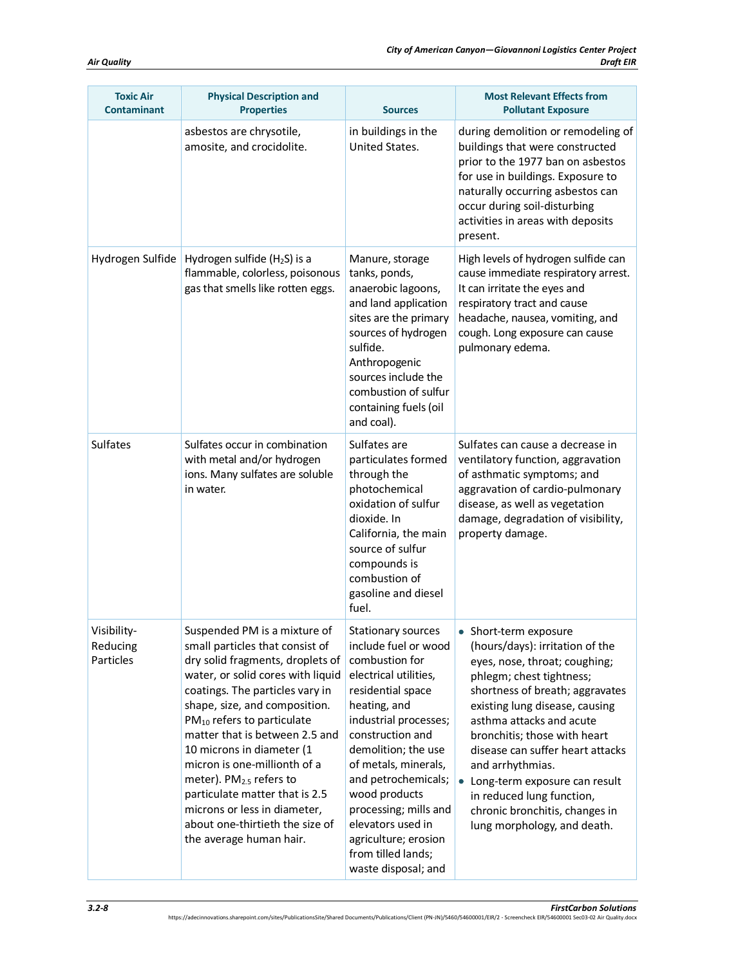| <b>Toxic Air</b><br><b>Contaminant</b> | <b>Physical Description and</b><br><b>Properties</b>                                                                                                                                                                                                                                                                                                                                                                                                                                                                         | <b>Sources</b>                                                                                                                                                                                                                                                                                                                                                                    | <b>Most Relevant Effects from</b><br><b>Pollutant Exposure</b>                                                                                                                                                                                                                                                                                                                                                                                  |
|----------------------------------------|------------------------------------------------------------------------------------------------------------------------------------------------------------------------------------------------------------------------------------------------------------------------------------------------------------------------------------------------------------------------------------------------------------------------------------------------------------------------------------------------------------------------------|-----------------------------------------------------------------------------------------------------------------------------------------------------------------------------------------------------------------------------------------------------------------------------------------------------------------------------------------------------------------------------------|-------------------------------------------------------------------------------------------------------------------------------------------------------------------------------------------------------------------------------------------------------------------------------------------------------------------------------------------------------------------------------------------------------------------------------------------------|
|                                        | asbestos are chrysotile,<br>amosite, and crocidolite.                                                                                                                                                                                                                                                                                                                                                                                                                                                                        | in buildings in the<br>United States.                                                                                                                                                                                                                                                                                                                                             | during demolition or remodeling of<br>buildings that were constructed<br>prior to the 1977 ban on asbestos<br>for use in buildings. Exposure to<br>naturally occurring asbestos can<br>occur during soil-disturbing<br>activities in areas with deposits<br>present.                                                                                                                                                                            |
| Hydrogen Sulfide                       | Hydrogen sulfide ( $H_2S$ ) is a<br>flammable, colorless, poisonous<br>gas that smells like rotten eggs.                                                                                                                                                                                                                                                                                                                                                                                                                     | Manure, storage<br>tanks, ponds,<br>anaerobic lagoons,<br>and land application<br>sites are the primary<br>sources of hydrogen<br>sulfide.<br>Anthropogenic<br>sources include the<br>combustion of sulfur<br>containing fuels (oil<br>and coal).                                                                                                                                 | High levels of hydrogen sulfide can<br>cause immediate respiratory arrest.<br>It can irritate the eyes and<br>respiratory tract and cause<br>headache, nausea, vomiting, and<br>cough. Long exposure can cause<br>pulmonary edema.                                                                                                                                                                                                              |
| <b>Sulfates</b>                        | Sulfates occur in combination<br>with metal and/or hydrogen<br>ions. Many sulfates are soluble<br>in water.                                                                                                                                                                                                                                                                                                                                                                                                                  | Sulfates are<br>particulates formed<br>through the<br>photochemical<br>oxidation of sulfur<br>dioxide. In<br>California, the main<br>source of sulfur<br>compounds is<br>combustion of<br>gasoline and diesel<br>fuel.                                                                                                                                                            | Sulfates can cause a decrease in<br>ventilatory function, aggravation<br>of asthmatic symptoms; and<br>aggravation of cardio-pulmonary<br>disease, as well as vegetation<br>damage, degradation of visibility,<br>property damage.                                                                                                                                                                                                              |
| Visibility-<br>Reducing<br>Particles   | Suspended PM is a mixture of<br>small particles that consist of<br>dry solid fragments, droplets of<br>water, or solid cores with liquid<br>coatings. The particles vary in<br>shape, size, and composition.<br>PM <sub>10</sub> refers to particulate<br>matter that is between 2.5 and<br>10 microns in diameter (1<br>micron is one-millionth of a<br>meter). PM <sub>2.5</sub> refers to<br>particulate matter that is 2.5<br>microns or less in diameter,<br>about one-thirtieth the size of<br>the average human hair. | Stationary sources<br>include fuel or wood<br>combustion for<br>electrical utilities,<br>residential space<br>heating, and<br>industrial processes;<br>construction and<br>demolition; the use<br>of metals, minerals,<br>and petrochemicals;<br>wood products<br>processing; mills and<br>elevators used in<br>agriculture; erosion<br>from tilled lands;<br>waste disposal; and | • Short-term exposure<br>(hours/days): irritation of the<br>eyes, nose, throat; coughing;<br>phlegm; chest tightness;<br>shortness of breath; aggravates<br>existing lung disease, causing<br>asthma attacks and acute<br>bronchitis; those with heart<br>disease can suffer heart attacks<br>and arrhythmias.<br>• Long-term exposure can result<br>in reduced lung function,<br>chronic bronchitis, changes in<br>lung morphology, and death. |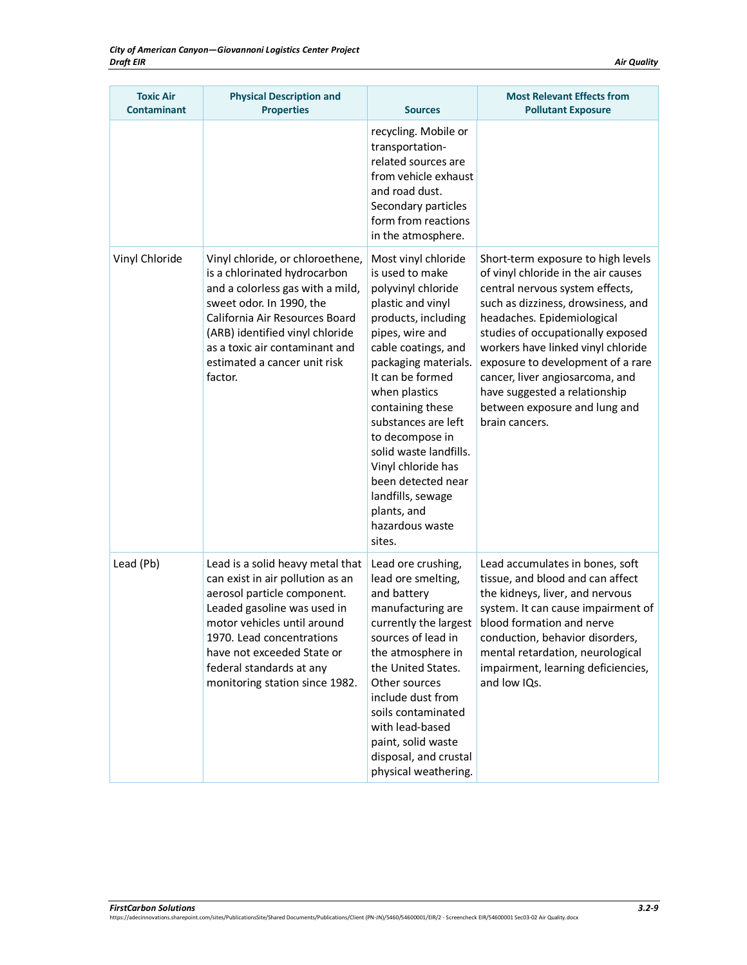| <b>Toxic Air</b><br><b>Contaminant</b> | <b>Physical Description and</b><br><b>Properties</b>                                                                                                                                                                                                                                       | <b>Sources</b>                                                                                                                                                                                                                                                                                                                                                                                                       | <b>Most Relevant Effects from</b><br><b>Pollutant Exposure</b>                                                                                                                                                                                                                                                                                                                                                          |
|----------------------------------------|--------------------------------------------------------------------------------------------------------------------------------------------------------------------------------------------------------------------------------------------------------------------------------------------|----------------------------------------------------------------------------------------------------------------------------------------------------------------------------------------------------------------------------------------------------------------------------------------------------------------------------------------------------------------------------------------------------------------------|-------------------------------------------------------------------------------------------------------------------------------------------------------------------------------------------------------------------------------------------------------------------------------------------------------------------------------------------------------------------------------------------------------------------------|
|                                        |                                                                                                                                                                                                                                                                                            | recycling. Mobile or<br>transportation-<br>related sources are<br>from vehicle exhaust<br>and road dust.<br>Secondary particles<br>form from reactions<br>in the atmosphere.                                                                                                                                                                                                                                         |                                                                                                                                                                                                                                                                                                                                                                                                                         |
| Vinyl Chloride                         | Vinyl chloride, or chloroethene,<br>is a chlorinated hydrocarbon<br>and a colorless gas with a mild,<br>sweet odor. In 1990, the<br>California Air Resources Board<br>(ARB) identified vinyl chloride<br>as a toxic air contaminant and<br>estimated a cancer unit risk<br>factor.         | Most vinyl chloride<br>is used to make<br>polyvinyl chloride<br>plastic and vinyl<br>products, including<br>pipes, wire and<br>cable coatings, and<br>packaging materials.<br>It can be formed<br>when plastics<br>containing these<br>substances are left<br>to decompose in<br>solid waste landfills.<br>Vinyl chloride has<br>been detected near<br>landfills, sewage<br>plants, and<br>hazardous waste<br>sites. | Short-term exposure to high levels<br>of vinyl chloride in the air causes<br>central nervous system effects,<br>such as dizziness, drowsiness, and<br>headaches. Epidemiological<br>studies of occupationally exposed<br>workers have linked vinyl chloride<br>exposure to development of a rare<br>cancer, liver angiosarcoma, and<br>have suggested a relationship<br>between exposure and lung and<br>brain cancers. |
| Lead (Pb)                              | Lead is a solid heavy metal that<br>can exist in air pollution as an<br>aerosol particle component.<br>Leaded gasoline was used in<br>motor vehicles until around<br>1970. Lead concentrations<br>have not exceeded State or<br>federal standards at any<br>monitoring station since 1982. | Lead ore crushing,<br>lead ore smelting,<br>and battery<br>manufacturing are<br>currently the largest<br>sources of lead in<br>the atmosphere in<br>the United States.<br>Other sources<br>include dust from<br>soils contaminated<br>with lead-based<br>paint, solid waste<br>disposal, and crustal<br>physical weathering.                                                                                         | Lead accumulates in bones, soft<br>tissue, and blood and can affect<br>the kidneys, liver, and nervous<br>system. It can cause impairment of<br>blood formation and nerve<br>conduction, behavior disorders,<br>mental retardation, neurological<br>impairment, learning deficiencies,<br>and low IQs.                                                                                                                  |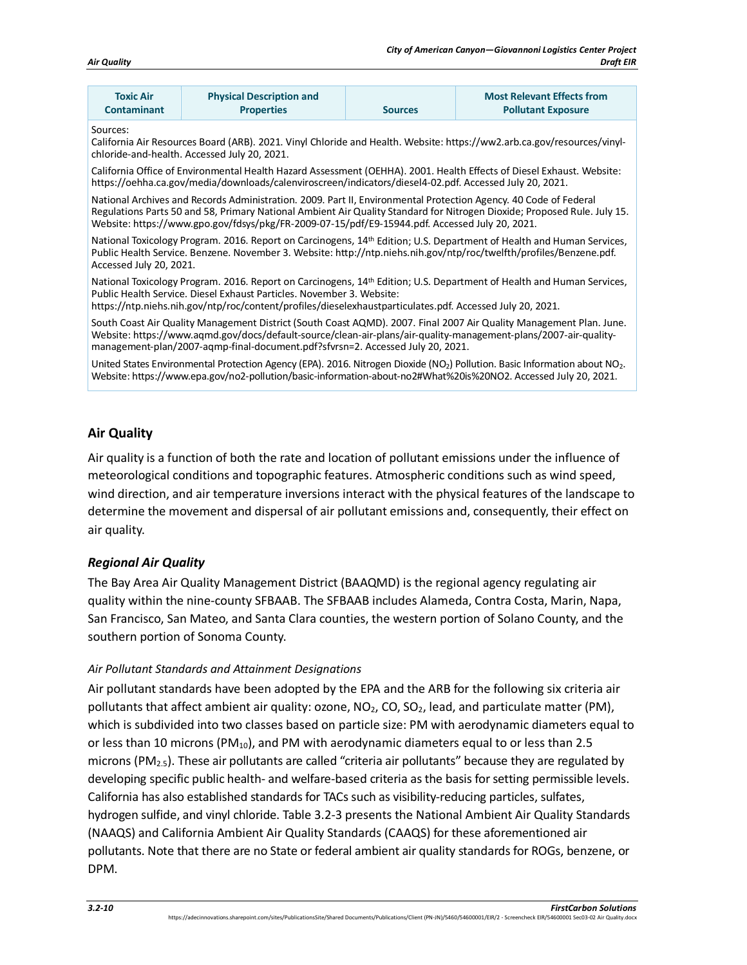| <b>Toxic Air</b><br>Contaminant                                                                                                                                                                                                                                                                                           | <b>Physical Description and</b><br><b>Properties</b>                                                                                                                                                                                                                                                                                           | <b>Sources</b> | <b>Most Relevant Effects from</b><br><b>Pollutant Exposure</b>                                                                                      |  |  |
|---------------------------------------------------------------------------------------------------------------------------------------------------------------------------------------------------------------------------------------------------------------------------------------------------------------------------|------------------------------------------------------------------------------------------------------------------------------------------------------------------------------------------------------------------------------------------------------------------------------------------------------------------------------------------------|----------------|-----------------------------------------------------------------------------------------------------------------------------------------------------|--|--|
| Sources:<br>California Air Resources Board (ARB). 2021. Vinyl Chloride and Health. Website: https://ww2.arb.ca.gov/resources/vinyl-<br>chloride-and-health. Accessed July 20, 2021.                                                                                                                                       |                                                                                                                                                                                                                                                                                                                                                |                |                                                                                                                                                     |  |  |
|                                                                                                                                                                                                                                                                                                                           | https://oehha.ca.gov/media/downloads/calenviroscreen/indicators/diesel4-02.pdf. Accessed July 20, 2021.                                                                                                                                                                                                                                        |                | California Office of Environmental Health Hazard Assessment (OEHHA). 2001. Health Effects of Diesel Exhaust. Website:                               |  |  |
|                                                                                                                                                                                                                                                                                                                           | National Archives and Records Administration. 2009. Part II, Environmental Protection Agency. 40 Code of Federal<br>Regulations Parts 50 and 58, Primary National Ambient Air Quality Standard for Nitrogen Dioxide; Proposed Rule. July 15.<br>Website: https://www.gpo.gov/fdsys/pkg/FR-2009-07-15/pdf/E9-15944.pdf. Accessed July 20, 2021. |                |                                                                                                                                                     |  |  |
| National Toxicology Program. 2016. Report on Carcinogens, 14 <sup>th</sup> Edition; U.S. Department of Health and Human Services,<br>Public Health Service. Benzene. November 3. Website: http://ntp.niehs.nih.gov/ntp/roc/twelfth/profiles/Benzene.pdf.<br>Accessed July 20, 2021.                                       |                                                                                                                                                                                                                                                                                                                                                |                |                                                                                                                                                     |  |  |
| National Toxicology Program. 2016. Report on Carcinogens, 14 <sup>th</sup> Edition; U.S. Department of Health and Human Services,<br>Public Health Service. Diesel Exhaust Particles. November 3. Website:<br>https://ntp.niehs.nih.gov/ntp/roc/content/profiles/dieselexhaustparticulates.pdf. Accessed July 20, 2021.   |                                                                                                                                                                                                                                                                                                                                                |                |                                                                                                                                                     |  |  |
| South Coast Air Quality Management District (South Coast AQMD). 2007. Final 2007 Air Quality Management Plan. June.<br>Website: https://www.aqmd.gov/docs/default-source/clean-air-plans/air-quality-management-plans/2007-air-quality-<br>management-plan/2007-agmp-final-document.pdf?sfvrsn=2. Accessed July 20, 2021. |                                                                                                                                                                                                                                                                                                                                                |                |                                                                                                                                                     |  |  |
|                                                                                                                                                                                                                                                                                                                           | Website: https://www.epa.gov/no2-pollution/basic-information-about-no2#What%20is%20NO2. Accessed July 20, 2021.                                                                                                                                                                                                                                |                | United States Environmental Protection Agency (EPA). 2016. Nitrogen Dioxide (NO <sub>2</sub> ) Pollution. Basic Information about NO <sub>2</sub> . |  |  |

## **Air Quality**

Air quality is a function of both the rate and location of pollutant emissions under the influence of meteorological conditions and topographic features. Atmospheric conditions such as wind speed, wind direction, and air temperature inversions interact with the physical features of the landscape to determine the movement and dispersal of air pollutant emissions and, consequently, their effect on air quality.

#### *Regional Air Quality*

The Bay Area Air Quality Management District (BAAQMD) is the regional agency regulating air quality within the nine-county SFBAAB. The SFBAAB includes Alameda, Contra Costa, Marin, Napa, San Francisco, San Mateo, and Santa Clara counties, the western portion of Solano County, and the southern portion of Sonoma County.

#### *Air Pollutant Standards and Attainment Designations*

Air pollutant standards have been adopted by the EPA and the ARB for the following six criteria air pollutants that affect ambient air quality: ozone,  $NO<sub>2</sub>$ ,  $CO<sub>2</sub>$ , lead, and particulate matter (PM), which is subdivided into two classes based on particle size: PM with aerodynamic diameters equal to or less than 10 microns (PM<sub>10</sub>), and PM with aerodynamic diameters equal to or less than 2.5 microns ( $PM_{2.5}$ ). These air pollutants are called "criteria air pollutants" because they are regulated by developing specific public health- and welfare-based criteria as the basis for setting permissible levels. California has also established standards for TACs such as visibility-reducing particles, sulfates, hydrogen sulfide, and vinyl chloride[. Table 3.2-3](#page-10-0) presents the National Ambient Air Quality Standards (NAAQS) and California Ambient Air Quality Standards (CAAQS) for these aforementioned air pollutants. Note that there are no State or federal ambient air quality standards for ROGs, benzene, or DPM.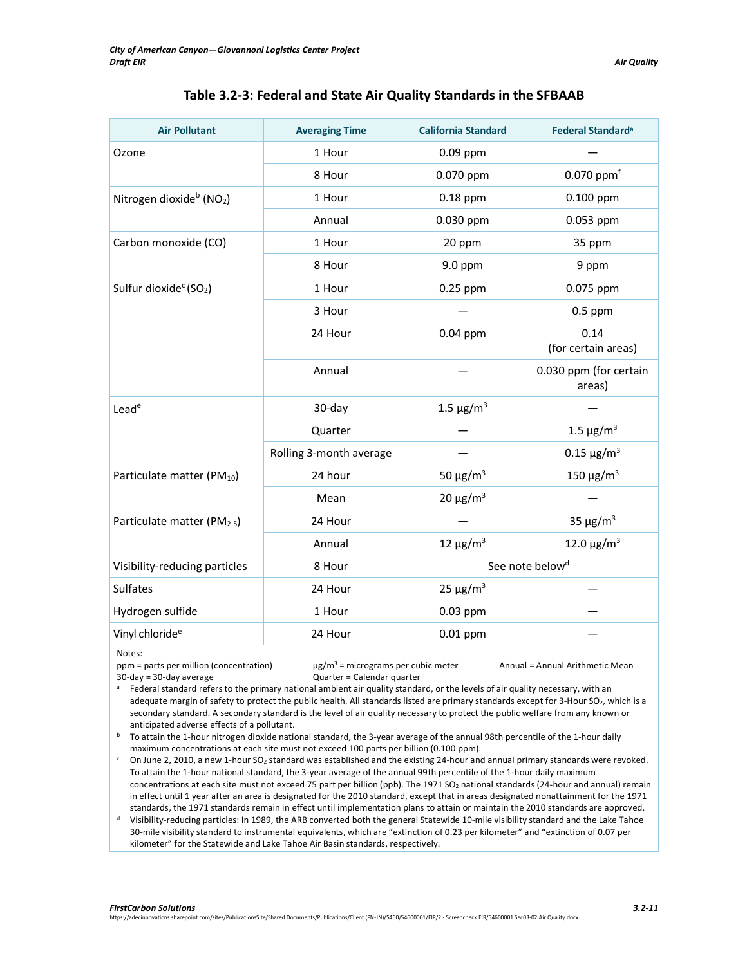|  | Table 3.2-3: Federal and State Air Quality Standards in the SFBAAB |
|--|--------------------------------------------------------------------|
|--|--------------------------------------------------------------------|

<span id="page-10-0"></span>

| <b>Air Pollutant</b>                             | <b>Averaging Time</b>   | <b>California Standard</b> | Federal Standard <sup>a</sup>    |
|--------------------------------------------------|-------------------------|----------------------------|----------------------------------|
| Ozone                                            | 1 Hour                  | 0.09 ppm                   |                                  |
|                                                  | 8 Hour                  | 0.070 ppm                  | $0.070$ ppm $f$                  |
| Nitrogen dioxide <sup>b</sup> (NO <sub>2</sub> ) | 1 Hour                  | $0.18$ ppm                 | $0.100$ ppm                      |
|                                                  | Annual                  | 0.030 ppm                  | 0.053 ppm                        |
| Carbon monoxide (CO)                             | 1 Hour                  | 20 ppm                     | 35 ppm                           |
|                                                  | 8 Hour                  | 9.0 ppm                    | 9 ppm                            |
| Sulfur dioxide <sup>c</sup> (SO <sub>2</sub> )   | 1 Hour                  | 0.25 ppm                   | 0.075 ppm                        |
|                                                  | 3 Hour                  |                            | $0.5$ ppm                        |
|                                                  | 24 Hour                 | 0.04 ppm                   | 0.14<br>(for certain areas)      |
|                                                  | Annual                  |                            | 0.030 ppm (for certain<br>areas) |
| Leade                                            | 30-day                  | 1.5 $\mu$ g/m <sup>3</sup> |                                  |
|                                                  | Quarter                 |                            | 1.5 $\mu$ g/m <sup>3</sup>       |
|                                                  | Rolling 3-month average |                            | $0.15 \,\mathrm{\mu g/m^3}$      |
| Particulate matter (PM <sub>10</sub> )           | 24 hour                 | 50 $\mu$ g/m <sup>3</sup>  | 150 $\mu$ g/m <sup>3</sup>       |
|                                                  | Mean                    | $20 \mu g/m^3$             |                                  |
| Particulate matter (PM <sub>2.5</sub> )          | 24 Hour                 |                            | 35 $\mu$ g/m <sup>3</sup>        |
|                                                  | Annual                  | 12 $\mu$ g/m <sup>3</sup>  | 12.0 $\mu$ g/m <sup>3</sup>      |
| Visibility-reducing particles                    | 8 Hour                  |                            | See note below <sup>d</sup>      |
| <b>Sulfates</b>                                  | 24 Hour                 | $25 \mu g/m^3$             |                                  |
| Hydrogen sulfide                                 | 1 Hour                  | 0.03 ppm                   |                                  |
| Vinyl chloride <sup>e</sup>                      | 24 Hour                 | $0.01$ ppm                 |                                  |

Notes:

ppm = parts per million (concentration)  $\mu g/m^3$  = micrograms per cubic meter Annual = Annual Arithmetic Mean

30-day = 30-day average Quarter = Calendar quarter <sup>a</sup> Federal standard refers to the primary national ambient air quality standard, or the levels of air quality necessary, with an

adequate margin of safety to protect the public health. All standards listed are primary standards except for 3-Hour SO<sub>2</sub>, which is a secondary standard. A secondary standard is the level of air quality necessary to protect the public welfare from any known or anticipated adverse effects of a pollutant.

<sup>b</sup> To attain the 1-hour nitrogen dioxide national standard, the 3-year average of the annual 98th percentile of the 1-hour daily maximum concentrations at each site must not exceed 100 parts per billion (0.100 ppm).<br>C On June 2, 2010, a new 1-hour SO<sub>2</sub> standard was established and the existing 24-hour and annual primary standards were revoked.

To attain the 1-hour national standard, the 3-year average of the annual 99th percentile of the 1-hour daily maximum concentrations at each site must not exceed 75 part per billion (ppb). The 1971 SO<sub>2</sub> national standards (24-hour and annual) remain in effect until 1 year after an area is designated for the 2010 standard, except that in areas designated nonattainment for the 1971 standards, the 1971 standards remain in effect until implementation plans to attain or maintain the 2010 standards are approved.

<sup>d</sup> Visibility-reducing particles: In 1989, the ARB converted both the general Statewide 10-mile visibility standard and the Lake Tahoe 30-mile visibility standard to instrumental equivalents, which are "extinction of 0.23 per kilometer" and "extinction of 0.07 per kilometer" for the Statewide and Lake Tahoe Air Basin standards, respectively.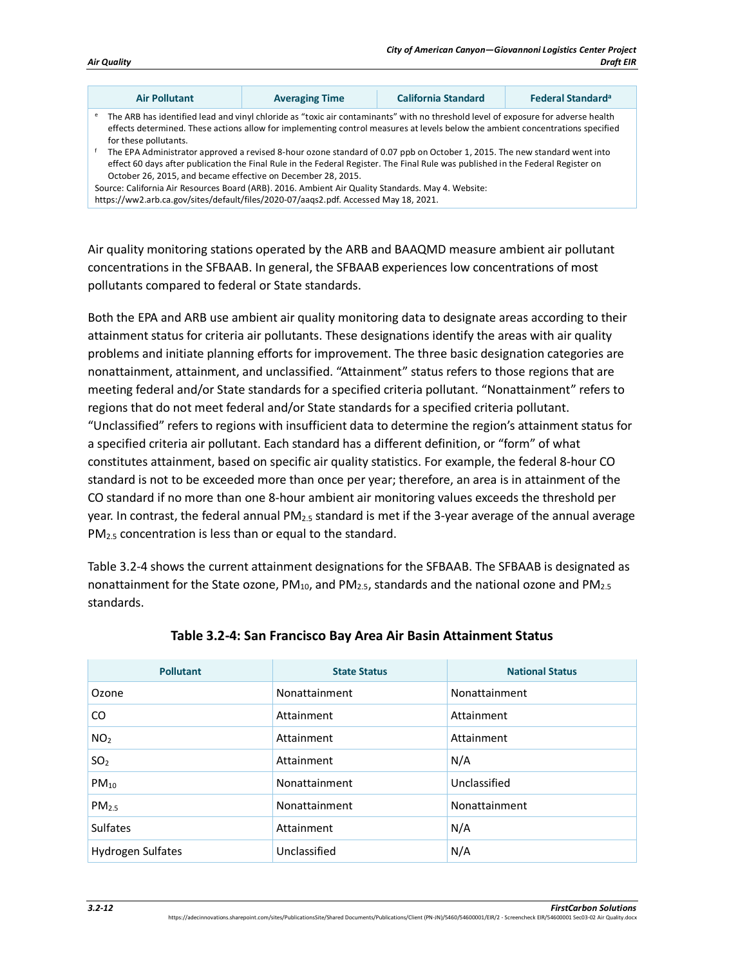| Air Quality |
|-------------|
|             |

|   | <b>Air Pollutant</b>                                                                                                                                                                                                                                                                                                                                                                                                                | <b>Averaging Time</b> | California Standard | Federal Standard <sup>a</sup> |
|---|-------------------------------------------------------------------------------------------------------------------------------------------------------------------------------------------------------------------------------------------------------------------------------------------------------------------------------------------------------------------------------------------------------------------------------------|-----------------------|---------------------|-------------------------------|
| e | The ARB has identified lead and vinyl chloride as "toxic air contaminants" with no threshold level of exposure for adverse health<br>effects determined. These actions allow for implementing control measures at levels below the ambient concentrations specified<br>for these pollutants.                                                                                                                                        |                       |                     |                               |
|   | The EPA Administrator approved a revised 8-hour ozone standard of 0.07 ppb on October 1, 2015. The new standard went into<br>effect 60 days after publication the Final Rule in the Federal Register. The Final Rule was published in the Federal Register on<br>October 26, 2015, and became effective on December 28, 2015.<br>Source: California Air Resources Board (ARB). 2016. Ambient Air Quality Standards. May 4. Website: |                       |                     |                               |
|   | https://ww2.arb.ca.gov/sites/default/files/2020-07/aaqs2.pdf. Accessed May 18, 2021.                                                                                                                                                                                                                                                                                                                                                |                       |                     |                               |

Air quality monitoring stations operated by the ARB and BAAQMD measure ambient air pollutant concentrations in the SFBAAB. In general, the SFBAAB experiences low concentrations of most pollutants compared to federal or State standards.

Both the EPA and ARB use ambient air quality monitoring data to designate areas according to their attainment status for criteria air pollutants. These designations identify the areas with air quality problems and initiate planning efforts for improvement. The three basic designation categories are nonattainment, attainment, and unclassified. "Attainment" status refers to those regions that are meeting federal and/or State standards for a specified criteria pollutant. "Nonattainment" refers to regions that do not meet federal and/or State standards for a specified criteria pollutant. "Unclassified" refers to regions with insufficient data to determine the region's attainment status for a specified criteria air pollutant. Each standard has a different definition, or "form" of what constitutes attainment, based on specific air quality statistics. For example, the federal 8-hour CO standard is not to be exceeded more than once per year; therefore, an area is in attainment of the CO standard if no more than one 8-hour ambient air monitoring values exceeds the threshold per year. In contrast, the federal annual PM<sub>2.5</sub> standard is met if the 3-year average of the annual average PM2.5 concentration is less than or equal to the standard.

[Table 3.2-4](#page-11-0) shows the current attainment designations for the SFBAAB. The SFBAAB is designated as nonattainment for the State ozone,  $PM_{10}$ , and  $PM_{2.5}$ , standards and the national ozone and  $PM_{2.5}$ standards.

<span id="page-11-0"></span>

| <b>Pollutant</b>  | <b>State Status</b> | <b>National Status</b> |
|-------------------|---------------------|------------------------|
| Ozone             | Nonattainment       | Nonattainment          |
| CO                | Attainment          | Attainment             |
| NO <sub>2</sub>   | Attainment          | Attainment             |
| SO <sub>2</sub>   | Attainment          | N/A                    |
| $PM_{10}$         | Nonattainment       | Unclassified           |
| PM <sub>2.5</sub> | Nonattainment       | Nonattainment          |
| <b>Sulfates</b>   | Attainment          | N/A                    |
| Hydrogen Sulfates | Unclassified        | N/A                    |

#### **Table 3.2-4: San Francisco Bay Area Air Basin Attainment Status**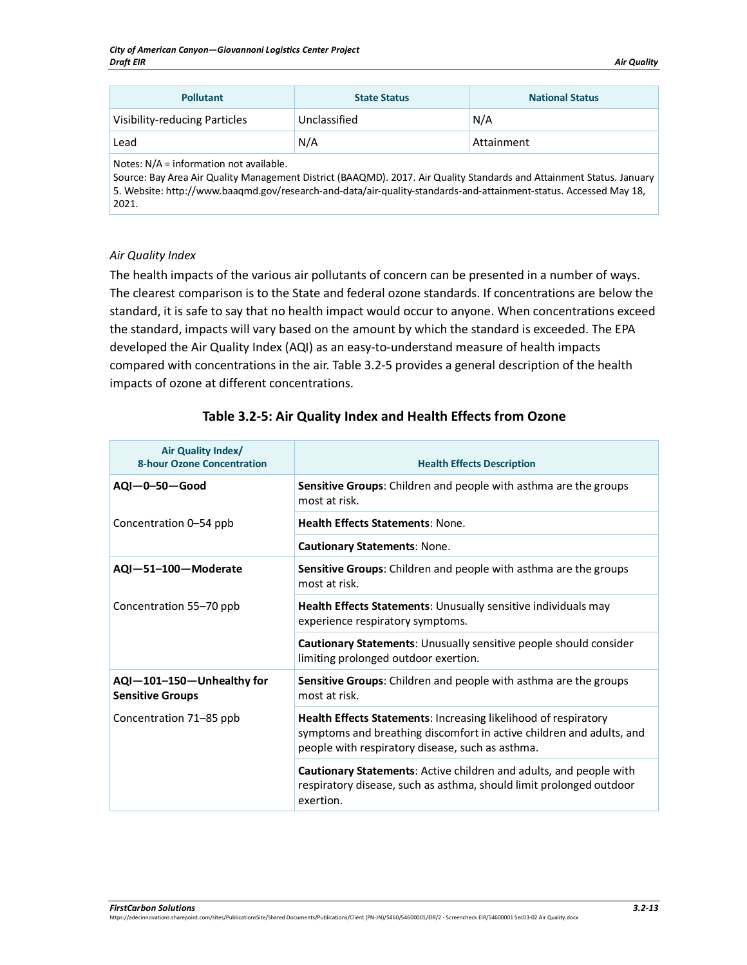| <b>Pollutant</b>                     | <b>State Status</b> | <b>National Status</b> |
|--------------------------------------|---------------------|------------------------|
| <b>Visibility-reducing Particles</b> | Unclassified        | N/A                    |
| Lead                                 | N/A                 | Attainment             |

Notes: N/A = information not available.

Source: Bay Area Air Quality Management District (BAAQMD). 2017. Air Quality Standards and Attainment Status. January 5. Website: http://www.baaqmd.gov/research-and-data/air-quality-standards-and-attainment-status. Accessed May 18, 2021.

#### *Air Quality Index*

The health impacts of the various air pollutants of concern can be presented in a number of ways. The clearest comparison is to the State and federal ozone standards. If concentrations are below the standard, it is safe to say that no health impact would occur to anyone. When concentrations exceed the standard, impacts will vary based on the amount by which the standard is exceeded. The EPA developed the Air Quality Index (AQI) as an easy-to-understand measure of health impacts compared with concentrations in the air. [Table 3.2-5](#page-12-0) provides a general description of the health impacts of ozone at different concentrations.

<span id="page-12-0"></span>

| Air Quality Index/<br><b>8-hour Ozone Concentration</b> | <b>Health Effects Description</b>                                                                                                                                                           |  |
|---------------------------------------------------------|---------------------------------------------------------------------------------------------------------------------------------------------------------------------------------------------|--|
| $AQI - 0 - 50 - Good$                                   | Sensitive Groups: Children and people with asthma are the groups<br>most at risk.                                                                                                           |  |
| Concentration 0-54 ppb                                  | <b>Health Effects Statements: None.</b>                                                                                                                                                     |  |
|                                                         | <b>Cautionary Statements: None.</b>                                                                                                                                                         |  |
| AQI-51-100-Moderate                                     | Sensitive Groups: Children and people with asthma are the groups<br>most at risk.                                                                                                           |  |
| Concentration 55-70 ppb                                 | <b>Health Effects Statements: Unusually sensitive individuals may</b><br>experience respiratory symptoms.                                                                                   |  |
|                                                         | Cautionary Statements: Unusually sensitive people should consider<br>limiting prolonged outdoor exertion.                                                                                   |  |
| AQI-101-150-Unhealthy for<br><b>Sensitive Groups</b>    | Sensitive Groups: Children and people with asthma are the groups<br>most at risk.                                                                                                           |  |
| Concentration 71–85 ppb                                 | Health Effects Statements: Increasing likelihood of respiratory<br>symptoms and breathing discomfort in active children and adults, and<br>people with respiratory disease, such as asthma. |  |
|                                                         | <b>Cautionary Statements:</b> Active children and adults, and people with<br>respiratory disease, such as asthma, should limit prolonged outdoor<br>exertion.                               |  |

## **Table 3.2-5: Air Quality Index and Health Effects from Ozone**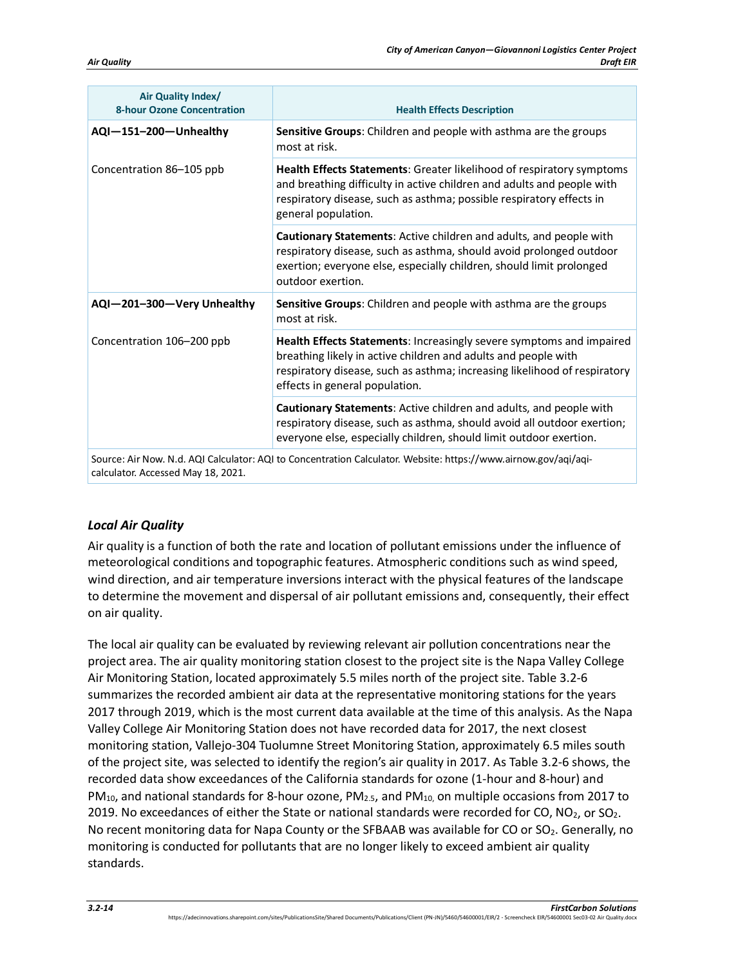| Air Quality Index/<br><b>8-hour Ozone Concentration</b> | <b>Health Effects Description</b>                                                                                                                                                                                                                     |  |
|---------------------------------------------------------|-------------------------------------------------------------------------------------------------------------------------------------------------------------------------------------------------------------------------------------------------------|--|
| AQI-151-200-Unhealthy                                   | Sensitive Groups: Children and people with asthma are the groups<br>most at risk.                                                                                                                                                                     |  |
| Concentration 86-105 ppb                                | Health Effects Statements: Greater likelihood of respiratory symptoms<br>and breathing difficulty in active children and adults and people with<br>respiratory disease, such as asthma; possible respiratory effects in<br>general population.        |  |
|                                                         | Cautionary Statements: Active children and adults, and people with<br>respiratory disease, such as asthma, should avoid prolonged outdoor<br>exertion; everyone else, especially children, should limit prolonged<br>outdoor exertion.                |  |
| AQI-201-300-Very Unhealthy                              | Sensitive Groups: Children and people with asthma are the groups<br>most at risk.                                                                                                                                                                     |  |
| Concentration 106-200 ppb                               | Health Effects Statements: Increasingly severe symptoms and impaired<br>breathing likely in active children and adults and people with<br>respiratory disease, such as asthma; increasing likelihood of respiratory<br>effects in general population. |  |
|                                                         | Cautionary Statements: Active children and adults, and people with<br>respiratory disease, such as asthma, should avoid all outdoor exertion;<br>everyone else, especially children, should limit outdoor exertion.                                   |  |
|                                                         | Source: Air Now. N.d. AQI Calculator: AQI to Concentration Calculator. Website: https://www.airnow.gov/aqi/aqi-                                                                                                                                       |  |

calculator. Accessed May 18, 2021.

# *Local Air Quality*

Air quality is a function of both the rate and location of pollutant emissions under the influence of meteorological conditions and topographic features. Atmospheric conditions such as wind speed, wind direction, and air temperature inversions interact with the physical features of the landscape to determine the movement and dispersal of air pollutant emissions and, consequently, their effect on air quality.

The local air quality can be evaluated by reviewing relevant air pollution concentrations near the project area. The air quality monitoring station closest to the project site is the Napa Valley College Air Monitoring Station, located approximately 5.5 miles north of the project site[. Table 3.2-6](#page-14-0) summarizes the recorded ambient air data at the representative monitoring stations for the years 2017 through 2019, which is the most current data available at the time of this analysis. As the Napa Valley College Air Monitoring Station does not have recorded data for 2017, the next closest monitoring station, Vallejo-304 Tuolumne Street Monitoring Station, approximately 6.5 miles south of the project site, was selected to identify the region's air quality in 2017. A[s Table 3.2-6](#page-14-0) shows, the recorded data show exceedances of the California standards for ozone (1-hour and 8-hour) and  $PM_{10}$ , and national standards for 8-hour ozone,  $PM_{1.5}$ , and  $PM_{10}$ , on multiple occasions from 2017 to 2019. No exceedances of either the State or national standards were recorded for CO, NO<sub>2</sub>, or SO<sub>2</sub>. No recent monitoring data for Napa County or the SFBAAB was available for CO or  $SO_2$ . Generally, no monitoring is conducted for pollutants that are no longer likely to exceed ambient air quality standards.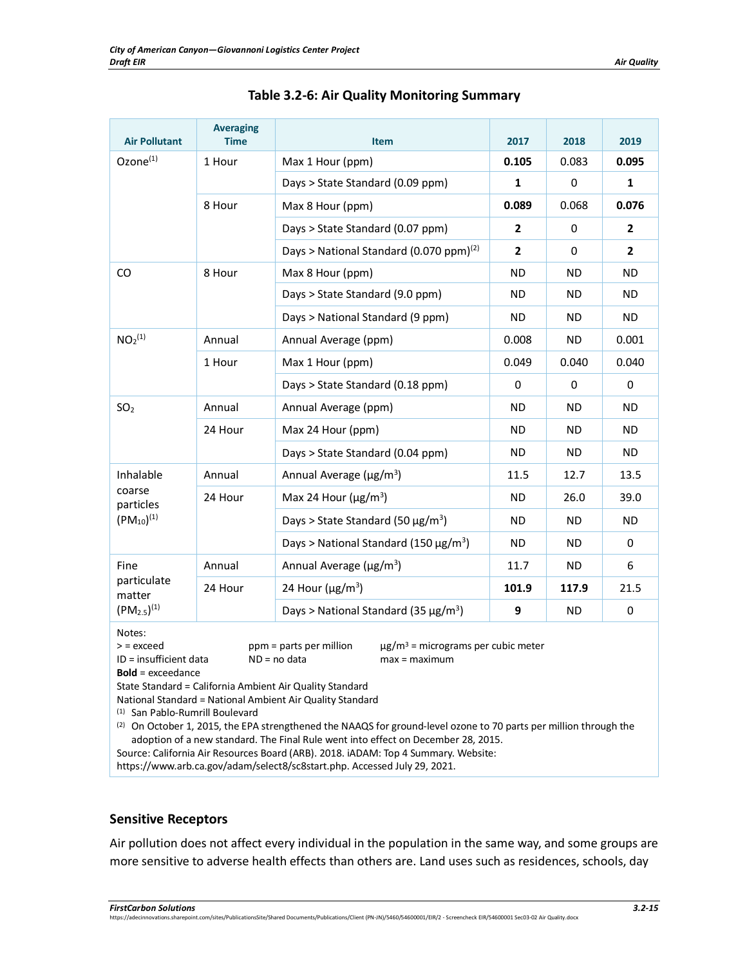<span id="page-14-0"></span>

| <b>Air Pollutant</b>                                                                                                                                                                           | <b>Averaging</b><br><b>Time</b> | <b>Item</b>                                            | 2017           | 2018        | 2019           |
|------------------------------------------------------------------------------------------------------------------------------------------------------------------------------------------------|---------------------------------|--------------------------------------------------------|----------------|-------------|----------------|
| Ozone <sup>(1)</sup><br>1 Hour                                                                                                                                                                 |                                 | Max 1 Hour (ppm)                                       | 0.105          | 0.083       | 0.095          |
|                                                                                                                                                                                                |                                 | Days > State Standard (0.09 ppm)                       | $\mathbf{1}$   | 0           | $\mathbf{1}$   |
|                                                                                                                                                                                                | 8 Hour                          | Max 8 Hour (ppm)                                       | 0.089          | 0.068       | 0.076          |
|                                                                                                                                                                                                |                                 | Days > State Standard (0.07 ppm)                       | $\mathbf{2}$   | $\mathbf 0$ | $\overline{2}$ |
|                                                                                                                                                                                                |                                 | Days > National Standard (0.070 ppm) <sup>(2)</sup>    | $\overline{2}$ | $\Omega$    | $\overline{2}$ |
| CO                                                                                                                                                                                             | 8 Hour                          | Max 8 Hour (ppm)                                       | <b>ND</b>      | <b>ND</b>   | ND             |
|                                                                                                                                                                                                |                                 | Days > State Standard (9.0 ppm)                        | <b>ND</b>      | <b>ND</b>   | <b>ND</b>      |
|                                                                                                                                                                                                |                                 | Days > National Standard (9 ppm)                       | <b>ND</b>      | ND.         | <b>ND</b>      |
| NO <sub>2</sub> <sup>(1)</sup>                                                                                                                                                                 | Annual                          | Annual Average (ppm)                                   | 0.008          | <b>ND</b>   | 0.001          |
|                                                                                                                                                                                                | 1 Hour                          | Max 1 Hour (ppm)                                       | 0.049          | 0.040       | 0.040          |
|                                                                                                                                                                                                |                                 | Days > State Standard (0.18 ppm)                       | 0              | $\Omega$    | 0              |
| SO <sub>2</sub>                                                                                                                                                                                | Annual                          | Annual Average (ppm)                                   | <b>ND</b>      | ND.         | ND.            |
|                                                                                                                                                                                                | 24 Hour                         | Max 24 Hour (ppm)                                      | <b>ND</b>      | <b>ND</b>   | <b>ND</b>      |
|                                                                                                                                                                                                |                                 | Days > State Standard (0.04 ppm)                       | <b>ND</b>      | ND.         | ND.            |
| Inhalable                                                                                                                                                                                      | Annual                          | Annual Average ( $\mu$ g/m <sup>3</sup> )              | 11.5           | 12.7        | 13.5           |
| coarse<br>particles                                                                                                                                                                            | 24 Hour                         | Max 24 Hour ( $\mu$ g/m <sup>3</sup> )                 | <b>ND</b>      | 26.0        | 39.0           |
| $(PM_{10})^{(1)}$                                                                                                                                                                              |                                 | Days > State Standard (50 $\mu$ g/m <sup>3</sup> )     | <b>ND</b>      | <b>ND</b>   | <b>ND</b>      |
|                                                                                                                                                                                                |                                 | Days > National Standard (150 $\mu$ g/m <sup>3</sup> ) | ND.            | ND.         | $\Omega$       |
| Fine                                                                                                                                                                                           | Annual                          | Annual Average ( $\mu$ g/m <sup>3</sup> )              | 11.7           | <b>ND</b>   | 6              |
| particulate<br>matter                                                                                                                                                                          | 24 Hour                         | 24 Hour ( $\mu$ g/m <sup>3</sup> )                     | 101.9          | 117.9       | 21.5           |
| $(PM_{2.5})^{(1)}$                                                                                                                                                                             |                                 | Days > National Standard (35 $\mu$ g/m <sup>3</sup> )  | 9              | <b>ND</b>   | 0              |
| Notes:<br>$\mu$ g/m <sup>3</sup> = micrograms per cubic meter<br>$>$ = exceed<br>ppm = parts per million<br>ID = insufficient data<br>$ND = no data$<br>$max = maximum$<br>$Bold =$ exceedance |                                 |                                                        |                |             |                |

| Table 3.2-6: Air Quality Monitoring Summary |  |  |  |  |
|---------------------------------------------|--|--|--|--|
|---------------------------------------------|--|--|--|--|

State Standard = California Ambient Air Quality Standard

National Standard = National Ambient Air Quality Standard

(1) San Pablo-Rumrill Boulevard

(2) On October 1, 2015, the EPA strengthened the NAAQS for ground-level ozone to 70 parts per million through the adoption of a new standard. The Final Rule went into effect on December 28, 2015.

Source: California Air Resources Board (ARB). 2018. iADAM: Top 4 Summary. Website:

https://www.arb.ca.gov/adam/select8/sc8start.php. Accessed July 29, 2021.

#### **Sensitive Receptors**

Air pollution does not affect every individual in the population in the same way, and some groups are more sensitive to adverse health effects than others are. Land uses such as residences, schools, day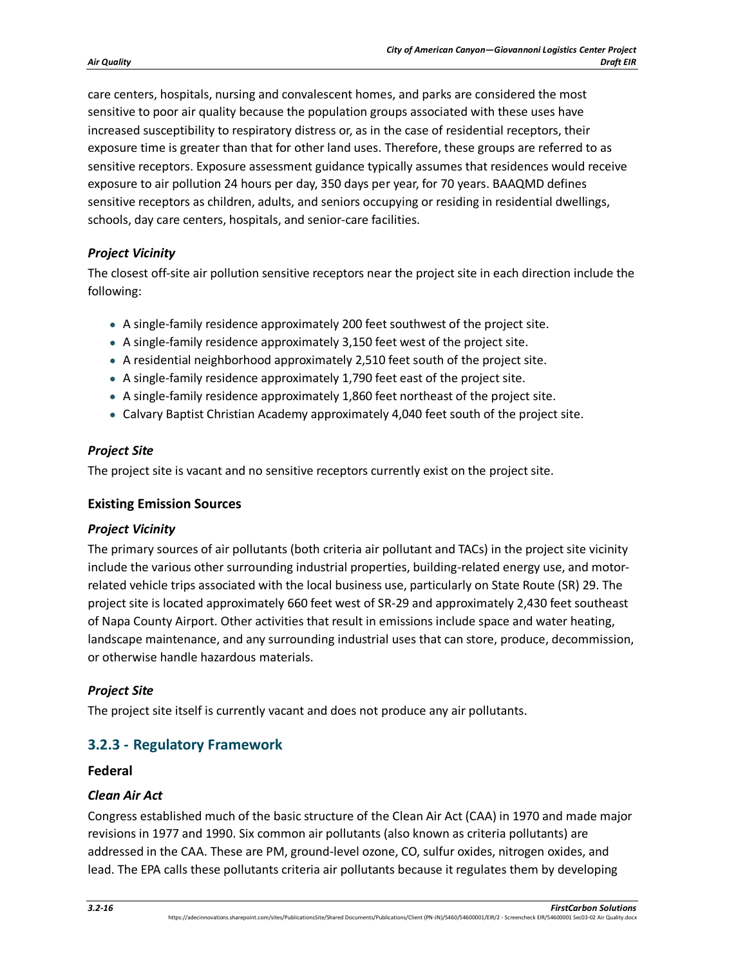care centers, hospitals, nursing and convalescent homes, and parks are considered the most sensitive to poor air quality because the population groups associated with these uses have increased susceptibility to respiratory distress or, as in the case of residential receptors, their exposure time is greater than that for other land uses. Therefore, these groups are referred to as sensitive receptors. Exposure assessment guidance typically assumes that residences would receive exposure to air pollution 24 hours per day, 350 days per year, for 70 years. BAAQMD defines sensitive receptors as children, adults, and seniors occupying or residing in residential dwellings, schools, day care centers, hospitals, and senior-care facilities.

## *Project Vicinity*

The closest off-site air pollution sensitive receptors near the project site in each direction include the following:

- A single-family residence approximately 200 feet southwest of the project site.
- A single-family residence approximately 3,150 feet west of the project site.
- A residential neighborhood approximately 2,510 feet south of the project site.
- A single-family residence approximately 1,790 feet east of the project site.
- A single-family residence approximately 1,860 feet northeast of the project site.
- Calvary Baptist Christian Academy approximately 4,040 feet south of the project site.

#### *Project Site*

The project site is vacant and no sensitive receptors currently exist on the project site.

#### **Existing Emission Sources**

#### *Project Vicinity*

The primary sources of air pollutants (both criteria air pollutant and TACs) in the project site vicinity include the various other surrounding industrial properties, building-related energy use, and motorrelated vehicle trips associated with the local business use, particularly on State Route (SR) 29. The project site is located approximately 660 feet west of SR-29 and approximately 2,430 feet southeast of Napa County Airport. Other activities that result in emissions include space and water heating, landscape maintenance, and any surrounding industrial uses that can store, produce, decommission, or otherwise handle hazardous materials.

# *Project Site*

The project site itself is currently vacant and does not produce any air pollutants.

# **3.2.3 - Regulatory Framework**

#### **Federal**

#### *Clean Air Act*

Congress established much of the basic structure of the Clean Air Act (CAA) in 1970 and made major revisions in 1977 and 1990. Six common air pollutants (also known as criteria pollutants) are addressed in the CAA. These are PM, ground-level ozone, CO, sulfur oxides, nitrogen oxides, and lead. The EPA calls these pollutants criteria air pollutants because it regulates them by developing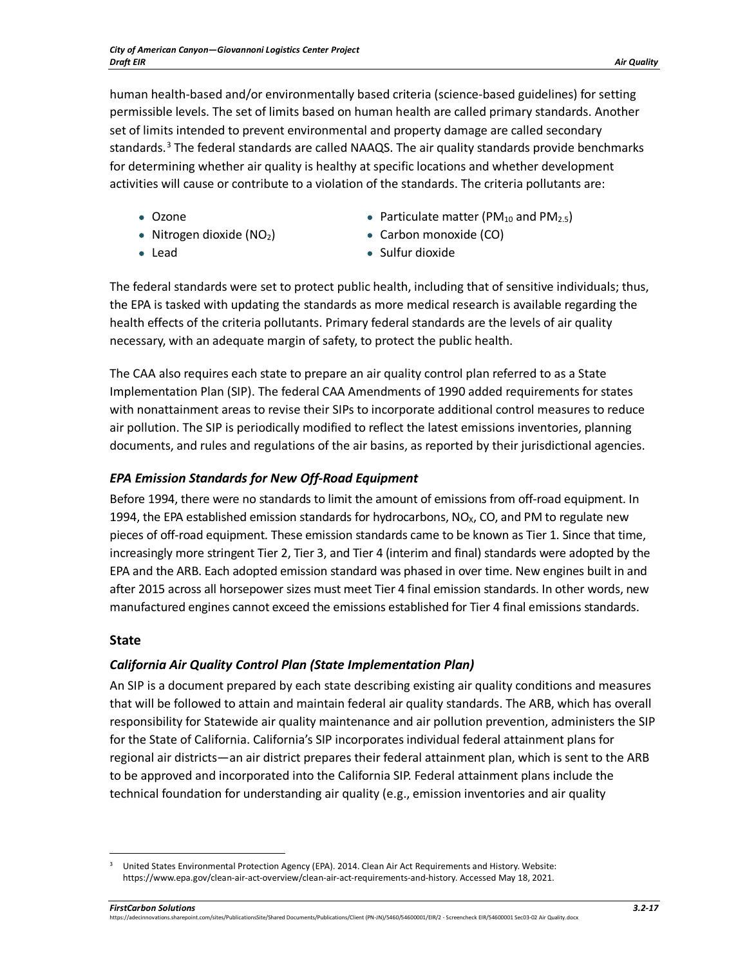human health-based and/or environmentally based criteria (science-based guidelines) for setting permissible levels. The set of limits based on human health are called primary standards. Another set of limits intended to prevent environmental and property damage are called secondary standards. [3](#page-16-0) The federal standards are called NAAQS. The air quality standards provide benchmarks for determining whether air quality is healthy at specific locations and whether development activities will cause or contribute to a violation of the standards. The criteria pollutants are:

- 
- Nitrogen dioxide (NO<sub>2</sub>) Carbon monoxide (CO)
- 
- Ozone  $O$ zone Particulate matter (PM<sub>10</sub> and PM<sub>2.5</sub>)
	-
- 
- Lead Sulfur dioxide

The federal standards were set to protect public health, including that of sensitive individuals; thus, the EPA is tasked with updating the standards as more medical research is available regarding the health effects of the criteria pollutants. Primary federal standards are the levels of air quality necessary, with an adequate margin of safety, to protect the public health.

The CAA also requires each state to prepare an air quality control plan referred to as a State Implementation Plan (SIP). The federal CAA Amendments of 1990 added requirements for states with nonattainment areas to revise their SIPs to incorporate additional control measures to reduce air pollution. The SIP is periodically modified to reflect the latest emissions inventories, planning documents, and rules and regulations of the air basins, as reported by their jurisdictional agencies.

# *EPA Emission Standards for New Off-Road Equipment*

Before 1994, there were no standards to limit the amount of emissions from off-road equipment. In 1994, the EPA established emission standards for hydrocarbons,  $NO<sub>X</sub>$ , CO, and PM to regulate new pieces of off-road equipment. These emission standards came to be known as Tier 1. Since that time, increasingly more stringent Tier 2, Tier 3, and Tier 4 (interim and final) standards were adopted by the EPA and the ARB. Each adopted emission standard was phased in over time. New engines built in and after 2015 across all horsepower sizes must meet Tier 4 final emission standards. In other words, new manufactured engines cannot exceed the emissions established for Tier 4 final emissions standards.

# **State**

# *California Air Quality Control Plan (State Implementation Plan)*

An SIP is a document prepared by each state describing existing air quality conditions and measures that will be followed to attain and maintain federal air quality standards. The ARB, which has overall responsibility for Statewide air quality maintenance and air pollution prevention, administers the SIP for the State of California. California's SIP incorporates individual federal attainment plans for regional air districts—an air district prepares their federal attainment plan, which is sent to the ARB to be approved and incorporated into the California SIP. Federal attainment plans include the technical foundation for understanding air quality (e.g., emission inventories and air quality

<span id="page-16-0"></span><sup>&</sup>lt;sup>3</sup> United States Environmental Protection Agency (EPA). 2014. Clean Air Act Requirements and History. Website: https://www.epa.gov/clean-air-act-overview/clean-air-act-requirements-and-history. Accessed May 18, 2021.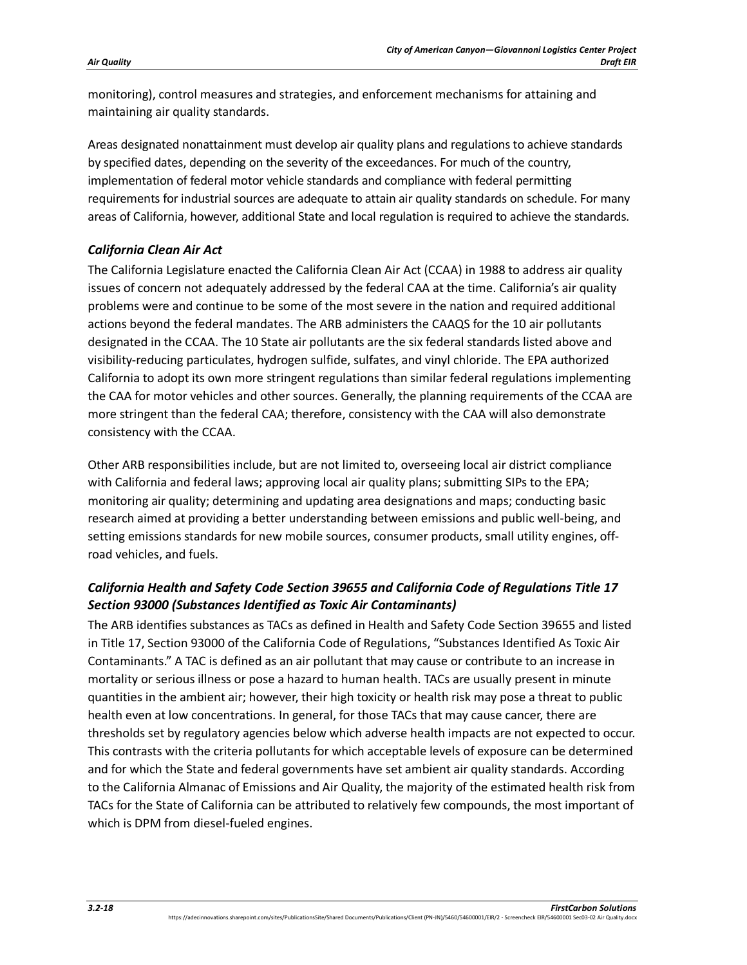monitoring), control measures and strategies, and enforcement mechanisms for attaining and maintaining air quality standards.

Areas designated nonattainment must develop air quality plans and regulations to achieve standards by specified dates, depending on the severity of the exceedances. For much of the country, implementation of federal motor vehicle standards and compliance with federal permitting requirements for industrial sources are adequate to attain air quality standards on schedule. For many areas of California, however, additional State and local regulation is required to achieve the standards.

# *California Clean Air Act*

The California Legislature enacted the California Clean Air Act (CCAA) in 1988 to address air quality issues of concern not adequately addressed by the federal CAA at the time. California's air quality problems were and continue to be some of the most severe in the nation and required additional actions beyond the federal mandates. The ARB administers the CAAQS for the 10 air pollutants designated in the CCAA. The 10 State air pollutants are the six federal standards listed above and visibility-reducing particulates, hydrogen sulfide, sulfates, and vinyl chloride. The EPA authorized California to adopt its own more stringent regulations than similar federal regulations implementing the CAA for motor vehicles and other sources. Generally, the planning requirements of the CCAA are more stringent than the federal CAA; therefore, consistency with the CAA will also demonstrate consistency with the CCAA.

Other ARB responsibilities include, but are not limited to, overseeing local air district compliance with California and federal laws; approving local air quality plans; submitting SIPs to the EPA; monitoring air quality; determining and updating area designations and maps; conducting basic research aimed at providing a better understanding between emissions and public well-being, and setting emissions standards for new mobile sources, consumer products, small utility engines, offroad vehicles, and fuels.

# *California Health and Safety Code Section 39655 and California Code of Regulations Title 17 Section 93000 (Substances Identified as Toxic Air Contaminants)*

The ARB identifies substances as TACs as defined in Health and Safety Code Section 39655 and listed in Title 17, Section 93000 of the California Code of Regulations, "Substances Identified As Toxic Air Contaminants." A TAC is defined as an air pollutant that may cause or contribute to an increase in mortality or serious illness or pose a hazard to human health. TACs are usually present in minute quantities in the ambient air; however, their high toxicity or health risk may pose a threat to public health even at low concentrations. In general, for those TACs that may cause cancer, there are thresholds set by regulatory agencies below which adverse health impacts are not expected to occur. This contrasts with the criteria pollutants for which acceptable levels of exposure can be determined and for which the State and federal governments have set ambient air quality standards. According to the California Almanac of Emissions and Air Quality, the majority of the estimated health risk from TACs for the State of California can be attributed to relatively few compounds, the most important of which is DPM from diesel-fueled engines.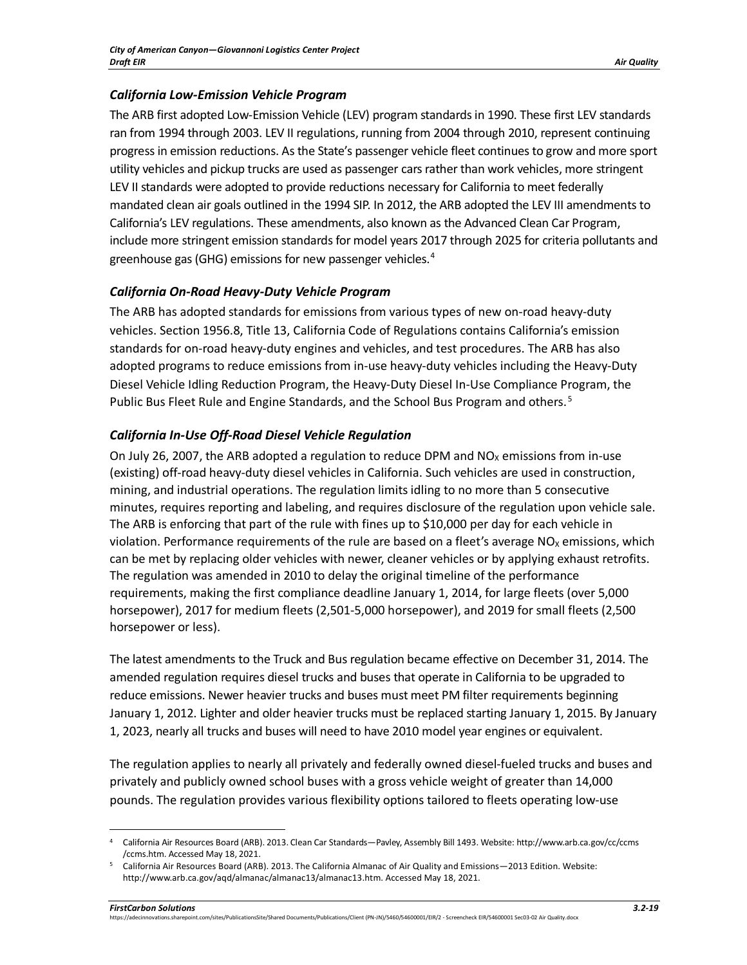# *California Low-Emission Vehicle Program*

The ARB first adopted Low-Emission Vehicle (LEV) program standards in 1990. These first LEV standards ran from 1994 through 2003. LEV II regulations, running from 2004 through 2010, represent continuing progress in emission reductions. As the State's passenger vehicle fleet continues to grow and more sport utility vehicles and pickup trucks are used as passenger cars rather than work vehicles, more stringent LEV II standards were adopted to provide reductions necessary for California to meet federally mandated clean air goals outlined in the 1994 SIP. In 2012, the ARB adopted the LEV III amendments to California's LEV regulations. These amendments, also known as the Advanced Clean Car Program, include more stringent emission standards for model years 2017 through 2025 for criteria pollutants and greenhouse gas (GHG) emissions for new passenger vehicles. $4$ 

# *California On-Road Heavy-Duty Vehicle Program*

The ARB has adopted standards for emissions from various types of new on-road heavy-duty vehicles. Section 1956.8, Title 13, California Code of Regulations contains California's emission standards for on-road heavy-duty engines and vehicles, and test procedures. The ARB has also adopted programs to reduce emissions from in-use heavy-duty vehicles including the Heavy-Duty Diesel Vehicle Idling Reduction Program, the Heavy-Duty Diesel In-Use Compliance Program, the Public Bus Fleet Rule and Engine Standards, and the School Bus Program and others.<sup>[5](#page-18-1)</sup>

# *California In-Use Off-Road Diesel Vehicle Regulation*

On July 26, 2007, the ARB adopted a regulation to reduce DPM and  $NO<sub>x</sub>$  emissions from in-use (existing) off-road heavy-duty diesel vehicles in California. Such vehicles are used in construction, mining, and industrial operations. The regulation limits idling to no more than 5 consecutive minutes, requires reporting and labeling, and requires disclosure of the regulation upon vehicle sale. The ARB is enforcing that part of the rule with fines up to \$10,000 per day for each vehicle in violation. Performance requirements of the rule are based on a fleet's average  $NO<sub>x</sub>$  emissions, which can be met by replacing older vehicles with newer, cleaner vehicles or by applying exhaust retrofits. The regulation was amended in 2010 to delay the original timeline of the performance requirements, making the first compliance deadline January 1, 2014, for large fleets (over 5,000 horsepower), 2017 for medium fleets (2,501-5,000 horsepower), and 2019 for small fleets (2,500 horsepower or less).

The latest amendments to the Truck and Bus regulation became effective on December 31, 2014. The amended regulation requires diesel trucks and buses that operate in California to be upgraded to reduce emissions. Newer heavier trucks and buses must meet PM filter requirements beginning January 1, 2012. Lighter and older heavier trucks must be replaced starting January 1, 2015. By January 1, 2023, nearly all trucks and buses will need to have 2010 model year engines or equivalent.

The regulation applies to nearly all privately and federally owned diesel-fueled trucks and buses and privately and publicly owned school buses with a gross vehicle weight of greater than 14,000 pounds. The regulation provides various flexibility options tailored to fleets operating low-use

<span id="page-18-0"></span><sup>4</sup> California Air Resources Board (ARB). 2013. Clean Car Standards—Pavley, Assembly Bill 1493. Website: http://www.arb.ca.gov/cc/ccms /ccms.htm. Accessed May 18, 2021.

<span id="page-18-1"></span><sup>5</sup> California Air Resources Board (ARB). 2013. The California Almanac of Air Quality and Emissions—2013 Edition. Website: http://www.arb.ca.gov/aqd/almanac/almanac13/almanac13.htm. Accessed May 18, 2021.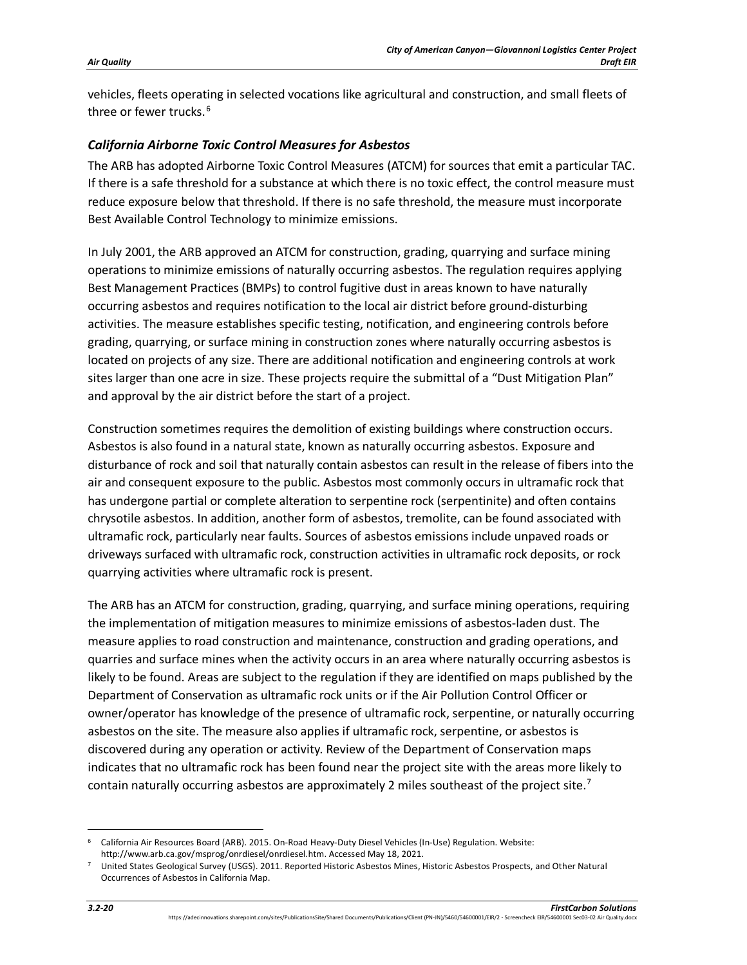vehicles, fleets operating in selected vocations like agricultural and construction, and small fleets of three or fewer trucks.<sup>[6](#page-19-0)</sup>

## *California Airborne Toxic Control Measures for Asbestos*

The ARB has adopted Airborne Toxic Control Measures (ATCM) for sources that emit a particular TAC. If there is a safe threshold for a substance at which there is no toxic effect, the control measure must reduce exposure below that threshold. If there is no safe threshold, the measure must incorporate Best Available Control Technology to minimize emissions.

In July 2001, the ARB approved an ATCM for construction, grading, quarrying and surface mining operations to minimize emissions of naturally occurring asbestos. The regulation requires applying Best Management Practices (BMPs) to control fugitive dust in areas known to have naturally occurring asbestos and requires notification to the local air district before ground-disturbing activities. The measure establishes specific testing, notification, and engineering controls before grading, quarrying, or surface mining in construction zones where naturally occurring asbestos is located on projects of any size. There are additional notification and engineering controls at work sites larger than one acre in size. These projects require the submittal of a "Dust Mitigation Plan" and approval by the air district before the start of a project.

Construction sometimes requires the demolition of existing buildings where construction occurs. Asbestos is also found in a natural state, known as naturally occurring asbestos. Exposure and disturbance of rock and soil that naturally contain asbestos can result in the release of fibers into the air and consequent exposure to the public. Asbestos most commonly occurs in ultramafic rock that has undergone partial or complete alteration to serpentine rock (serpentinite) and often contains chrysotile asbestos. In addition, another form of asbestos, tremolite, can be found associated with ultramafic rock, particularly near faults. Sources of asbestos emissions include unpaved roads or driveways surfaced with ultramafic rock, construction activities in ultramafic rock deposits, or rock quarrying activities where ultramafic rock is present.

The ARB has an ATCM for construction, grading, quarrying, and surface mining operations, requiring the implementation of mitigation measures to minimize emissions of asbestos-laden dust. The measure applies to road construction and maintenance, construction and grading operations, and quarries and surface mines when the activity occurs in an area where naturally occurring asbestos is likely to be found. Areas are subject to the regulation if they are identified on maps published by the Department of Conservation as ultramafic rock units or if the Air Pollution Control Officer or owner/operator has knowledge of the presence of ultramafic rock, serpentine, or naturally occurring asbestos on the site. The measure also applies if ultramafic rock, serpentine, or asbestos is discovered during any operation or activity. Review of the Department of Conservation maps indicates that no ultramafic rock has been found near the project site with the areas more likely to contain naturally occurring asbestos are approximately 2 miles southeast of the project site.<sup>[7](#page-19-1)</sup>

<span id="page-19-0"></span><sup>6</sup> California Air Resources Board (ARB). 2015. On-Road Heavy-Duty Diesel Vehicles (In-Use) Regulation. Website: http://www.arb.ca.gov/msprog/onrdiesel/onrdiesel.htm. Accessed May 18, 2021.

<span id="page-19-1"></span><sup>7</sup> United States Geological Survey (USGS). 2011. Reported Historic Asbestos Mines, Historic Asbestos Prospects, and Other Natural Occurrences of Asbestos in California Map.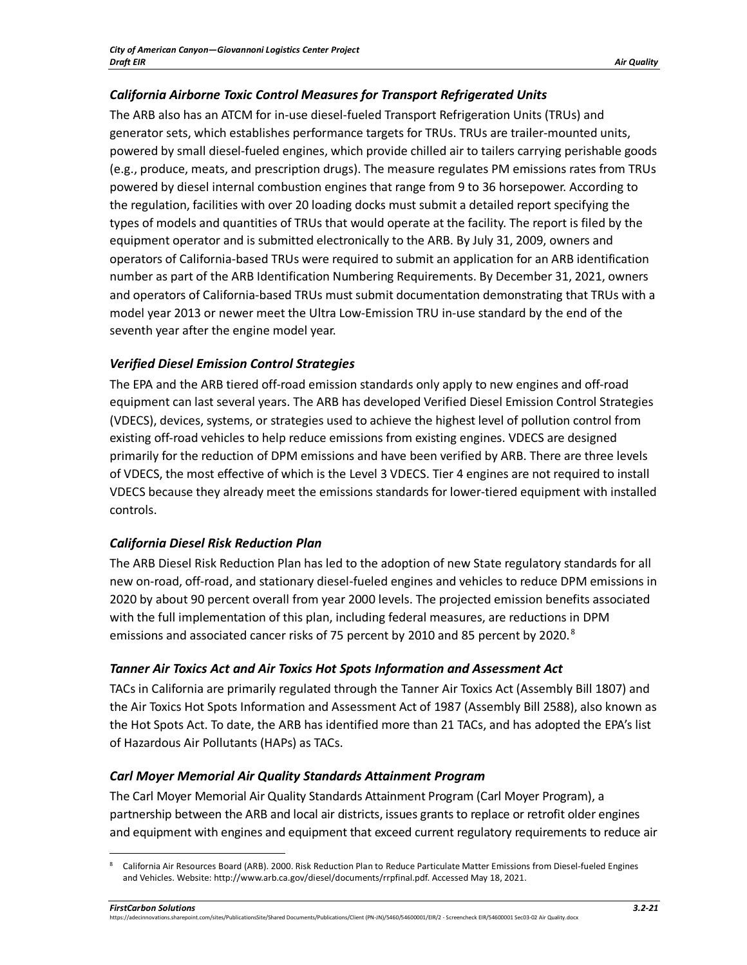# *California Airborne Toxic Control Measures for Transport Refrigerated Units*

The ARB also has an ATCM for in-use diesel-fueled Transport Refrigeration Units (TRUs) and generator sets, which establishes performance targets for TRUs. TRUs are trailer-mounted units, powered by small diesel-fueled engines, which provide chilled air to tailers carrying perishable goods (e.g., produce, meats, and prescription drugs). The measure regulates PM emissions rates from TRUs powered by diesel internal combustion engines that range from 9 to 36 horsepower. According to the regulation, facilities with over 20 loading docks must submit a detailed report specifying the types of models and quantities of TRUs that would operate at the facility. The report is filed by the equipment operator and is submitted electronically to the ARB. By July 31, 2009, owners and operators of California-based TRUs were required to submit an application for an ARB identification number as part of the ARB Identification Numbering Requirements. By December 31, 2021, owners and operators of California-based TRUs must submit documentation demonstrating that TRUs with a model year 2013 or newer meet the Ultra Low-Emission TRU in-use standard by the end of the seventh year after the engine model year.

# *Verified Diesel Emission Control Strategies*

The EPA and the ARB tiered off-road emission standards only apply to new engines and off-road equipment can last several years. The ARB has developed Verified Diesel Emission Control Strategies (VDECS), devices, systems, or strategies used to achieve the highest level of pollution control from existing off-road vehicles to help reduce emissions from existing engines. VDECS are designed primarily for the reduction of DPM emissions and have been verified by ARB. There are three levels of VDECS, the most effective of which is the Level 3 VDECS. Tier 4 engines are not required to install VDECS because they already meet the emissions standards for lower-tiered equipment with installed controls.

# *California Diesel Risk Reduction Plan*

The ARB Diesel Risk Reduction Plan has led to the adoption of new State regulatory standards for all new on-road, off-road, and stationary diesel-fueled engines and vehicles to reduce DPM emissions in 2020 by about 90 percent overall from year 2000 levels. The projected emission benefits associated with the full implementation of this plan, including federal measures, are reductions in DPM emissions and associated cancer risks of 75 percent by 2010 and [8](#page-20-0)5 percent by 2020.<sup>8</sup>

# *Tanner Air Toxics Act and Air Toxics Hot Spots Information and Assessment Act*

TACs in California are primarily regulated through the Tanner Air Toxics Act (Assembly Bill 1807) and the Air Toxics Hot Spots Information and Assessment Act of 1987 (Assembly Bill 2588), also known as the Hot Spots Act. To date, the ARB has identified more than 21 TACs, and has adopted the EPA's list of Hazardous Air Pollutants (HAPs) as TACs.

# *Carl Moyer Memorial Air Quality Standards Attainment Program*

The Carl Moyer Memorial Air Quality Standards Attainment Program (Carl Moyer Program), a partnership between the ARB and local air districts, issues grants to replace or retrofit older engines and equipment with engines and equipment that exceed current regulatory requirements to reduce air

<span id="page-20-0"></span><sup>8</sup> California Air Resources Board (ARB). 2000. Risk Reduction Plan to Reduce Particulate Matter Emissions from Diesel-fueled Engines and Vehicles. Website: http://www.arb.ca.gov/diesel/documents/rrpfinal.pdf. Accessed May 18, 2021.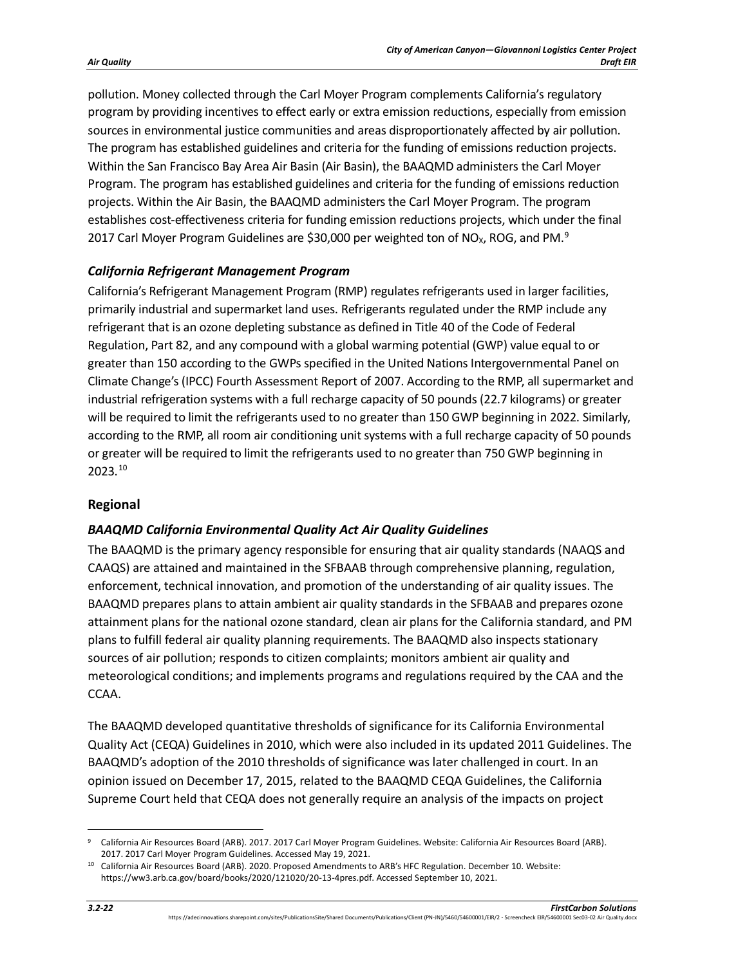pollution. Money collected through the Carl Moyer Program complements California's regulatory program by providing incentives to effect early or extra emission reductions, especially from emission sources in environmental justice communities and areas disproportionately affected by air pollution. The program has established guidelines and criteria for the funding of emissions reduction projects. Within the San Francisco Bay Area Air Basin (Air Basin), the BAAQMD administers the Carl Moyer Program. The program has established guidelines and criteria for the funding of emissions reduction projects. Within the Air Basin, the BAAQMD administers the Carl Moyer Program. The program establishes cost-effectiveness criteria for funding emission reductions projects, which under the final 2017 Carl Moyer Program Guidelines are \$30,000 per weighted ton of NO<sub>x</sub>, ROG, and PM.<sup>[9](#page-21-0)</sup>

## *California Refrigerant Management Program*

California's Refrigerant Management Program (RMP) regulates refrigerants used in larger facilities, primarily industrial and supermarket land uses. Refrigerants regulated under the RMP include any refrigerant that is an ozone depleting substance as defined in Title 40 of the Code of Federal Regulation, Part 82, and any compound with a global warming potential (GWP) value equal to or greater than 150 according to the GWPs specified in the United Nations Intergovernmental Panel on Climate Change's (IPCC) Fourth Assessment Report of 2007. According to the RMP, all supermarket and industrial refrigeration systems with a full recharge capacity of 50 pounds (22.7 kilograms) or greater will be required to limit the refrigerants used to no greater than 150 GWP beginning in 2022. Similarly, according to the RMP, all room air conditioning unit systems with a full recharge capacity of 50 pounds or greater will be required to limit the refrigerants used to no greater than 750 GWP beginning in 2023.[10](#page-21-1)

#### **Regional**

# *BAAQMD California Environmental Quality Act Air Quality Guidelines*

The BAAQMD is the primary agency responsible for ensuring that air quality standards (NAAQS and CAAQS) are attained and maintained in the SFBAAB through comprehensive planning, regulation, enforcement, technical innovation, and promotion of the understanding of air quality issues. The BAAQMD prepares plans to attain ambient air quality standards in the SFBAAB and prepares ozone attainment plans for the national ozone standard, clean air plans for the California standard, and PM plans to fulfill federal air quality planning requirements. The BAAQMD also inspects stationary sources of air pollution; responds to citizen complaints; monitors ambient air quality and meteorological conditions; and implements programs and regulations required by the CAA and the CCAA.

The BAAQMD developed quantitative thresholds of significance for its California Environmental Quality Act (CEQA) Guidelines in 2010, which were also included in its updated 2011 Guidelines. The BAAQMD's adoption of the 2010 thresholds of significance was later challenged in court. In an opinion issued on December 17, 2015, related to the BAAQMD CEQA Guidelines, the California Supreme Court held that CEQA does not generally require an analysis of the impacts on project

<span id="page-21-0"></span><sup>9</sup> California Air Resources Board (ARB). 2017. 2017 Carl Moyer Program Guidelines. Website: California Air Resources Board (ARB). 2017. 2017 Carl Moyer Program Guidelines. Accessed May 19, 2021.

<span id="page-21-1"></span><sup>10</sup> California Air Resources Board (ARB). 2020. Proposed Amendments to ARB's HFC Regulation. December 10. Website: https://ww3.arb.ca.gov/board/books/2020/121020/20-13-4pres.pdf. Accessed September 10, 2021.

https://adecinnovations.sharepoint.com/sites/PublicationsSite/Shared Documents/Publications/Client (PN-JN)/5460/54600001/EIR/2 - Screencheck EIR/54600001 Sec03-02 Air Quality.docx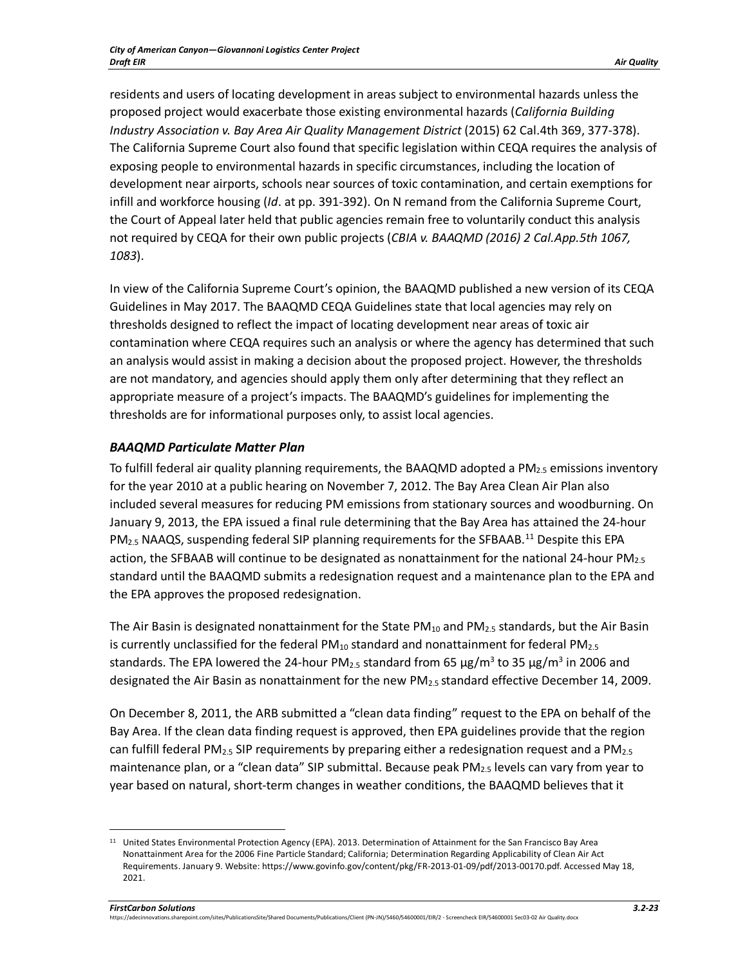residents and users of locating development in areas subject to environmental hazards unless the proposed project would exacerbate those existing environmental hazards (*California Building Industry Association v. Bay Area Air Quality Management District* (2015) 62 Cal.4th 369, 377-378). The California Supreme Court also found that specific legislation within CEQA requires the analysis of exposing people to environmental hazards in specific circumstances, including the location of development near airports, schools near sources of toxic contamination, and certain exemptions for infill and workforce housing (*Id*. at pp. 391-392). On N remand from the California Supreme Court, the Court of Appeal later held that public agencies remain free to voluntarily conduct this analysis not required by CEQA for their own public projects (*CBIA v. BAAQMD (2016) 2 Cal.App.5th 1067, 1083*).

In view of the California Supreme Court's opinion, the BAAQMD published a new version of its CEQA Guidelines in May 2017. The BAAQMD CEQA Guidelines state that local agencies may rely on thresholds designed to reflect the impact of locating development near areas of toxic air contamination where CEQA requires such an analysis or where the agency has determined that such an analysis would assist in making a decision about the proposed project. However, the thresholds are not mandatory, and agencies should apply them only after determining that they reflect an appropriate measure of a project's impacts. The BAAQMD's guidelines for implementing the thresholds are for informational purposes only, to assist local agencies.

# *BAAQMD Particulate Matter Plan*

To fulfill federal air quality planning requirements, the BAAQMD adopted a PM<sub>2.5</sub> emissions inventory for the year 2010 at a public hearing on November 7, 2012. The Bay Area Clean Air Plan also included several measures for reducing PM emissions from stationary sources and woodburning. On January 9, 2013, the EPA issued a final rule determining that the Bay Area has attained the 24-hour  $PM_{2.5}$  NAAQS, suspending federal SIP planning requirements for the SFBAAB.<sup>[11](#page-22-0)</sup> Despite this EPA action, the SFBAAB will continue to be designated as nonattainment for the national 24-hour PM<sub>2.5</sub> standard until the BAAQMD submits a redesignation request and a maintenance plan to the EPA and the EPA approves the proposed redesignation.

The Air Basin is designated nonattainment for the State PM<sub>10</sub> and PM<sub>2.5</sub> standards, but the Air Basin is currently unclassified for the federal  $PM_{10}$  standard and nonattainment for federal PM<sub>2.5</sub> standards. The EPA lowered the 24-hour PM<sub>2.5</sub> standard from 65  $\mu$ g/m<sup>3</sup> to 35  $\mu$ g/m<sup>3</sup> in 2006 and designated the Air Basin as nonattainment for the new PM2.5 standard effective December 14, 2009.

On December 8, 2011, the ARB submitted a "clean data finding" request to the EPA on behalf of the Bay Area. If the clean data finding request is approved, then EPA guidelines provide that the region can fulfill federal PM<sub>2.5</sub> SIP requirements by preparing either a redesignation request and a PM<sub>2.5</sub> maintenance plan, or a "clean data" SIP submittal. Because peak PM<sub>2.5</sub> levels can vary from year to year based on natural, short-term changes in weather conditions, the BAAQMD believes that it

<span id="page-22-0"></span><sup>&</sup>lt;sup>11</sup> United States Environmental Protection Agency (EPA). 2013. Determination of Attainment for the San Francisco Bay Area Nonattainment Area for the 2006 Fine Particle Standard; California; Determination Regarding Applicability of Clean Air Act Requirements. January 9. Website: https://www.govinfo.gov/content/pkg/FR-2013-01-09/pdf/2013-00170.pdf. Accessed May 18, 2021.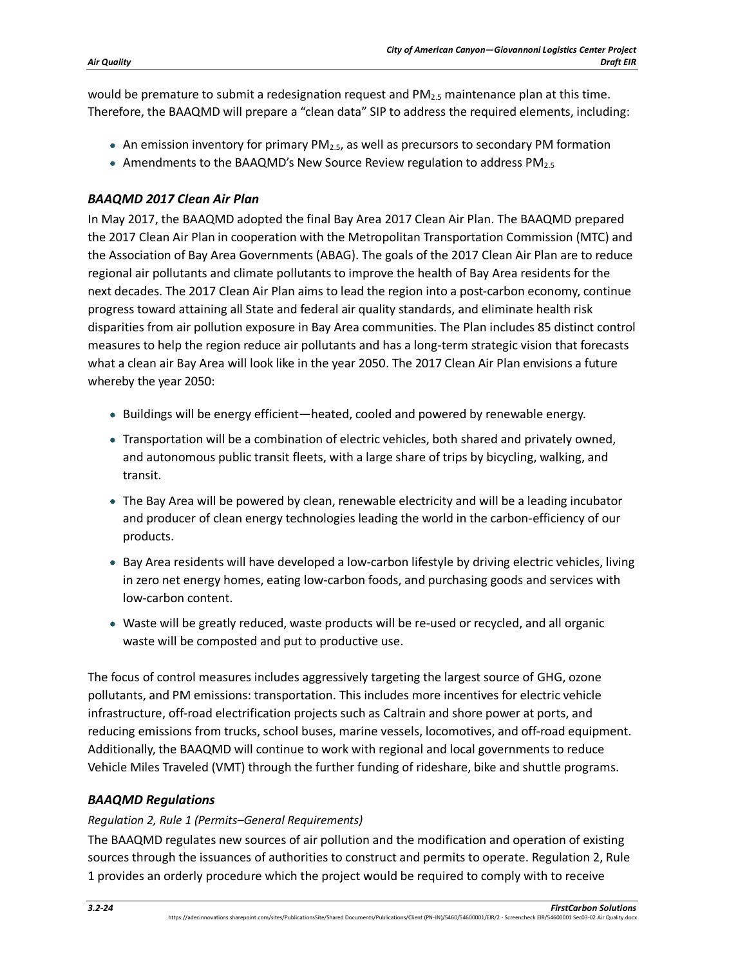would be premature to submit a redesignation request and  $PM_{2.5}$  maintenance plan at this time. Therefore, the BAAQMD will prepare a "clean data" SIP to address the required elements, including:

- An emission inventory for primary  $PM_{2.5}$ , as well as precursors to secondary PM formation
- Amendments to the BAAQMD's New Source Review regulation to address  $PM_{2.5}$

## *BAAQMD 2017 Clean Air Plan*

In May 2017, the BAAQMD adopted the final Bay Area 2017 Clean Air Plan. The BAAQMD prepared the 2017 Clean Air Plan in cooperation with the Metropolitan Transportation Commission (MTC) and the Association of Bay Area Governments (ABAG). The goals of the 2017 Clean Air Plan are to reduce regional air pollutants and climate pollutants to improve the health of Bay Area residents for the next decades. The 2017 Clean Air Plan aims to lead the region into a post-carbon economy, continue progress toward attaining all State and federal air quality standards, and eliminate health risk disparities from air pollution exposure in Bay Area communities. The Plan includes 85 distinct control measures to help the region reduce air pollutants and has a long-term strategic vision that forecasts what a clean air Bay Area will look like in the year 2050. The 2017 Clean Air Plan envisions a future whereby the year 2050:

- Buildings will be energy efficient—heated, cooled and powered by renewable energy.
- Transportation will be a combination of electric vehicles, both shared and privately owned, and autonomous public transit fleets, with a large share of trips by bicycling, walking, and transit.
- The Bay Area will be powered by clean, renewable electricity and will be a leading incubator and producer of clean energy technologies leading the world in the carbon-efficiency of our products.
- Bay Area residents will have developed a low-carbon lifestyle by driving electric vehicles, living in zero net energy homes, eating low-carbon foods, and purchasing goods and services with low-carbon content.
- Waste will be greatly reduced, waste products will be re-used or recycled, and all organic waste will be composted and put to productive use.

The focus of control measures includes aggressively targeting the largest source of GHG, ozone pollutants, and PM emissions: transportation. This includes more incentives for electric vehicle infrastructure, off-road electrification projects such as Caltrain and shore power at ports, and reducing emissions from trucks, school buses, marine vessels, locomotives, and off-road equipment. Additionally, the BAAQMD will continue to work with regional and local governments to reduce Vehicle Miles Traveled (VMT) through the further funding of rideshare, bike and shuttle programs.

# *BAAQMD Regulations*

#### *Regulation 2, Rule 1 (Permits–General Requirements)*

The BAAQMD regulates new sources of air pollution and the modification and operation of existing sources through the issuances of authorities to construct and permits to operate. Regulation 2, Rule 1 provides an orderly procedure which the project would be required to comply with to receive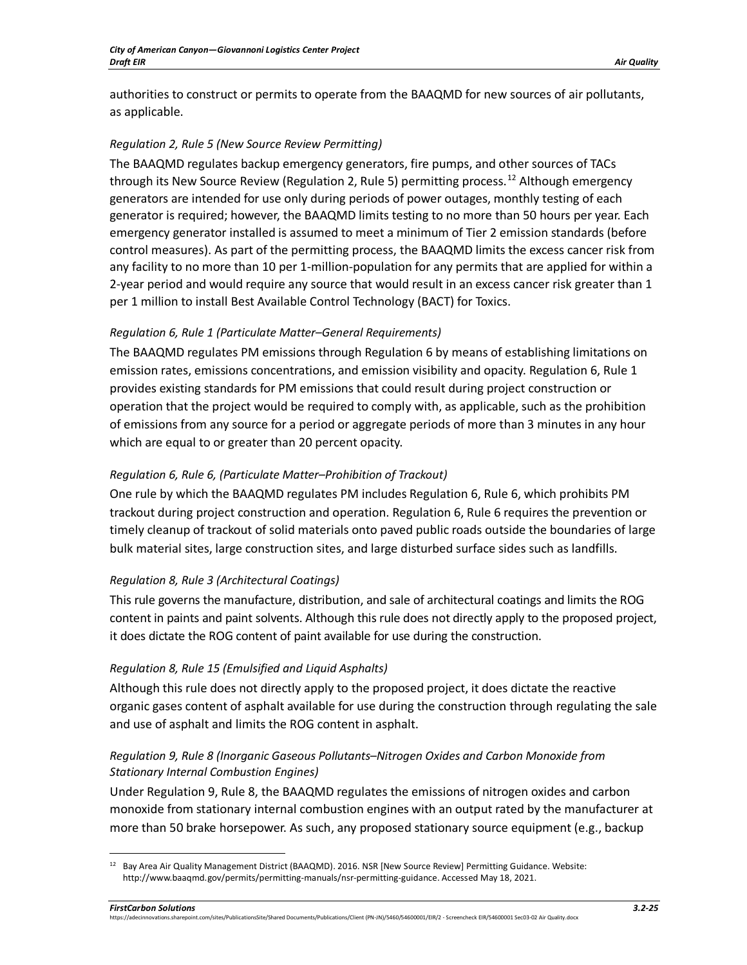authorities to construct or permits to operate from the BAAQMD for new sources of air pollutants, as applicable.

## *Regulation 2, Rule 5 (New Source Review Permitting)*

The BAAQMD regulates backup emergency generators, fire pumps, and other sources of TACs through its New Source Review (Regulation 2, Rule 5) permitting process.<sup>[12](#page-24-0)</sup> Although emergency generators are intended for use only during periods of power outages, monthly testing of each generator is required; however, the BAAQMD limits testing to no more than 50 hours per year. Each emergency generator installed is assumed to meet a minimum of Tier 2 emission standards (before control measures). As part of the permitting process, the BAAQMD limits the excess cancer risk from any facility to no more than 10 per 1-million-population for any permits that are applied for within a 2-year period and would require any source that would result in an excess cancer risk greater than 1 per 1 million to install Best Available Control Technology (BACT) for Toxics.

## *Regulation 6, Rule 1 (Particulate Matter–General Requirements)*

The BAAQMD regulates PM emissions through Regulation 6 by means of establishing limitations on emission rates, emissions concentrations, and emission visibility and opacity. Regulation 6, Rule 1 provides existing standards for PM emissions that could result during project construction or operation that the project would be required to comply with, as applicable, such as the prohibition of emissions from any source for a period or aggregate periods of more than 3 minutes in any hour which are equal to or greater than 20 percent opacity.

## *Regulation 6, Rule 6, (Particulate Matter–Prohibition of Trackout)*

One rule by which the BAAQMD regulates PM includes Regulation 6, Rule 6, which prohibits PM trackout during project construction and operation. Regulation 6, Rule 6 requires the prevention or timely cleanup of trackout of solid materials onto paved public roads outside the boundaries of large bulk material sites, large construction sites, and large disturbed surface sides such as landfills.

# *Regulation 8, Rule 3 (Architectural Coatings)*

This rule governs the manufacture, distribution, and sale of architectural coatings and limits the ROG content in paints and paint solvents. Although this rule does not directly apply to the proposed project, it does dictate the ROG content of paint available for use during the construction.

#### *Regulation 8, Rule 15 (Emulsified and Liquid Asphalts)*

Although this rule does not directly apply to the proposed project, it does dictate the reactive organic gases content of asphalt available for use during the construction through regulating the sale and use of asphalt and limits the ROG content in asphalt.

# *Regulation 9, Rule 8 (Inorganic Gaseous Pollutants–Nitrogen Oxides and Carbon Monoxide from Stationary Internal Combustion Engines)*

Under Regulation 9, Rule 8, the BAAQMD regulates the emissions of nitrogen oxides and carbon monoxide from stationary internal combustion engines with an output rated by the manufacturer at more than 50 brake horsepower. As such, any proposed stationary source equipment (e.g., backup

<span id="page-24-0"></span> $12$  Bay Area Air Quality Management District (BAAQMD). 2016. NSR [New Source Review] Permitting Guidance. Website: http://www.baaqmd.gov/permits/permitting-manuals/nsr-permitting-guidance. Accessed May 18, 2021.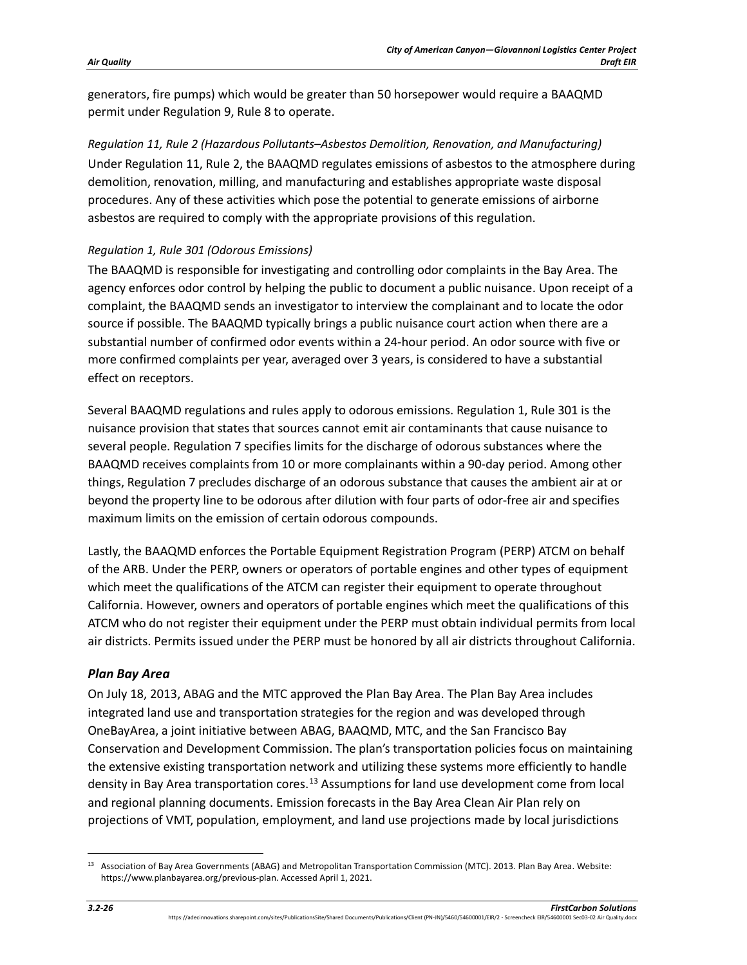generators, fire pumps) which would be greater than 50 horsepower would require a BAAQMD permit under Regulation 9, Rule 8 to operate.

*Regulation 11, Rule 2 (Hazardous Pollutants–Asbestos Demolition, Renovation, and Manufacturing)* Under Regulation 11, Rule 2, the BAAQMD regulates emissions of asbestos to the atmosphere during demolition, renovation, milling, and manufacturing and establishes appropriate waste disposal procedures. Any of these activities which pose the potential to generate emissions of airborne asbestos are required to comply with the appropriate provisions of this regulation.

## *Regulation 1, Rule 301 (Odorous Emissions)*

The BAAQMD is responsible for investigating and controlling odor complaints in the Bay Area. The agency enforces odor control by helping the public to document a public nuisance. Upon receipt of a complaint, the BAAQMD sends an investigator to interview the complainant and to locate the odor source if possible. The BAAQMD typically brings a public nuisance court action when there are a substantial number of confirmed odor events within a 24-hour period. An odor source with five or more confirmed complaints per year, averaged over 3 years, is considered to have a substantial effect on receptors.

Several BAAQMD regulations and rules apply to odorous emissions. Regulation 1, Rule 301 is the nuisance provision that states that sources cannot emit air contaminants that cause nuisance to several people. Regulation 7 specifies limits for the discharge of odorous substances where the BAAQMD receives complaints from 10 or more complainants within a 90-day period. Among other things, Regulation 7 precludes discharge of an odorous substance that causes the ambient air at or beyond the property line to be odorous after dilution with four parts of odor-free air and specifies maximum limits on the emission of certain odorous compounds.

Lastly, the BAAQMD enforces the Portable Equipment Registration Program (PERP) ATCM on behalf of the ARB. Under the PERP, owners or operators of portable engines and other types of equipment which meet the qualifications of the ATCM can register their equipment to operate throughout California. However, owners and operators of portable engines which meet the qualifications of this ATCM who do not register their equipment under the PERP must obtain individual permits from local air districts. Permits issued under the PERP must be honored by all air districts throughout California.

# *Plan Bay Area*

On July 18, 2013, ABAG and the MTC approved the Plan Bay Area. The Plan Bay Area includes integrated land use and transportation strategies for the region and was developed through OneBayArea, a joint initiative between ABAG, BAAQMD, MTC, and the San Francisco Bay Conservation and Development Commission. The plan's transportation policies focus on maintaining the extensive existing transportation network and utilizing these systems more efficiently to handle density in Bay Area transportation cores.<sup>[13](#page-25-0)</sup> Assumptions for land use development come from local and regional planning documents. Emission forecasts in the Bay Area Clean Air Plan rely on projections of VMT, population, employment, and land use projections made by local jurisdictions

<span id="page-25-0"></span><sup>&</sup>lt;sup>13</sup> Association of Bay Area Governments (ABAG) and Metropolitan Transportation Commission (MTC). 2013. Plan Bay Area. Website: https://www.planbayarea.org/previous-plan. Accessed April 1, 2021.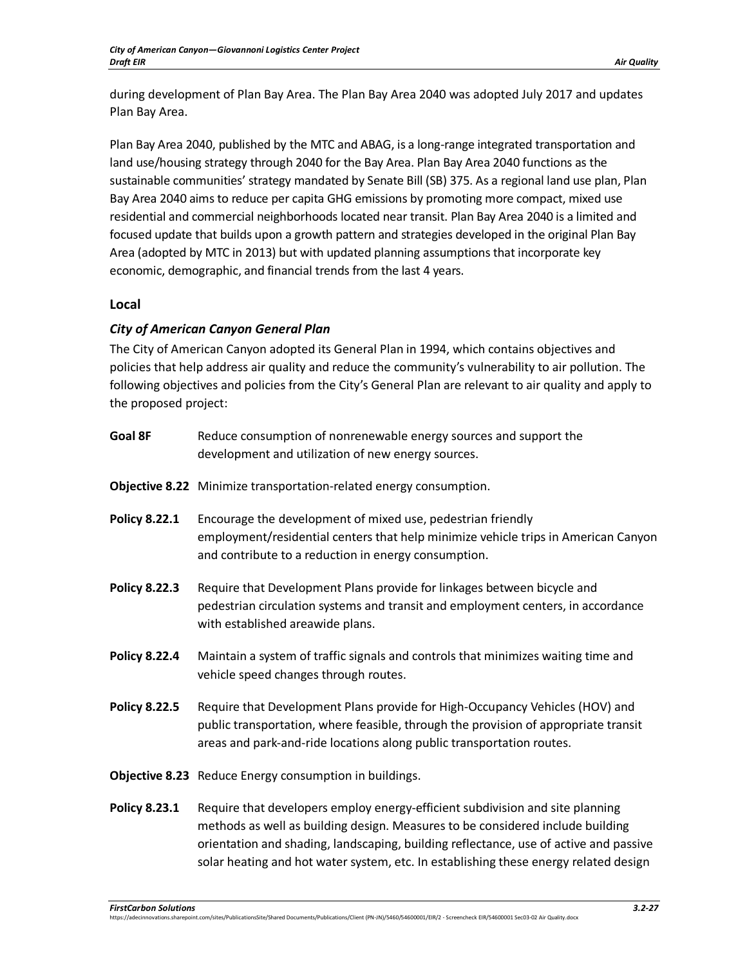during development of Plan Bay Area. The Plan Bay Area 2040 was adopted July 2017 and updates Plan Bay Area.

Plan Bay Area 2040, published by the MTC and ABAG, is a long-range integrated transportation and land use/housing strategy through 2040 for the Bay Area. Plan Bay Area 2040 functions as the sustainable communities' strategy mandated by Senate Bill (SB) 375. As a regional land use plan, Plan Bay Area 2040 aims to reduce per capita GHG emissions by promoting more compact, mixed use residential and commercial neighborhoods located near transit. Plan Bay Area 2040 is a limited and focused update that builds upon a growth pattern and strategies developed in the original Plan Bay Area (adopted by MTC in 2013) but with updated planning assumptions that incorporate key economic, demographic, and financial trends from the last 4 years.

# **Local**

# *City of American Canyon General Plan*

The City of American Canyon adopted its General Plan in 1994, which contains objectives and policies that help address air quality and reduce the community's vulnerability to air pollution. The following objectives and policies from the City's General Plan are relevant to air quality and apply to the proposed project:

| Goal 8F              | Reduce consumption of nonrenewable energy sources and support the<br>development and utilization of new energy sources.                                                                                                                                                                                                                          |
|----------------------|--------------------------------------------------------------------------------------------------------------------------------------------------------------------------------------------------------------------------------------------------------------------------------------------------------------------------------------------------|
|                      | Objective 8.22 Minimize transportation-related energy consumption.                                                                                                                                                                                                                                                                               |
| <b>Policy 8.22.1</b> | Encourage the development of mixed use, pedestrian friendly<br>employment/residential centers that help minimize vehicle trips in American Canyon<br>and contribute to a reduction in energy consumption.                                                                                                                                        |
| <b>Policy 8.22.3</b> | Require that Development Plans provide for linkages between bicycle and<br>pedestrian circulation systems and transit and employment centers, in accordance<br>with established areawide plans.                                                                                                                                                  |
| <b>Policy 8.22.4</b> | Maintain a system of traffic signals and controls that minimizes waiting time and<br>vehicle speed changes through routes.                                                                                                                                                                                                                       |
| <b>Policy 8.22.5</b> | Require that Development Plans provide for High-Occupancy Vehicles (HOV) and<br>public transportation, where feasible, through the provision of appropriate transit<br>areas and park-and-ride locations along public transportation routes.                                                                                                     |
|                      | Objective 8.23 Reduce Energy consumption in buildings.                                                                                                                                                                                                                                                                                           |
| <b>Policy 8.23.1</b> | Require that developers employ energy-efficient subdivision and site planning<br>methods as well as building design. Measures to be considered include building<br>orientation and shading, landscaping, building reflectance, use of active and passive<br>solar heating and hot water system, etc. In establishing these energy related design |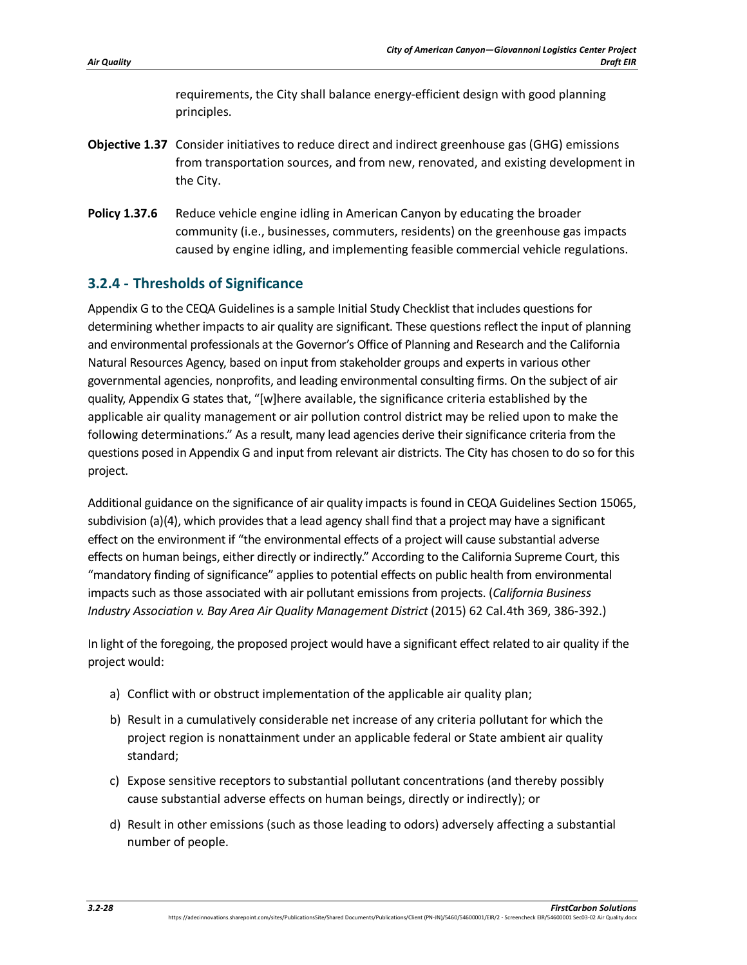requirements, the City shall balance energy-efficient design with good planning principles.

- **Objective 1.37** Consider initiatives to reduce direct and indirect greenhouse gas (GHG) emissions from transportation sources, and from new, renovated, and existing development in the City.
- **Policy 1.37.6** Reduce vehicle engine idling in American Canyon by educating the broader community (i.e., businesses, commuters, residents) on the greenhouse gas impacts caused by engine idling, and implementing feasible commercial vehicle regulations.

# **3.2.4 - Thresholds of Significance**

Appendix G to the CEQA Guidelines is a sample Initial Study Checklist that includes questions for determining whether impacts to air quality are significant. These questions reflect the input of planning and environmental professionals at the Governor's Office of Planning and Research and the California Natural Resources Agency, based on input from stakeholder groups and experts in various other governmental agencies, nonprofits, and leading environmental consulting firms. On the subject of air quality, Appendix G states that, "[w]here available, the significance criteria established by the applicable air quality management or air pollution control district may be relied upon to make the following determinations." As a result, many lead agencies derive their significance criteria from the questions posed in Appendix G and input from relevant air districts. The City has chosen to do so for this project.

Additional guidance on the significance of air quality impacts is found in CEQA Guidelines Section 15065, subdivision (a)(4), which provides that a lead agency shall find that a project may have a significant effect on the environment if "the environmental effects of a project will cause substantial adverse effects on human beings, either directly or indirectly." According to the California Supreme Court, this "mandatory finding of significance" applies to potential effects on public health from environmental impacts such as those associated with air pollutant emissions from projects. (*California Business Industry Association v. Bay Area Air Quality Management District* (2015) 62 Cal.4th 369, 386-392.)

In light of the foregoing, the proposed project would have a significant effect related to air quality if the project would:

- a) Conflict with or obstruct implementation of the applicable air quality plan;
- b) Result in a cumulatively considerable net increase of any criteria pollutant for which the project region is nonattainment under an applicable federal or State ambient air quality standard;
- c) Expose sensitive receptors to substantial pollutant concentrations (and thereby possibly cause substantial adverse effects on human beings, directly or indirectly); or
- d) Result in other emissions (such as those leading to odors) adversely affecting a substantial number of people.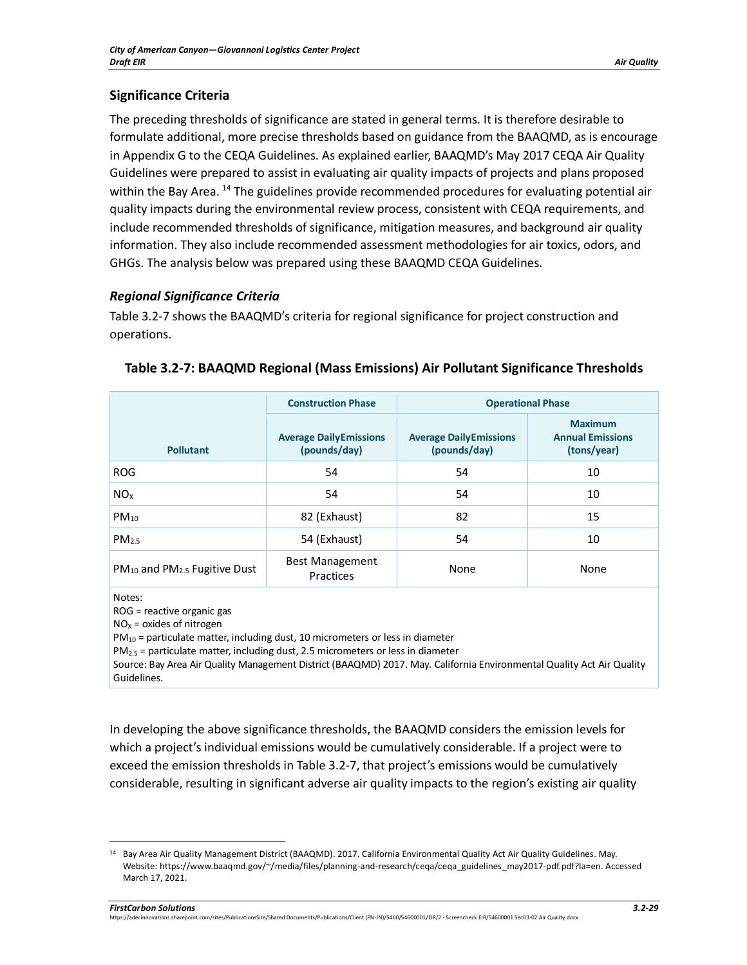# **Significance Criteria**

The preceding thresholds of significance are stated in general terms. It is therefore desirable to formulate additional, more precise thresholds based on guidance from the BAAQMD, as is encourage in Appendix G to the CEQA Guidelines. As explained earlier, BAAQMD's May 2017 CEQA Air Quality Guidelines were prepared to assist in evaluating air quality impacts of projects and plans proposed within the Bay Area. <sup>[14](#page-28-1)</sup> The guidelines provide recommended procedures for evaluating potential air quality impacts during the environmental review process, consistent with CEQA requirements, and include recommended thresholds of significance, mitigation measures, and background air quality information. They also include recommended assessment methodologies for air toxics, odors, and GHGs. The analysis below was prepared using these BAAQMD CEQA Guidelines.

# *Regional Significance Criteria*

[Table 3.2-7](#page-28-0) shows the BAAQMD's criteria for regional significance for project construction and operations.

|                                        | <b>Construction Phase</b>                     | <b>Operational Phase</b>                      |                                                          |
|----------------------------------------|-----------------------------------------------|-----------------------------------------------|----------------------------------------------------------|
| <b>Pollutant</b>                       | <b>Average DailyEmissions</b><br>(pounds/day) | <b>Average DailyEmissions</b><br>(pounds/day) | <b>Maximum</b><br><b>Annual Emissions</b><br>(tons/year) |
| <b>ROG</b>                             | 54                                            | 54                                            | 10                                                       |
| NO <sub>x</sub>                        | 54                                            | 54                                            | 10                                                       |
| $PM_{10}$                              | 82 (Exhaust)                                  | 82                                            | 15                                                       |
| PM <sub>2.5</sub>                      | 54 (Exhaust)                                  | 54                                            | 10                                                       |
| $PM_{10}$ and $PM_{2.5}$ Fugitive Dust | <b>Best Management</b><br>Practices           | None                                          | None                                                     |
|                                        |                                               |                                               |                                                          |

<span id="page-28-0"></span>**Table 3.2-7: BAAQMD Regional (Mass Emissions) Air Pollutant Significance Thresholds**

Notes:

ROG = reactive organic gas

 $NO<sub>x</sub>$  = oxides of nitrogen

 $PM_{10}$  = particulate matter, including dust, 10 micrometers or less in diameter

 $PM<sub>2.5</sub>$  = particulate matter, including dust, 2.5 micrometers or less in diameter

Source: Bay Area Air Quality Management District (BAAQMD) 2017. May. California Environmental Quality Act Air Quality Guidelines.

In developing the above significance thresholds, the BAAQMD considers the emission levels for which a project's individual emissions would be cumulatively considerable. If a project were to exceed the emission thresholds in [Table 3.2-7,](#page-28-0) that project's emissions would be cumulatively considerable, resulting in significant adverse air quality impacts to the region's existing air quality

<span id="page-28-1"></span><sup>14</sup> Bay Area Air Quality Management District (BAAQMD). 2017. California Environmental Quality Act Air Quality Guidelines. May. Website: https://www.baaqmd.gov/~/media/files/planning-and-research/ceqa/ceqa\_guidelines\_may2017-pdf.pdf?la=en. Accessed March 17, 2021.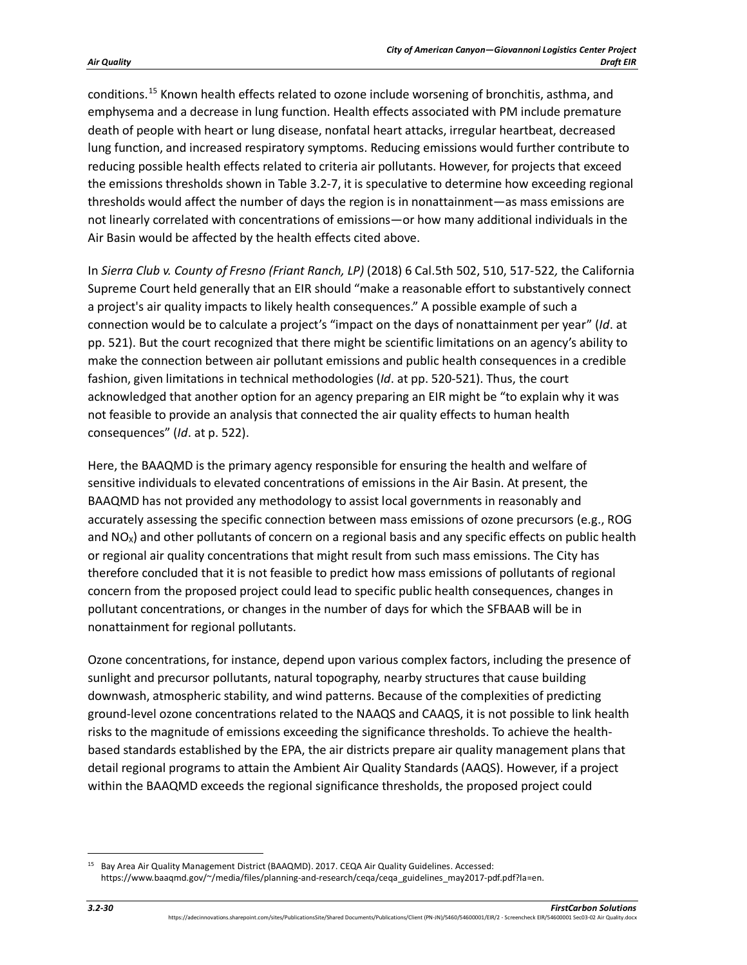conditions.[15](#page-29-0) Known health effects related to ozone include worsening of bronchitis, asthma, and emphysema and a decrease in lung function. Health effects associated with PM include premature death of people with heart or lung disease, nonfatal heart attacks, irregular heartbeat, decreased lung function, and increased respiratory symptoms. Reducing emissions would further contribute to reducing possible health effects related to criteria air pollutants. However, for projects that exceed the emissions thresholds shown in [Table 3.2-7,](#page-28-0) it is speculative to determine how exceeding regional thresholds would affect the number of days the region is in nonattainment—as mass emissions are not linearly correlated with concentrations of emissions—or how many additional individuals in the Air Basin would be affected by the health effects cited above.

In *Sierra Club v. County of Fresno (Friant Ranch, LP)* (2018) 6 Cal.5th 502, 510, 517-522*,* the California Supreme Court held generally that an EIR should "make a reasonable effort to substantively connect a project's air quality impacts to likely health consequences." A possible example of such a connection would be to calculate a project's "impact on the days of nonattainment per year" (*Id*. at pp. 521). But the court recognized that there might be scientific limitations on an agency's ability to make the connection between air pollutant emissions and public health consequences in a credible fashion, given limitations in technical methodologies (*Id*. at pp. 520-521). Thus, the court acknowledged that another option for an agency preparing an EIR might be "to explain why it was not feasible to provide an analysis that connected the air quality effects to human health consequences" (*Id*. at p. 522).

Here, the BAAQMD is the primary agency responsible for ensuring the health and welfare of sensitive individuals to elevated concentrations of emissions in the Air Basin. At present, the BAAQMD has not provided any methodology to assist local governments in reasonably and accurately assessing the specific connection between mass emissions of ozone precursors (e.g., ROG and  $NO<sub>X</sub>$ ) and other pollutants of concern on a regional basis and any specific effects on public health or regional air quality concentrations that might result from such mass emissions. The City has therefore concluded that it is not feasible to predict how mass emissions of pollutants of regional concern from the proposed project could lead to specific public health consequences, changes in pollutant concentrations, or changes in the number of days for which the SFBAAB will be in nonattainment for regional pollutants.

Ozone concentrations, for instance, depend upon various complex factors, including the presence of sunlight and precursor pollutants, natural topography, nearby structures that cause building downwash, atmospheric stability, and wind patterns. Because of the complexities of predicting ground-level ozone concentrations related to the NAAQS and CAAQS, it is not possible to link health risks to the magnitude of emissions exceeding the significance thresholds. To achieve the healthbased standards established by the EPA, the air districts prepare air quality management plans that detail regional programs to attain the Ambient Air Quality Standards (AAQS). However, if a project within the BAAQMD exceeds the regional significance thresholds, the proposed project could

<span id="page-29-0"></span><sup>15</sup> Bay Area Air Quality Management District (BAAQMD). 2017. CEQA Air Quality Guidelines. Accessed: https://www.baaqmd.gov/~/media/files/planning-and-research/ceqa/ceqa\_guidelines\_may2017-pdf.pdf?la=en.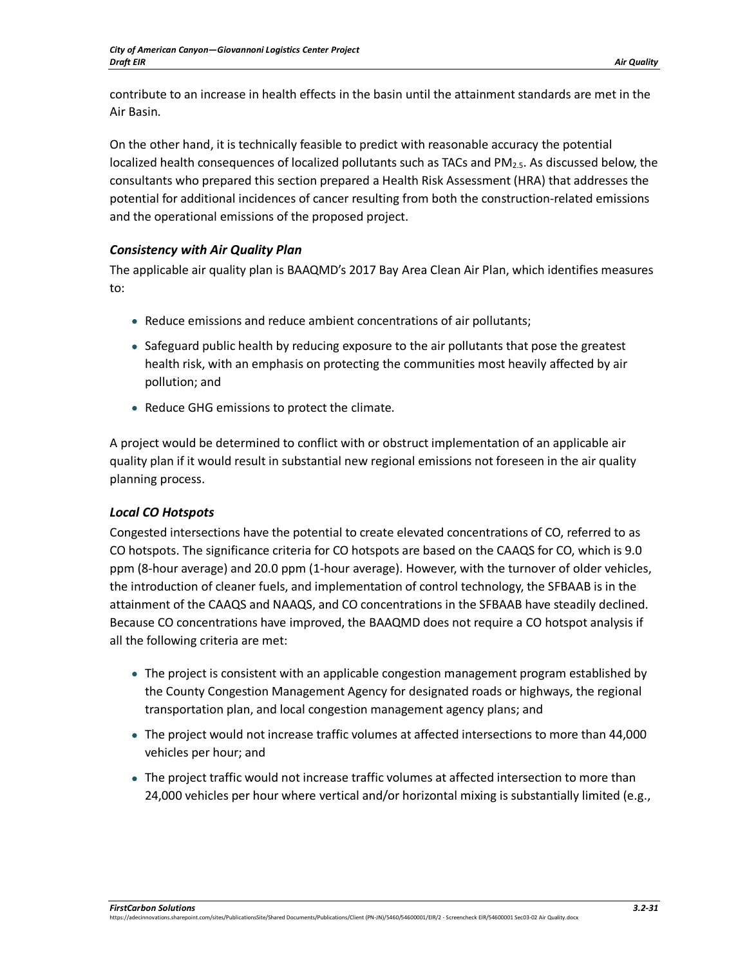contribute to an increase in health effects in the basin until the attainment standards are met in the Air Basin.

On the other hand, it is technically feasible to predict with reasonable accuracy the potential localized health consequences of localized pollutants such as TACs and  $PM_{2.5}$ . As discussed below, the consultants who prepared this section prepared a Health Risk Assessment (HRA) that addresses the potential for additional incidences of cancer resulting from both the construction-related emissions and the operational emissions of the proposed project.

# *Consistency with Air Quality Plan*

The applicable air quality plan is BAAQMD's 2017 Bay Area Clean Air Plan, which identifies measures to:

- Reduce emissions and reduce ambient concentrations of air pollutants;
- Safeguard public health by reducing exposure to the air pollutants that pose the greatest health risk, with an emphasis on protecting the communities most heavily affected by air pollution; and
- Reduce GHG emissions to protect the climate.

A project would be determined to conflict with or obstruct implementation of an applicable air quality plan if it would result in substantial new regional emissions not foreseen in the air quality planning process.

# *Local CO Hotspots*

Congested intersections have the potential to create elevated concentrations of CO, referred to as CO hotspots. The significance criteria for CO hotspots are based on the CAAQS for CO, which is 9.0 ppm (8-hour average) and 20.0 ppm (1-hour average). However, with the turnover of older vehicles, the introduction of cleaner fuels, and implementation of control technology, the SFBAAB is in the attainment of the CAAQS and NAAQS, and CO concentrations in the SFBAAB have steadily declined. Because CO concentrations have improved, the BAAQMD does not require a CO hotspot analysis if all the following criteria are met:

- The project is consistent with an applicable congestion management program established by the County Congestion Management Agency for designated roads or highways, the regional transportation plan, and local congestion management agency plans; and
- The project would not increase traffic volumes at affected intersections to more than 44,000 vehicles per hour; and
- The project traffic would not increase traffic volumes at affected intersection to more than 24,000 vehicles per hour where vertical and/or horizontal mixing is substantially limited (e.g.,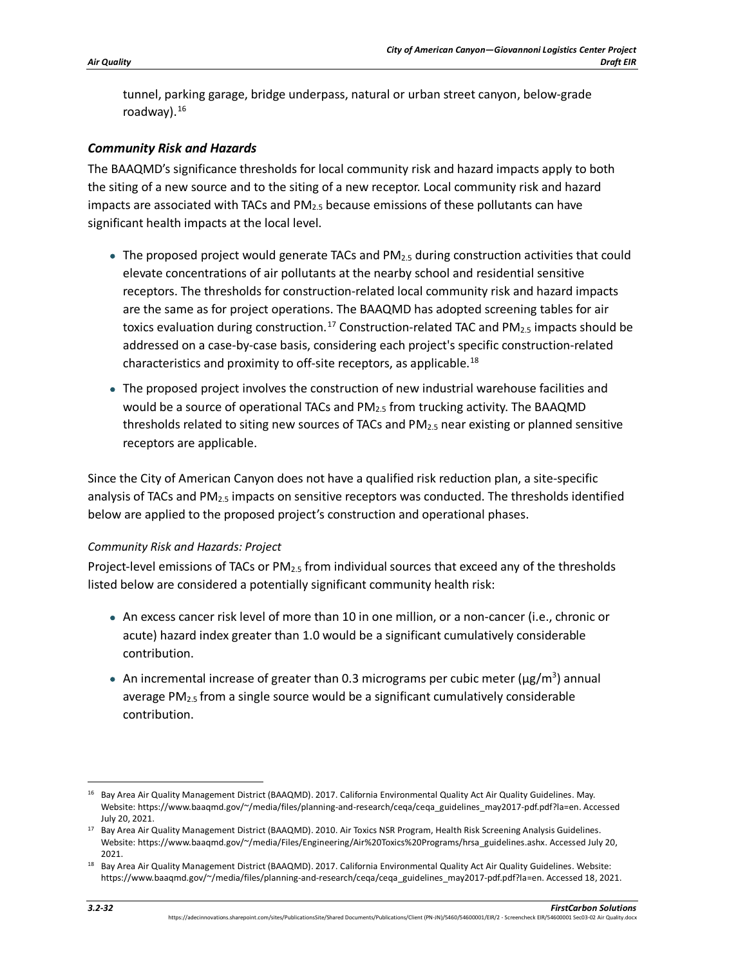tunnel, parking garage, bridge underpass, natural or urban street canyon, below-grade roadway).[16](#page-31-0)

## *Community Risk and Hazards*

The BAAQMD's significance thresholds for local community risk and hazard impacts apply to both the siting of a new source and to the siting of a new receptor. Local community risk and hazard impacts are associated with TACs and  $PM<sub>2.5</sub>$  because emissions of these pollutants can have significant health impacts at the local level.

- $\bullet$  The proposed project would generate TACs and PM $_{2.5}$  during construction activities that could elevate concentrations of air pollutants at the nearby school and residential sensitive receptors. The thresholds for construction-related local community risk and hazard impacts are the same as for project operations. The BAAQMD has adopted screening tables for air toxics evaluation during construction.<sup>[17](#page-31-1)</sup> Construction-related TAC and PM<sub>2.5</sub> impacts should be addressed on a case-by-case basis, considering each project's specific construction-related characteristics and proximity to off-site receptors, as applicable.<sup>18</sup>
- The proposed project involves the construction of new industrial warehouse facilities and would be a source of operational TACs and PM2.5 from trucking activity. The BAAQMD thresholds related to siting new sources of TACs and  $PM_{2.5}$  near existing or planned sensitive receptors are applicable.

Since the City of American Canyon does not have a qualified risk reduction plan, a site-specific analysis of TACs and  $PM_{2.5}$  impacts on sensitive receptors was conducted. The thresholds identified below are applied to the proposed project's construction and operational phases.

#### *Community Risk and Hazards: Project*

Project-level emissions of TACs or  $PM_{2.5}$  from individual sources that exceed any of the thresholds listed below are considered a potentially significant community health risk:

- An excess cancer risk level of more than 10 in one million, or a non-cancer (i.e., chronic or acute) hazard index greater than 1.0 would be a significant cumulatively considerable contribution.
- An incremental increase of greater than 0.3 micrograms per cubic meter ( $\mu$ g/m<sup>3</sup>) annual average  $PM<sub>2.5</sub>$  from a single source would be a significant cumulatively considerable contribution.

<span id="page-31-0"></span><sup>&</sup>lt;sup>16</sup> Bay Area Air Quality Management District (BAAQMD). 2017. California Environmental Quality Act Air Quality Guidelines. May. Website: https://www.baaqmd.gov/~/media/files/planning-and-research/ceqa/ceqa\_guidelines\_may2017-pdf.pdf?la=en. Accessed July 20, 2021.

<span id="page-31-1"></span><sup>&</sup>lt;sup>17</sup> Bay Area Air Quality Management District (BAAQMD). 2010. Air Toxics NSR Program, Health Risk Screening Analysis Guidelines. Website: https://www.baaqmd.gov/~/media/Files/Engineering/Air%20Toxics%20Programs/hrsa\_guidelines.ashx. Accessed July 20, 2021.

<span id="page-31-2"></span><sup>&</sup>lt;sup>18</sup> Bay Area Air Quality Management District (BAAQMD). 2017. California Environmental Quality Act Air Quality Guidelines. Website: https://www.baaqmd.gov/~/media/files/planning-and-research/ceqa/ceqa\_guidelines\_may2017-pdf.pdf?la=en. Accessed 18, 2021.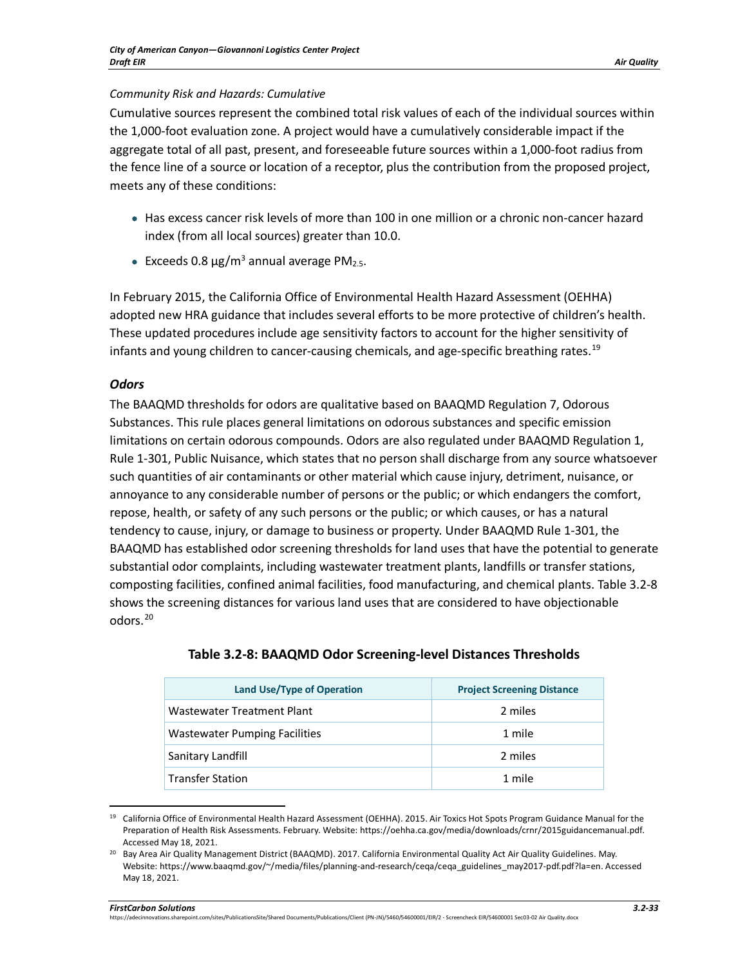#### *Community Risk and Hazards: Cumulative*

Cumulative sources represent the combined total risk values of each of the individual sources within the 1,000-foot evaluation zone. A project would have a cumulatively considerable impact if the aggregate total of all past, present, and foreseeable future sources within a 1,000-foot radius from the fence line of a source or location of a receptor, plus the contribution from the proposed project, meets any of these conditions:

- Has excess cancer risk levels of more than 100 in one million or a chronic non-cancer hazard index (from all local sources) greater than 10.0.
- Exceeds 0.8  $\mu$ g/m<sup>3</sup> annual average PM<sub>2.5</sub>.

In February 2015, the California Office of Environmental Health Hazard Assessment (OEHHA) adopted new HRA guidance that includes several efforts to be more protective of children's health. These updated procedures include age sensitivity factors to account for the higher sensitivity of infants and young children to cancer-causing chemicals, and age-specific breathing rates.<sup>[19](#page-32-1)</sup>

## *Odors*

The BAAQMD thresholds for odors are qualitative based on BAAQMD Regulation 7, Odorous Substances. This rule places general limitations on odorous substances and specific emission limitations on certain odorous compounds. Odors are also regulated under BAAQMD Regulation 1, Rule 1-301, Public Nuisance, which states that no person shall discharge from any source whatsoever such quantities of air contaminants or other material which cause injury, detriment, nuisance, or annoyance to any considerable number of persons or the public; or which endangers the comfort, repose, health, or safety of any such persons or the public; or which causes, or has a natural tendency to cause, injury, or damage to business or property. Under BAAQMD Rule 1-301, the BAAQMD has established odor screening thresholds for land uses that have the potential to generate substantial odor complaints, including wastewater treatment plants, landfills or transfer stations, composting facilities, confined animal facilities, food manufacturing, and chemical plants. [Table 3.2-8](#page-32-0) shows the screening distances for various land uses that are considered to have objectionable odors.[20](#page-32-2)

<span id="page-32-0"></span>

| Land Use/Type of Operation    | <b>Project Screening Distance</b> |
|-------------------------------|-----------------------------------|
| Wastewater Treatment Plant    | 2 miles                           |
| Wastewater Pumping Facilities | 1 mile                            |
| Sanitary Landfill             | 2 miles                           |
| <b>Transfer Station</b>       | 1 mile                            |

# **Table 3.2-8: BAAQMD Odor Screening-level Distances Thresholds**

<span id="page-32-1"></span><sup>&</sup>lt;sup>19</sup> California Office of Environmental Health Hazard Assessment (OEHHA). 2015. Air Toxics Hot Spots Program Guidance Manual for the Preparation of Health Risk Assessments. February. Website: https://oehha.ca.gov/media/downloads/crnr/2015guidancemanual.pdf. Accessed May 18, 2021.

<span id="page-32-2"></span><sup>&</sup>lt;sup>20</sup> Bay Area Air Quality Management District (BAAQMD). 2017. California Environmental Quality Act Air Quality Guidelines. May. Website: https://www.baaqmd.gov/~/media/files/planning-and-research/ceqa/ceqa\_guidelines\_may2017-pdf.pdf?la=en. Accessed May 18, 2021.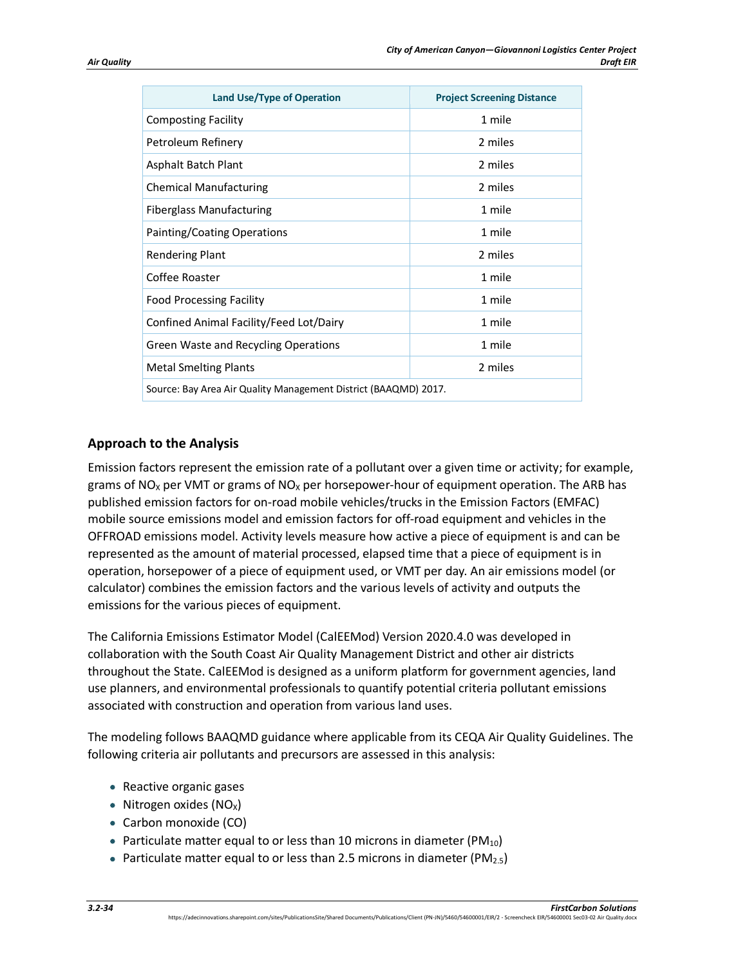| <b>Land Use/Type of Operation</b>                               | <b>Project Screening Distance</b> |  |
|-----------------------------------------------------------------|-----------------------------------|--|
| <b>Composting Facility</b>                                      | 1 mile                            |  |
| Petroleum Refinery                                              | 2 miles                           |  |
| Asphalt Batch Plant                                             | 2 miles                           |  |
| <b>Chemical Manufacturing</b>                                   | 2 miles                           |  |
| <b>Fiberglass Manufacturing</b>                                 | 1 mile                            |  |
| Painting/Coating Operations                                     | 1 mile                            |  |
| <b>Rendering Plant</b>                                          | 2 miles                           |  |
| Coffee Roaster                                                  | 1 mile                            |  |
| <b>Food Processing Facility</b>                                 | 1 mile                            |  |
| Confined Animal Facility/Feed Lot/Dairy                         | 1 mile                            |  |
| <b>Green Waste and Recycling Operations</b>                     | 1 mile                            |  |
| <b>Metal Smelting Plants</b>                                    | 2 miles                           |  |
| Source: Bay Area Air Quality Management District (BAAQMD) 2017. |                                   |  |

# **Approach to the Analysis**

Emission factors represent the emission rate of a pollutant over a given time or activity; for example, grams of NO<sub>x</sub> per VMT or grams of NO<sub>x</sub> per horsepower-hour of equipment operation. The ARB has published emission factors for on-road mobile vehicles/trucks in the Emission Factors (EMFAC) mobile source emissions model and emission factors for off-road equipment and vehicles in the OFFROAD emissions model. Activity levels measure how active a piece of equipment is and can be represented as the amount of material processed, elapsed time that a piece of equipment is in operation, horsepower of a piece of equipment used, or VMT per day. An air emissions model (or calculator) combines the emission factors and the various levels of activity and outputs the emissions for the various pieces of equipment.

The California Emissions Estimator Model (CalEEMod) Version 2020.4.0 was developed in collaboration with the South Coast Air Quality Management District and other air districts throughout the State. CalEEMod is designed as a uniform platform for government agencies, land use planners, and environmental professionals to quantify potential criteria pollutant emissions associated with construction and operation from various land uses.

The modeling follows BAAQMD guidance where applicable from its CEQA Air Quality Guidelines. The following criteria air pollutants and precursors are assessed in this analysis:

- Reactive organic gases
- Nitrogen oxides  $(NO<sub>x</sub>)$
- Carbon monoxide (CO)
- Particulate matter equal to or less than 10 microns in diameter (PM<sub>10</sub>)
- Particulate matter equal to or less than 2.5 microns in diameter (PM<sub>2.5</sub>)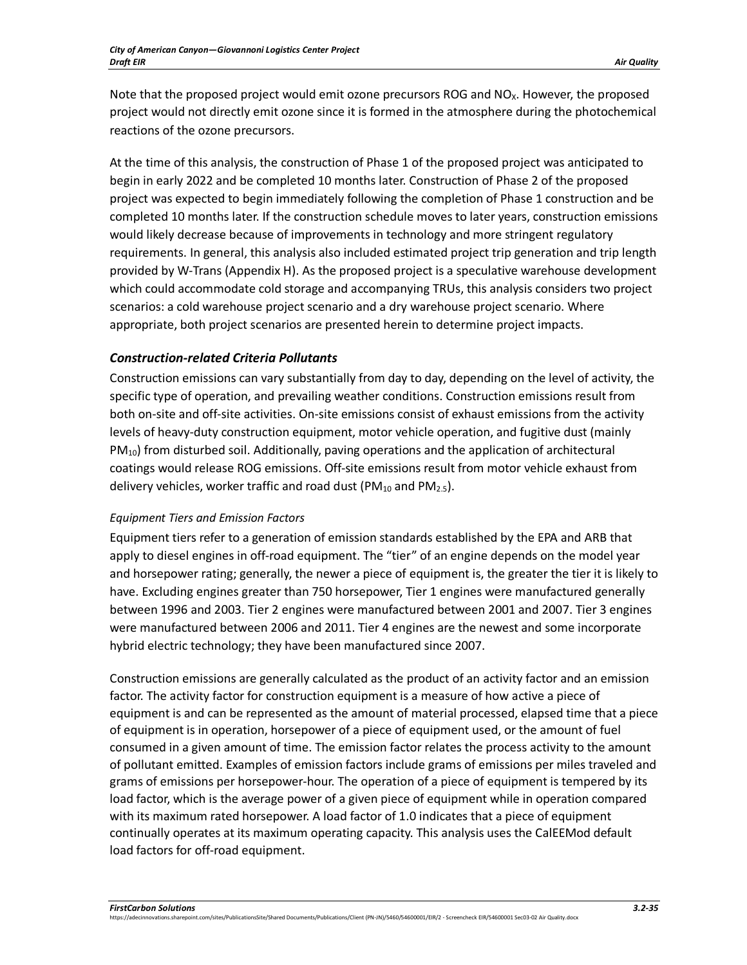Note that the proposed project would emit ozone precursors ROG and NO<sub>x</sub>. However, the proposed project would not directly emit ozone since it is formed in the atmosphere during the photochemical reactions of the ozone precursors.

At the time of this analysis, the construction of Phase 1 of the proposed project was anticipated to begin in early 2022 and be completed 10 months later. Construction of Phase 2 of the proposed project was expected to begin immediately following the completion of Phase 1 construction and be completed 10 months later. If the construction schedule moves to later years, construction emissions would likely decrease because of improvements in technology and more stringent regulatory requirements. In general, this analysis also included estimated project trip generation and trip length provided by W-Trans (Appendix H). As the proposed project is a speculative warehouse development which could accommodate cold storage and accompanying TRUs, this analysis considers two project scenarios: a cold warehouse project scenario and a dry warehouse project scenario. Where appropriate, both project scenarios are presented herein to determine project impacts.

# *Construction-related Criteria Pollutants*

Construction emissions can vary substantially from day to day, depending on the level of activity, the specific type of operation, and prevailing weather conditions. Construction emissions result from both on-site and off-site activities. On-site emissions consist of exhaust emissions from the activity levels of heavy-duty construction equipment, motor vehicle operation, and fugitive dust (mainly  $PM_{10}$ ) from disturbed soil. Additionally, paving operations and the application of architectural coatings would release ROG emissions. Off-site emissions result from motor vehicle exhaust from delivery vehicles, worker traffic and road dust (PM<sub>10</sub> and PM<sub>2.5</sub>).

#### *Equipment Tiers and Emission Factors*

Equipment tiers refer to a generation of emission standards established by the EPA and ARB that apply to diesel engines in off-road equipment. The "tier" of an engine depends on the model year and horsepower rating; generally, the newer a piece of equipment is, the greater the tier it is likely to have. Excluding engines greater than 750 horsepower, Tier 1 engines were manufactured generally between 1996 and 2003. Tier 2 engines were manufactured between 2001 and 2007. Tier 3 engines were manufactured between 2006 and 2011. Tier 4 engines are the newest and some incorporate hybrid electric technology; they have been manufactured since 2007.

Construction emissions are generally calculated as the product of an activity factor and an emission factor. The activity factor for construction equipment is a measure of how active a piece of equipment is and can be represented as the amount of material processed, elapsed time that a piece of equipment is in operation, horsepower of a piece of equipment used, or the amount of fuel consumed in a given amount of time. The emission factor relates the process activity to the amount of pollutant emitted. Examples of emission factors include grams of emissions per miles traveled and grams of emissions per horsepower-hour. The operation of a piece of equipment is tempered by its load factor, which is the average power of a given piece of equipment while in operation compared with its maximum rated horsepower. A load factor of 1.0 indicates that a piece of equipment continually operates at its maximum operating capacity. This analysis uses the CalEEMod default load factors for off-road equipment.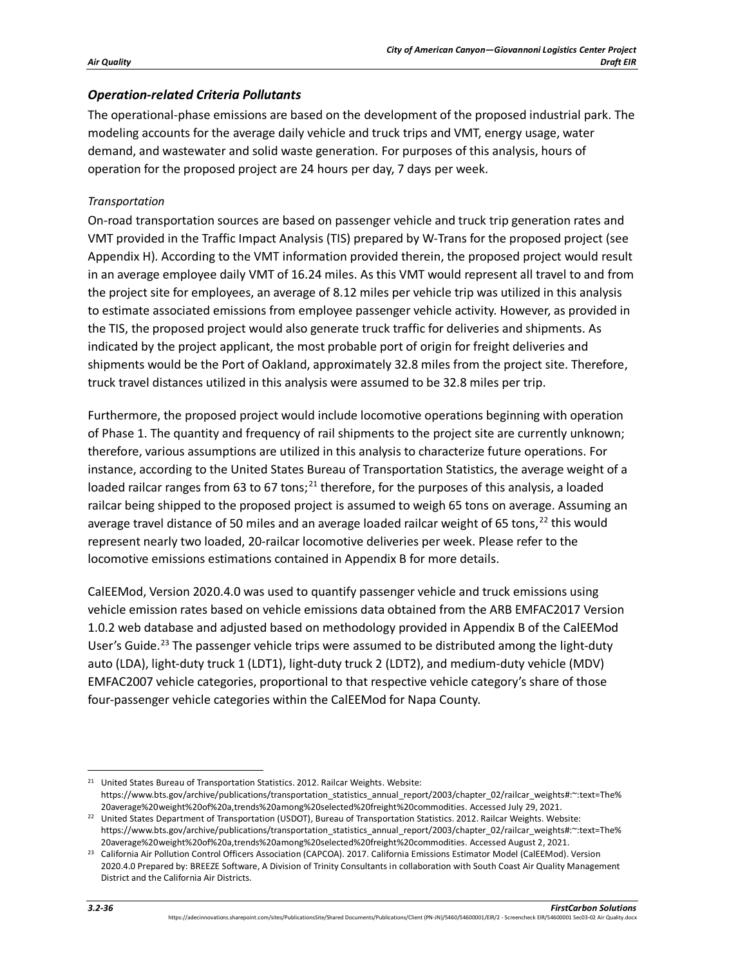### *Operation-related Criteria Pollutants*

The operational-phase emissions are based on the development of the proposed industrial park. The modeling accounts for the average daily vehicle and truck trips and VMT, energy usage, water demand, and wastewater and solid waste generation. For purposes of this analysis, hours of operation for the proposed project are 24 hours per day, 7 days per week.

#### *Transportation*

On-road transportation sources are based on passenger vehicle and truck trip generation rates and VMT provided in the Traffic Impact Analysis (TIS) prepared by W-Trans for the proposed project (see Appendix H). According to the VMT information provided therein, the proposed project would result in an average employee daily VMT of 16.24 miles. As this VMT would represent all travel to and from the project site for employees, an average of 8.12 miles per vehicle trip was utilized in this analysis to estimate associated emissions from employee passenger vehicle activity. However, as provided in the TIS, the proposed project would also generate truck traffic for deliveries and shipments. As indicated by the project applicant, the most probable port of origin for freight deliveries and shipments would be the Port of Oakland, approximately 32.8 miles from the project site. Therefore, truck travel distances utilized in this analysis were assumed to be 32.8 miles per trip.

Furthermore, the proposed project would include locomotive operations beginning with operation of Phase 1. The quantity and frequency of rail shipments to the project site are currently unknown; therefore, various assumptions are utilized in this analysis to characterize future operations. For instance, according to the United States Bureau of Transportation Statistics, the average weight of a loaded railcar ranges from 63 to 67 tons; $^{21}$  $^{21}$  $^{21}$  therefore, for the purposes of this analysis, a loaded railcar being shipped to the proposed project is assumed to weigh 65 tons on average. Assuming an average travel distance of 50 miles and an average loaded railcar weight of 65 tons,<sup>[22](#page-35-1)</sup> this would represent nearly two loaded, 20-railcar locomotive deliveries per week. Please refer to the locomotive emissions estimations contained in Appendix B for more details.

CalEEMod, Version 2020.4.0 was used to quantify passenger vehicle and truck emissions using vehicle emission rates based on vehicle emissions data obtained from the ARB EMFAC2017 Version 1.0.2 web database and adjusted based on methodology provided in Appendix B of the CalEEMod User's Guide.<sup>[23](#page-35-2)</sup> The passenger vehicle trips were assumed to be distributed among the light-duty auto (LDA), light-duty truck 1 (LDT1), light-duty truck 2 (LDT2), and medium-duty vehicle (MDV) EMFAC2007 vehicle categories, proportional to that respective vehicle category's share of those four-passenger vehicle categories within the CalEEMod for Napa County.

<span id="page-35-0"></span><sup>&</sup>lt;sup>21</sup> United States Bureau of Transportation Statistics. 2012. Railcar Weights. Website: https://www.bts.gov/archive/publications/transportation\_statistics\_annual\_report/2003/chapter\_02/railcar\_weights#:~:text=The% 20average%20weight%20of%20a,trends%20among%20selected%20freight%20commodities. Accessed July 29, 2021.

<span id="page-35-1"></span><sup>22</sup> United States Department of Transportation (USDOT), Bureau of Transportation Statistics. 2012. Railcar Weights. Website: https://www.bts.gov/archive/publications/transportation\_statistics\_annual\_report/2003/chapter\_02/railcar\_weights#:~:text=The% 20average%20weight%20of%20a,trends%20among%20selected%20freight%20commodities. Accessed August 2, 2021.

<span id="page-35-2"></span><sup>&</sup>lt;sup>23</sup> California Air Pollution Control Officers Association (CAPCOA). 2017. California Emissions Estimator Model (CalEEMod). Version 2020.4.0 Prepared by: BREEZE Software, A Division of Trinity Consultants in collaboration with South Coast Air Quality Management District and the California Air Districts.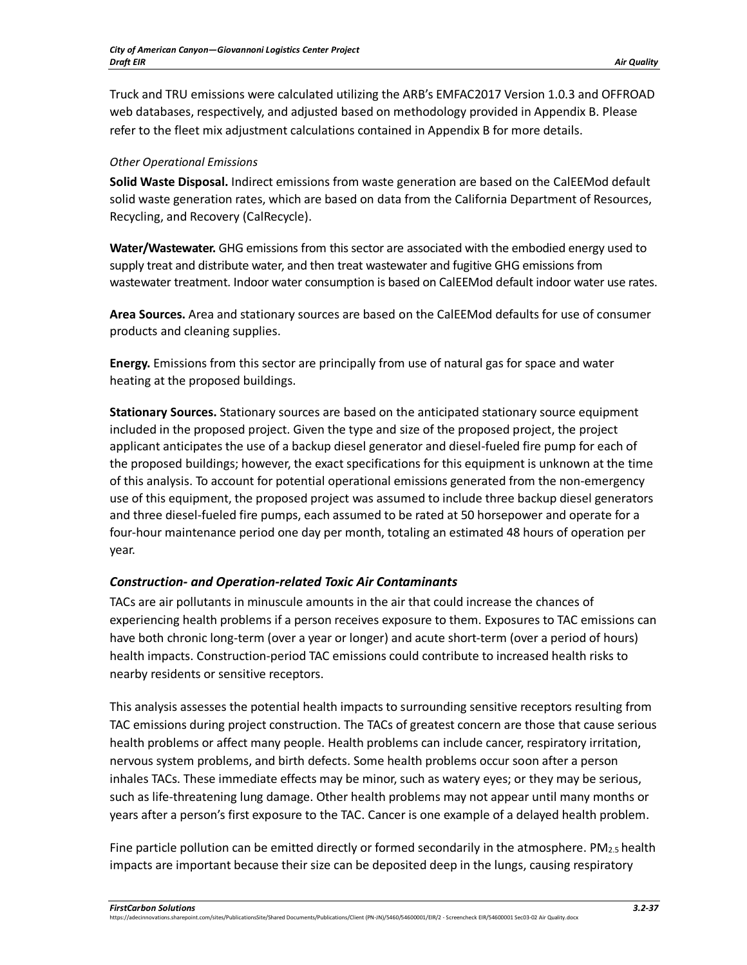Truck and TRU emissions were calculated utilizing the ARB's EMFAC2017 Version 1.0.3 and OFFROAD web databases, respectively, and adjusted based on methodology provided in Appendix B. Please refer to the fleet mix adjustment calculations contained in Appendix B for more details.

#### *Other Operational Emissions*

**Solid Waste Disposal.** Indirect emissions from waste generation are based on the CalEEMod default solid waste generation rates, which are based on data from the California Department of Resources, Recycling, and Recovery (CalRecycle).

**Water/Wastewater.** GHG emissions from this sector are associated with the embodied energy used to supply treat and distribute water, and then treat wastewater and fugitive GHG emissions from wastewater treatment. Indoor water consumption is based on CalEEMod default indoor water use rates.

**Area Sources.** Area and stationary sources are based on the CalEEMod defaults for use of consumer products and cleaning supplies.

**Energy.** Emissions from this sector are principally from use of natural gas for space and water heating at the proposed buildings.

**Stationary Sources.** Stationary sources are based on the anticipated stationary source equipment included in the proposed project. Given the type and size of the proposed project, the project applicant anticipates the use of a backup diesel generator and diesel-fueled fire pump for each of the proposed buildings; however, the exact specifications for this equipment is unknown at the time of this analysis. To account for potential operational emissions generated from the non-emergency use of this equipment, the proposed project was assumed to include three backup diesel generators and three diesel-fueled fire pumps, each assumed to be rated at 50 horsepower and operate for a four-hour maintenance period one day per month, totaling an estimated 48 hours of operation per year.

#### *Construction- and Operation-related Toxic Air Contaminants*

TACs are air pollutants in minuscule amounts in the air that could increase the chances of experiencing health problems if a person receives exposure to them. Exposures to TAC emissions can have both chronic long-term (over a year or longer) and acute short-term (over a period of hours) health impacts. Construction-period TAC emissions could contribute to increased health risks to nearby residents or sensitive receptors.

This analysis assesses the potential health impacts to surrounding sensitive receptors resulting from TAC emissions during project construction. The TACs of greatest concern are those that cause serious health problems or affect many people. Health problems can include cancer, respiratory irritation, nervous system problems, and birth defects. Some health problems occur soon after a person inhales TACs. These immediate effects may be minor, such as watery eyes; or they may be serious, such as life-threatening lung damage. Other health problems may not appear until many months or years after a person's first exposure to the TAC. Cancer is one example of a delayed health problem.

Fine particle pollution can be emitted directly or formed secondarily in the atmosphere.  $PM<sub>2.5</sub>$  health impacts are important because their size can be deposited deep in the lungs, causing respiratory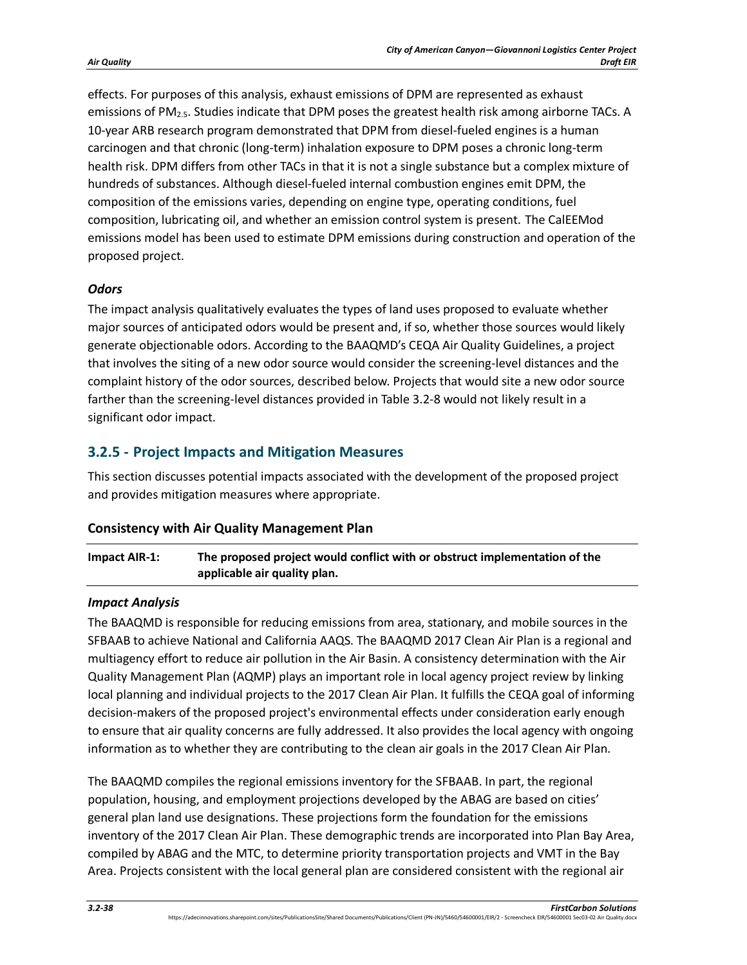effects. For purposes of this analysis, exhaust emissions of DPM are represented as exhaust emissions of PM2.5. Studies indicate that DPM poses the greatest health risk among airborne TACs. A 10-year ARB research program demonstrated that DPM from diesel-fueled engines is a human carcinogen and that chronic (long-term) inhalation exposure to DPM poses a chronic long-term health risk. DPM differs from other TACs in that it is not a single substance but a complex mixture of hundreds of substances. Although diesel-fueled internal combustion engines emit DPM, the composition of the emissions varies, depending on engine type, operating conditions, fuel composition, lubricating oil, and whether an emission control system is present. The CalEEMod emissions model has been used to estimate DPM emissions during construction and operation of the proposed project.

## *Odors*

The impact analysis qualitatively evaluates the types of land uses proposed to evaluate whether major sources of anticipated odors would be present and, if so, whether those sources would likely generate objectionable odors. According to the BAAQMD's CEQA Air Quality Guidelines, a project that involves the siting of a new odor source would consider the screening-level distances and the complaint history of the odor sources, described below. Projects that would site a new odor source farther than the screening-level distances provided i[n Table 3.2-8](#page-32-0) would not likely result in a significant odor impact.

# **3.2.5 - Project Impacts and Mitigation Measures**

This section discusses potential impacts associated with the development of the proposed project and provides mitigation measures where appropriate.

#### **Consistency with Air Quality Management Plan**

# **Impact AIR-1: The proposed project would conflict with or obstruct implementation of the applicable air quality plan.**

#### *Impact Analysis*

The BAAQMD is responsible for reducing emissions from area, stationary, and mobile sources in the SFBAAB to achieve National and California AAQS. The BAAQMD 2017 Clean Air Plan is a regional and multiagency effort to reduce air pollution in the Air Basin. A consistency determination with the Air Quality Management Plan (AQMP) plays an important role in local agency project review by linking local planning and individual projects to the 2017 Clean Air Plan. It fulfills the CEQA goal of informing decision-makers of the proposed project's environmental effects under consideration early enough to ensure that air quality concerns are fully addressed. It also provides the local agency with ongoing information as to whether they are contributing to the clean air goals in the 2017 Clean Air Plan.

The BAAQMD compiles the regional emissions inventory for the SFBAAB. In part, the regional population, housing, and employment projections developed by the ABAG are based on cities' general plan land use designations. These projections form the foundation for the emissions inventory of the 2017 Clean Air Plan. These demographic trends are incorporated into Plan Bay Area, compiled by ABAG and the MTC, to determine priority transportation projects and VMT in the Bay Area. Projects consistent with the local general plan are considered consistent with the regional air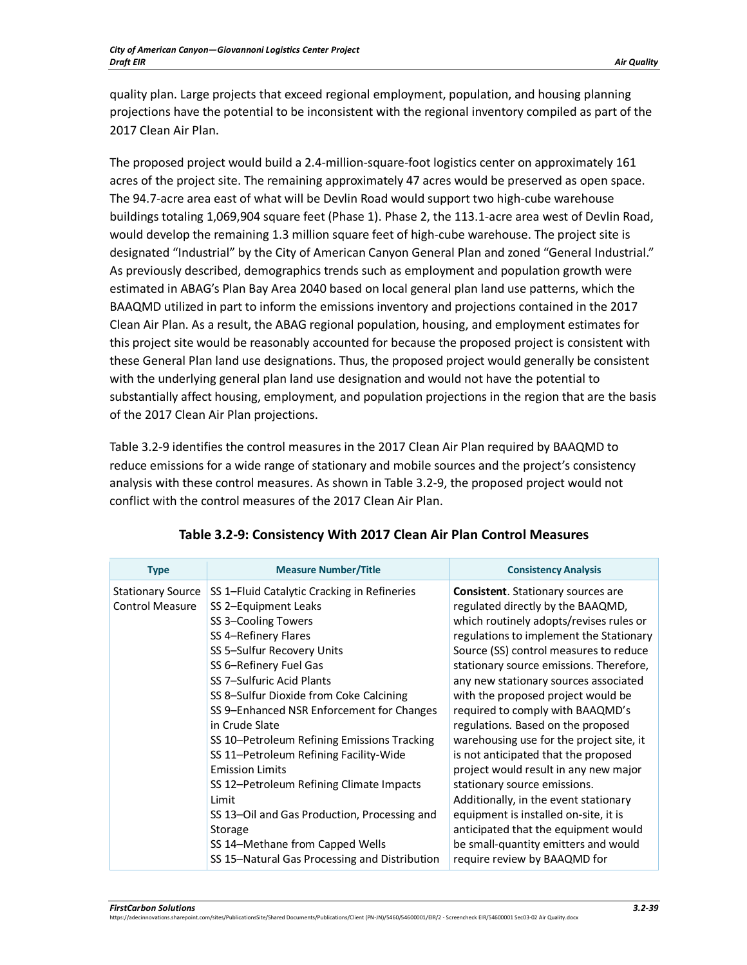quality plan. Large projects that exceed regional employment, population, and housing planning projections have the potential to be inconsistent with the regional inventory compiled as part of the 2017 Clean Air Plan.

The proposed project would build a 2.4-million-square-foot logistics center on approximately 161 acres of the project site. The remaining approximately 47 acres would be preserved as open space. The 94.7-acre area east of what will be Devlin Road would support two high-cube warehouse buildings totaling 1,069,904 square feet (Phase 1). Phase 2, the 113.1-acre area west of Devlin Road, would develop the remaining 1.3 million square feet of high-cube warehouse. The project site is designated "Industrial" by the City of American Canyon General Plan and zoned "General Industrial." As previously described, demographics trends such as employment and population growth were estimated in ABAG's Plan Bay Area 2040 based on local general plan land use patterns, which the BAAQMD utilized in part to inform the emissions inventory and projections contained in the 2017 Clean Air Plan. As a result, the ABAG regional population, housing, and employment estimates for this project site would be reasonably accounted for because the proposed project is consistent with these General Plan land use designations. Thus, the proposed project would generally be consistent with the underlying general plan land use designation and would not have the potential to substantially affect housing, employment, and population projections in the region that are the basis of the 2017 Clean Air Plan projections.

[Table 3.2-9](#page-38-0) identifies the control measures in the 2017 Clean Air Plan required by BAAQMD to reduce emissions for a wide range of stationary and mobile sources and the project's consistency analysis with these control measures. As shown in [Table 3.2-9,](#page-38-0) the proposed project would not conflict with the control measures of the 2017 Clean Air Plan.

<span id="page-38-0"></span>

| <b>Type</b>                                        | <b>Measure Number/Title</b>                                                                                                                                                                                                                                                                                                                                                                                                                                                                                                                                                                                                              | <b>Consistency Analysis</b>                                                                                                                                                                                                                                                                                                                                                                                                                                                                                                                                                                                                                                                                                                                                                       |
|----------------------------------------------------|------------------------------------------------------------------------------------------------------------------------------------------------------------------------------------------------------------------------------------------------------------------------------------------------------------------------------------------------------------------------------------------------------------------------------------------------------------------------------------------------------------------------------------------------------------------------------------------------------------------------------------------|-----------------------------------------------------------------------------------------------------------------------------------------------------------------------------------------------------------------------------------------------------------------------------------------------------------------------------------------------------------------------------------------------------------------------------------------------------------------------------------------------------------------------------------------------------------------------------------------------------------------------------------------------------------------------------------------------------------------------------------------------------------------------------------|
| <b>Stationary Source</b><br><b>Control Measure</b> | SS 1-Fluid Catalytic Cracking in Refineries<br>SS 2-Equipment Leaks<br>SS 3-Cooling Towers<br>SS 4-Refinery Flares<br>SS 5-Sulfur Recovery Units<br>SS 6-Refinery Fuel Gas<br>SS 7-Sulfuric Acid Plants<br>SS 8-Sulfur Dioxide from Coke Calcining<br>SS 9–Enhanced NSR Enforcement for Changes<br>in Crude Slate<br>SS 10-Petroleum Refining Emissions Tracking<br>SS 11-Petroleum Refining Facility-Wide<br><b>Emission Limits</b><br>SS 12-Petroleum Refining Climate Impacts<br>Limit<br>SS 13-Oil and Gas Production, Processing and<br>Storage<br>SS 14-Methane from Capped Wells<br>SS 15-Natural Gas Processing and Distribution | <b>Consistent.</b> Stationary sources are<br>regulated directly by the BAAQMD,<br>which routinely adopts/revises rules or<br>regulations to implement the Stationary<br>Source (SS) control measures to reduce<br>stationary source emissions. Therefore,<br>any new stationary sources associated<br>with the proposed project would be<br>required to comply with BAAQMD's<br>regulations. Based on the proposed<br>warehousing use for the project site, it<br>is not anticipated that the proposed<br>project would result in any new major<br>stationary source emissions.<br>Additionally, in the event stationary<br>equipment is installed on-site, it is<br>anticipated that the equipment would<br>be small-quantity emitters and would<br>require review by BAAQMD for |

# **Table 3.2-9: Consistency With 2017 Clean Air Plan Control Measures**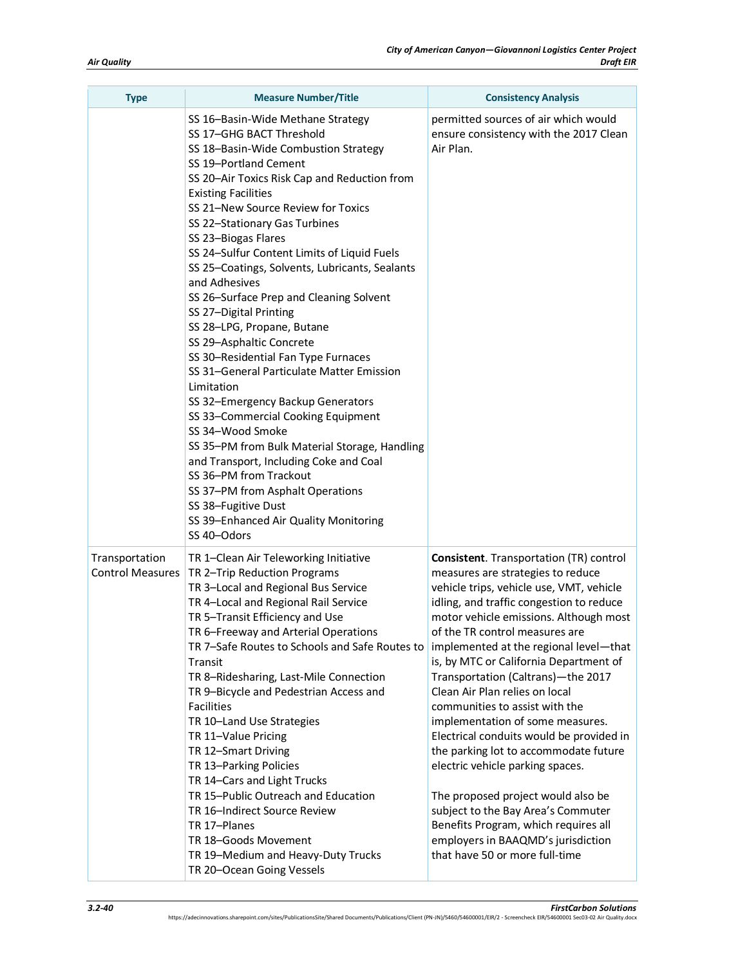| <b>Type</b>                               | <b>Measure Number/Title</b>                                                                                                                                                                                                                                                                                                                                                                                                                                                                                                                                                                                                                                                                                                                                                                                                                                                                                                                                                                          | <b>Consistency Analysis</b>                                                                                                                                                                                                                                                                                                                                                                                                                                                                                                                                                                                                                                                                                                                                                                                    |
|-------------------------------------------|------------------------------------------------------------------------------------------------------------------------------------------------------------------------------------------------------------------------------------------------------------------------------------------------------------------------------------------------------------------------------------------------------------------------------------------------------------------------------------------------------------------------------------------------------------------------------------------------------------------------------------------------------------------------------------------------------------------------------------------------------------------------------------------------------------------------------------------------------------------------------------------------------------------------------------------------------------------------------------------------------|----------------------------------------------------------------------------------------------------------------------------------------------------------------------------------------------------------------------------------------------------------------------------------------------------------------------------------------------------------------------------------------------------------------------------------------------------------------------------------------------------------------------------------------------------------------------------------------------------------------------------------------------------------------------------------------------------------------------------------------------------------------------------------------------------------------|
|                                           | SS 16-Basin-Wide Methane Strategy<br>SS 17-GHG BACT Threshold<br>SS 18-Basin-Wide Combustion Strategy<br>SS 19-Portland Cement<br>SS 20-Air Toxics Risk Cap and Reduction from<br><b>Existing Facilities</b><br>SS 21-New Source Review for Toxics<br>SS 22-Stationary Gas Turbines<br>SS 23-Biogas Flares<br>SS 24-Sulfur Content Limits of Liquid Fuels<br>SS 25-Coatings, Solvents, Lubricants, Sealants<br>and Adhesives<br>SS 26-Surface Prep and Cleaning Solvent<br>SS 27-Digital Printing<br>SS 28-LPG, Propane, Butane<br>SS 29-Asphaltic Concrete<br>SS 30-Residential Fan Type Furnaces<br>SS 31-General Particulate Matter Emission<br>Limitation<br>SS 32-Emergency Backup Generators<br>SS 33-Commercial Cooking Equipment<br>SS 34-Wood Smoke<br>SS 35-PM from Bulk Material Storage, Handling<br>and Transport, Including Coke and Coal<br>SS 36-PM from Trackout<br>SS 37-PM from Asphalt Operations<br>SS 38-Fugitive Dust<br>SS 39-Enhanced Air Quality Monitoring<br>SS 40-Odors | permitted sources of air which would<br>ensure consistency with the 2017 Clean<br>Air Plan.                                                                                                                                                                                                                                                                                                                                                                                                                                                                                                                                                                                                                                                                                                                    |
| Transportation<br><b>Control Measures</b> | TR 1-Clean Air Teleworking Initiative<br>TR 2-Trip Reduction Programs<br>TR 3-Local and Regional Bus Service<br>TR 4-Local and Regional Rail Service<br>TR 5-Transit Efficiency and Use<br>TR 6-Freeway and Arterial Operations<br>TR 7-Safe Routes to Schools and Safe Routes to<br>Transit<br>TR 8-Ridesharing, Last-Mile Connection<br>TR 9-Bicycle and Pedestrian Access and<br>Facilities<br>TR 10-Land Use Strategies<br>TR 11-Value Pricing<br>TR 12-Smart Driving<br>TR 13-Parking Policies<br>TR 14-Cars and Light Trucks<br>TR 15-Public Outreach and Education<br>TR 16-Indirect Source Review<br>TR 17-Planes<br>TR 18-Goods Movement<br>TR 19-Medium and Heavy-Duty Trucks<br>TR 20-Ocean Going Vessels                                                                                                                                                                                                                                                                                 | <b>Consistent.</b> Transportation (TR) control<br>measures are strategies to reduce<br>vehicle trips, vehicle use, VMT, vehicle<br>idling, and traffic congestion to reduce<br>motor vehicle emissions. Although most<br>of the TR control measures are<br>implemented at the regional level-that<br>is, by MTC or California Department of<br>Transportation (Caltrans)-the 2017<br>Clean Air Plan relies on local<br>communities to assist with the<br>implementation of some measures.<br>Electrical conduits would be provided in<br>the parking lot to accommodate future<br>electric vehicle parking spaces.<br>The proposed project would also be<br>subject to the Bay Area's Commuter<br>Benefits Program, which requires all<br>employers in BAAQMD's jurisdiction<br>that have 50 or more full-time |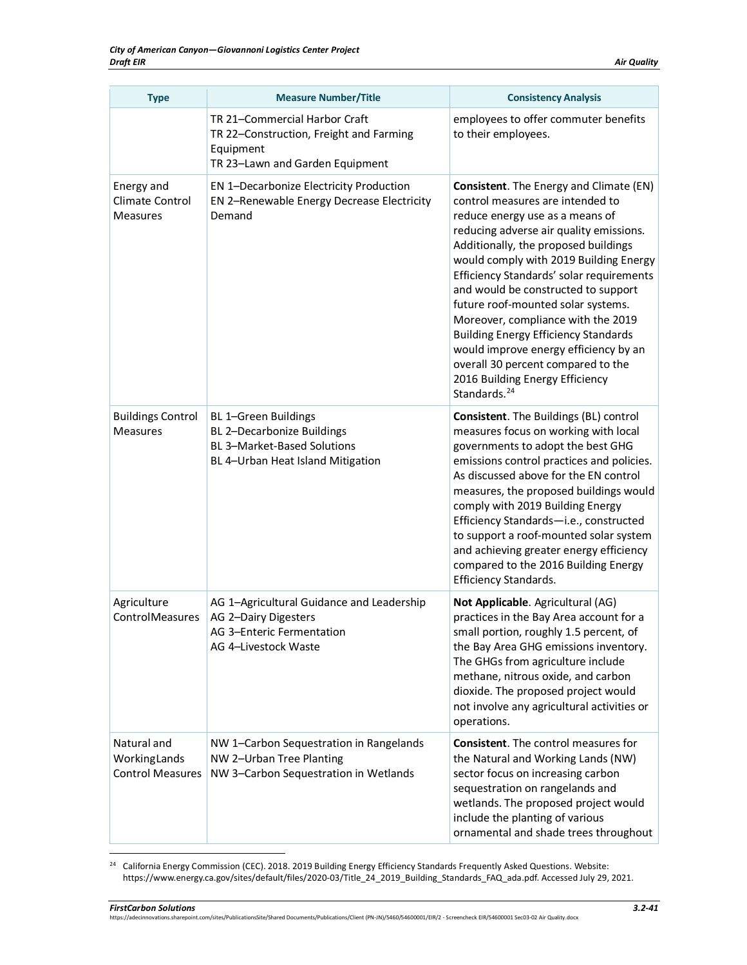| <b>Type</b>                                            | <b>Measure Number/Title</b>                                                                                              | <b>Consistency Analysis</b>                                                                                                                                                                                                                                                                                                                                                                                                                                                                                                                                                                             |
|--------------------------------------------------------|--------------------------------------------------------------------------------------------------------------------------|---------------------------------------------------------------------------------------------------------------------------------------------------------------------------------------------------------------------------------------------------------------------------------------------------------------------------------------------------------------------------------------------------------------------------------------------------------------------------------------------------------------------------------------------------------------------------------------------------------|
|                                                        | TR 21-Commercial Harbor Craft<br>TR 22-Construction, Freight and Farming<br>Equipment<br>TR 23-Lawn and Garden Equipment | employees to offer commuter benefits<br>to their employees.                                                                                                                                                                                                                                                                                                                                                                                                                                                                                                                                             |
| Energy and<br>Climate Control<br><b>Measures</b>       | EN 1-Decarbonize Electricity Production<br>EN 2-Renewable Energy Decrease Electricity<br>Demand                          | Consistent. The Energy and Climate (EN)<br>control measures are intended to<br>reduce energy use as a means of<br>reducing adverse air quality emissions.<br>Additionally, the proposed buildings<br>would comply with 2019 Building Energy<br>Efficiency Standards' solar requirements<br>and would be constructed to support<br>future roof-mounted solar systems.<br>Moreover, compliance with the 2019<br><b>Building Energy Efficiency Standards</b><br>would improve energy efficiency by an<br>overall 30 percent compared to the<br>2016 Building Energy Efficiency<br>Standards. <sup>24</sup> |
| <b>Buildings Control</b><br><b>Measures</b>            | BL 1-Green Buildings<br>BL 2-Decarbonize Buildings<br>BL 3-Market-Based Solutions<br>BL 4-Urban Heat Island Mitigation   | Consistent. The Buildings (BL) control<br>measures focus on working with local<br>governments to adopt the best GHG<br>emissions control practices and policies.<br>As discussed above for the EN control<br>measures, the proposed buildings would<br>comply with 2019 Building Energy<br>Efficiency Standards-i.e., constructed<br>to support a roof-mounted solar system<br>and achieving greater energy efficiency<br>compared to the 2016 Building Energy<br>Efficiency Standards.                                                                                                                 |
| Agriculture<br>ControlMeasures                         | AG 1-Agricultural Guidance and Leadership<br>AG 2-Dairy Digesters<br>AG 3-Enteric Fermentation<br>AG 4-Livestock Waste   | Not Applicable. Agricultural (AG)<br>practices in the Bay Area account for a<br>small portion, roughly 1.5 percent, of<br>the Bay Area GHG emissions inventory.<br>The GHGs from agriculture include<br>methane, nitrous oxide, and carbon<br>dioxide. The proposed project would<br>not involve any agricultural activities or<br>operations.                                                                                                                                                                                                                                                          |
| Natural and<br>WorkingLands<br><b>Control Measures</b> | NW 1-Carbon Sequestration in Rangelands<br>NW 2-Urban Tree Planting<br>NW 3-Carbon Sequestration in Wetlands             | <b>Consistent.</b> The control measures for<br>the Natural and Working Lands (NW)<br>sector focus on increasing carbon<br>sequestration on rangelands and<br>wetlands. The proposed project would<br>include the planting of various<br>ornamental and shade trees throughout                                                                                                                                                                                                                                                                                                                           |

<span id="page-40-0"></span> $24$  California Energy Commission (CEC). 2018. 2019 Building Energy Efficiency Standards Frequently Asked Questions. Website: https://www.energy.ca.gov/sites/default/files/2020-03/Title\_24\_2019\_Building\_Standards\_FAQ\_ada.pdf. Accessed July 29, 2021.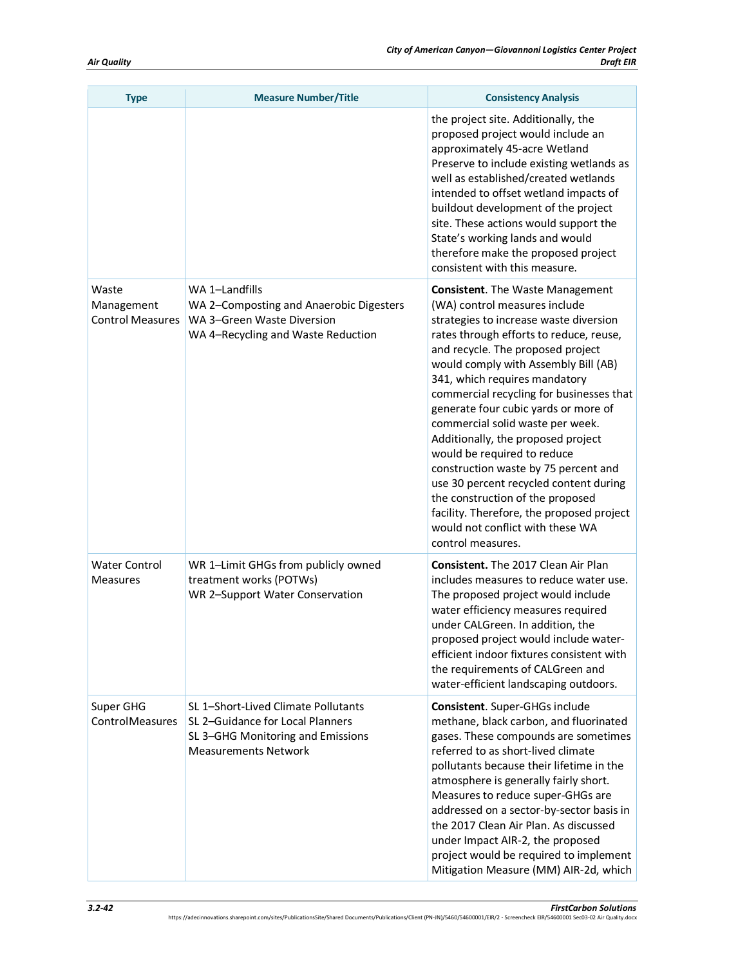| <b>Type</b>                                    | <b>Measure Number/Title</b>                                                                                                                 | <b>Consistency Analysis</b>                                                                                                                                                                                                                                                                                                                                                                                                                                                                                                                                                                                                                                                                           |
|------------------------------------------------|---------------------------------------------------------------------------------------------------------------------------------------------|-------------------------------------------------------------------------------------------------------------------------------------------------------------------------------------------------------------------------------------------------------------------------------------------------------------------------------------------------------------------------------------------------------------------------------------------------------------------------------------------------------------------------------------------------------------------------------------------------------------------------------------------------------------------------------------------------------|
|                                                |                                                                                                                                             | the project site. Additionally, the<br>proposed project would include an<br>approximately 45-acre Wetland<br>Preserve to include existing wetlands as<br>well as established/created wetlands<br>intended to offset wetland impacts of<br>buildout development of the project<br>site. These actions would support the<br>State's working lands and would<br>therefore make the proposed project<br>consistent with this measure.                                                                                                                                                                                                                                                                     |
| Waste<br>Management<br><b>Control Measures</b> | WA 1-Landfills<br>WA 2-Composting and Anaerobic Digesters<br>WA 3-Green Waste Diversion<br>WA 4-Recycling and Waste Reduction               | <b>Consistent</b> . The Waste Management<br>(WA) control measures include<br>strategies to increase waste diversion<br>rates through efforts to reduce, reuse,<br>and recycle. The proposed project<br>would comply with Assembly Bill (AB)<br>341, which requires mandatory<br>commercial recycling for businesses that<br>generate four cubic yards or more of<br>commercial solid waste per week.<br>Additionally, the proposed project<br>would be required to reduce<br>construction waste by 75 percent and<br>use 30 percent recycled content during<br>the construction of the proposed<br>facility. Therefore, the proposed project<br>would not conflict with these WA<br>control measures. |
| <b>Water Control</b><br><b>Measures</b>        | WR 1-Limit GHGs from publicly owned<br>treatment works (POTWs)<br>WR 2-Support Water Conservation                                           | Consistent. The 2017 Clean Air Plan<br>includes measures to reduce water use.<br>The proposed project would include<br>water efficiency measures required<br>under CALGreen. In addition, the<br>proposed project would include water-<br>efficient indoor fixtures consistent with<br>the requirements of CALGreen and<br>water-efficient landscaping outdoors.                                                                                                                                                                                                                                                                                                                                      |
| Super GHG<br>ControlMeasures                   | SL 1-Short-Lived Climate Pollutants<br>SL 2-Guidance for Local Planners<br>SL 3-GHG Monitoring and Emissions<br><b>Measurements Network</b> | Consistent. Super-GHGs include<br>methane, black carbon, and fluorinated<br>gases. These compounds are sometimes<br>referred to as short-lived climate<br>pollutants because their lifetime in the<br>atmosphere is generally fairly short.<br>Measures to reduce super-GHGs are<br>addressed on a sector-by-sector basis in<br>the 2017 Clean Air Plan. As discussed<br>under Impact AIR-2, the proposed<br>project would be required to implement<br>Mitigation Measure (MM) AIR-2d, which                                                                                                                                                                                                          |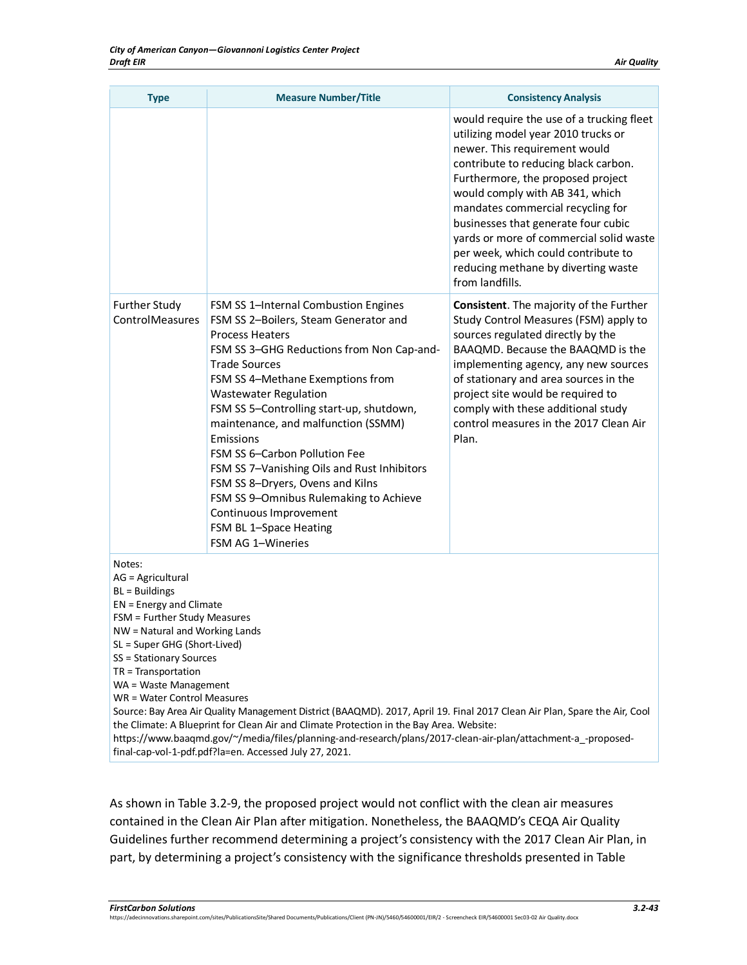| <b>Type</b>                                                                                                                                                                                                                                                                              | <b>Measure Number/Title</b>                                                                                                                                                                                                                                                                                                                                                                                                                                                                                                                                                             | <b>Consistency Analysis</b>                                                                                                                                                                                                                                                                                                                                                                                                                               |
|------------------------------------------------------------------------------------------------------------------------------------------------------------------------------------------------------------------------------------------------------------------------------------------|-----------------------------------------------------------------------------------------------------------------------------------------------------------------------------------------------------------------------------------------------------------------------------------------------------------------------------------------------------------------------------------------------------------------------------------------------------------------------------------------------------------------------------------------------------------------------------------------|-----------------------------------------------------------------------------------------------------------------------------------------------------------------------------------------------------------------------------------------------------------------------------------------------------------------------------------------------------------------------------------------------------------------------------------------------------------|
|                                                                                                                                                                                                                                                                                          |                                                                                                                                                                                                                                                                                                                                                                                                                                                                                                                                                                                         | would require the use of a trucking fleet<br>utilizing model year 2010 trucks or<br>newer. This requirement would<br>contribute to reducing black carbon.<br>Furthermore, the proposed project<br>would comply with AB 341, which<br>mandates commercial recycling for<br>businesses that generate four cubic<br>yards or more of commercial solid waste<br>per week, which could contribute to<br>reducing methane by diverting waste<br>from landfills. |
| <b>Further Study</b><br>ControlMeasures                                                                                                                                                                                                                                                  | FSM SS 1-Internal Combustion Engines<br>FSM SS 2-Boilers, Steam Generator and<br><b>Process Heaters</b><br>FSM SS 3-GHG Reductions from Non Cap-and-<br><b>Trade Sources</b><br>FSM SS 4-Methane Exemptions from<br><b>Wastewater Regulation</b><br>FSM SS 5-Controlling start-up, shutdown,<br>maintenance, and malfunction (SSMM)<br>Emissions<br>FSM SS 6-Carbon Pollution Fee<br>FSM SS 7-Vanishing Oils and Rust Inhibitors<br>FSM SS 8-Dryers, Ovens and Kilns<br>FSM SS 9-Omnibus Rulemaking to Achieve<br>Continuous Improvement<br>FSM BL 1-Space Heating<br>FSM AG 1-Wineries | <b>Consistent.</b> The majority of the Further<br>Study Control Measures (FSM) apply to<br>sources regulated directly by the<br>BAAQMD. Because the BAAQMD is the<br>implementing agency, any new sources<br>of stationary and area sources in the<br>project site would be required to<br>comply with these additional study<br>control measures in the 2017 Clean Air<br>Plan.                                                                          |
| Notes:<br>AG = Agricultural<br>$BL = BuildingS$<br>EN = Energy and Climate<br>FSM = Further Study Measures<br>NW = Natural and Working Lands<br>SL = Super GHG (Short-Lived)<br>SS = Stationary Sources<br>$TR = Transportation$<br>WA = Waste Management<br>WR = Water Control Measures | Source: Bay Area Air Quality Management District (BAAQMD). 2017, April 19. Final 2017 Clean Air Plan, Spare the Air, Cool<br>the Climate: A Blueprint for Clean Air and Climate Protection in the Bay Area. Website:<br>https://www.baaqmd.gov/~/media/files/planning-and-research/plans/2017-clean-air-plan/attachment-a_-proposed-<br>final-cap-vol-1-pdf.pdf?la=en. Accessed July 27, 2021.                                                                                                                                                                                          |                                                                                                                                                                                                                                                                                                                                                                                                                                                           |

As shown in [Table 3.2-9,](#page-38-0) the proposed project would not conflict with the clean air measures contained in the Clean Air Plan after mitigation. Nonetheless, the BAAQMD's CEQA Air Quality Guidelines further recommend determining a project's consistency with the 2017 Clean Air Plan, in part, by determining a project's consistency with the significance thresholds presented in [Table](#page-28-0)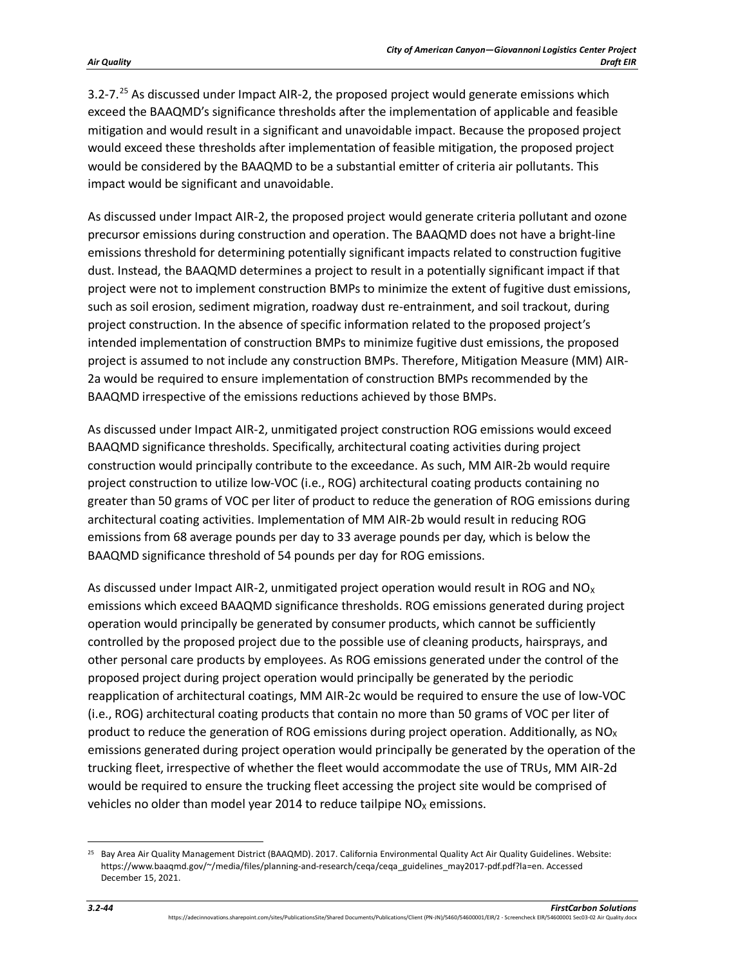[3.2-7.](#page-28-0)<sup>[25](#page-43-0)</sup> As discussed under Impact AIR-2, the proposed project would generate emissions which exceed the BAAQMD's significance thresholds after the implementation of applicable and feasible mitigation and would result in a significant and unavoidable impact. Because the proposed project would exceed these thresholds after implementation of feasible mitigation, the proposed project would be considered by the BAAQMD to be a substantial emitter of criteria air pollutants. This impact would be significant and unavoidable.

As discussed under Impact AIR-2, the proposed project would generate criteria pollutant and ozone precursor emissions during construction and operation. The BAAQMD does not have a bright-line emissions threshold for determining potentially significant impacts related to construction fugitive dust. Instead, the BAAQMD determines a project to result in a potentially significant impact if that project were not to implement construction BMPs to minimize the extent of fugitive dust emissions, such as soil erosion, sediment migration, roadway dust re-entrainment, and soil trackout, during project construction. In the absence of specific information related to the proposed project's intended implementation of construction BMPs to minimize fugitive dust emissions, the proposed project is assumed to not include any construction BMPs. Therefore, Mitigation Measure (MM) AIR-2a would be required to ensure implementation of construction BMPs recommended by the BAAQMD irrespective of the emissions reductions achieved by those BMPs.

As discussed under Impact AIR-2, unmitigated project construction ROG emissions would exceed BAAQMD significance thresholds. Specifically, architectural coating activities during project construction would principally contribute to the exceedance. As such, MM AIR-2b would require project construction to utilize low-VOC (i.e., ROG) architectural coating products containing no greater than 50 grams of VOC per liter of product to reduce the generation of ROG emissions during architectural coating activities. Implementation of MM AIR-2b would result in reducing ROG emissions from 68 average pounds per day to 33 average pounds per day, which is below the BAAQMD significance threshold of 54 pounds per day for ROG emissions.

As discussed under Impact AIR-2, unmitigated project operation would result in ROG and  $N_{\text{Ox}}$ emissions which exceed BAAQMD significance thresholds. ROG emissions generated during project operation would principally be generated by consumer products, which cannot be sufficiently controlled by the proposed project due to the possible use of cleaning products, hairsprays, and other personal care products by employees. As ROG emissions generated under the control of the proposed project during project operation would principally be generated by the periodic reapplication of architectural coatings, MM AIR-2c would be required to ensure the use of low-VOC (i.e., ROG) architectural coating products that contain no more than 50 grams of VOC per liter of product to reduce the generation of ROG emissions during project operation. Additionally, as  $NO<sub>X</sub>$ emissions generated during project operation would principally be generated by the operation of the trucking fleet, irrespective of whether the fleet would accommodate the use of TRUs, MM AIR-2d would be required to ensure the trucking fleet accessing the project site would be comprised of vehicles no older than model year 2014 to reduce tailpipe  $NO<sub>X</sub>$  emissions.

<span id="page-43-0"></span><sup>&</sup>lt;sup>25</sup> Bay Area Air Quality Management District (BAAQMD). 2017. California Environmental Quality Act Air Quality Guidelines. Website: https://www.baaqmd.gov/~/media/files/planning-and-research/ceqa/ceqa\_guidelines\_may2017-pdf.pdf?la=en. Accessed December 15, 2021.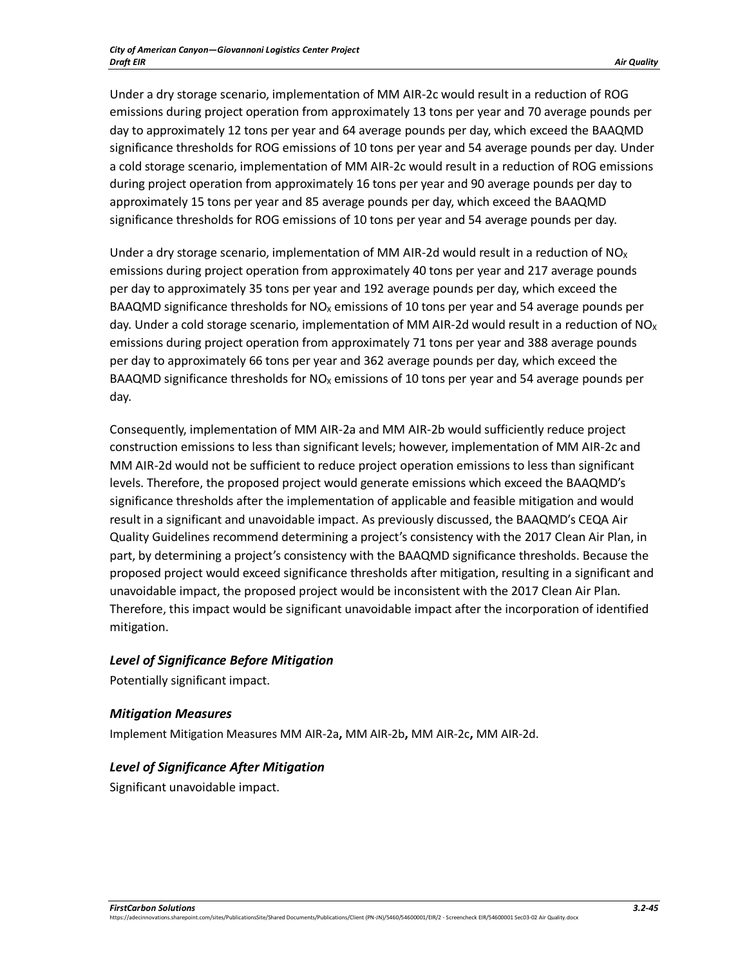Under a dry storage scenario, implementation of MM AIR-2c would result in a reduction of ROG emissions during project operation from approximately 13 tons per year and 70 average pounds per day to approximately 12 tons per year and 64 average pounds per day, which exceed the BAAQMD significance thresholds for ROG emissions of 10 tons per year and 54 average pounds per day. Under a cold storage scenario, implementation of MM AIR-2c would result in a reduction of ROG emissions during project operation from approximately 16 tons per year and 90 average pounds per day to approximately 15 tons per year and 85 average pounds per day, which exceed the BAAQMD significance thresholds for ROG emissions of 10 tons per year and 54 average pounds per day.

Under a dry storage scenario, implementation of MM AIR-2d would result in a reduction of  $NO<sub>X</sub>$ emissions during project operation from approximately 40 tons per year and 217 average pounds per day to approximately 35 tons per year and 192 average pounds per day, which exceed the BAAQMD significance thresholds for  $NO<sub>X</sub>$  emissions of 10 tons per year and 54 average pounds per day. Under a cold storage scenario, implementation of MM AIR-2d would result in a reduction of NO<sub>x</sub> emissions during project operation from approximately 71 tons per year and 388 average pounds per day to approximately 66 tons per year and 362 average pounds per day, which exceed the BAAQMD significance thresholds for  $NO<sub>x</sub>$  emissions of 10 tons per year and 54 average pounds per day.

Consequently, implementation of MM AIR-2a and MM AIR-2b would sufficiently reduce project construction emissions to less than significant levels; however, implementation of MM AIR-2c and MM AIR-2d would not be sufficient to reduce project operation emissions to less than significant levels. Therefore, the proposed project would generate emissions which exceed the BAAQMD's significance thresholds after the implementation of applicable and feasible mitigation and would result in a significant and unavoidable impact. As previously discussed, the BAAQMD's CEQA Air Quality Guidelines recommend determining a project's consistency with the 2017 Clean Air Plan, in part, by determining a project's consistency with the BAAQMD significance thresholds. Because the proposed project would exceed significance thresholds after mitigation, resulting in a significant and unavoidable impact, the proposed project would be inconsistent with the 2017 Clean Air Plan. Therefore, this impact would be significant unavoidable impact after the incorporation of identified mitigation.

# *Level of Significance Before Mitigation*

Potentially significant impact.

# *Mitigation Measures*

Implement Mitigation Measures MM AIR-2a**,** MM AIR-2b**,** MM AIR-2c**,** MM AIR-2d.

#### *Level of Significance After Mitigation*

Significant unavoidable impact.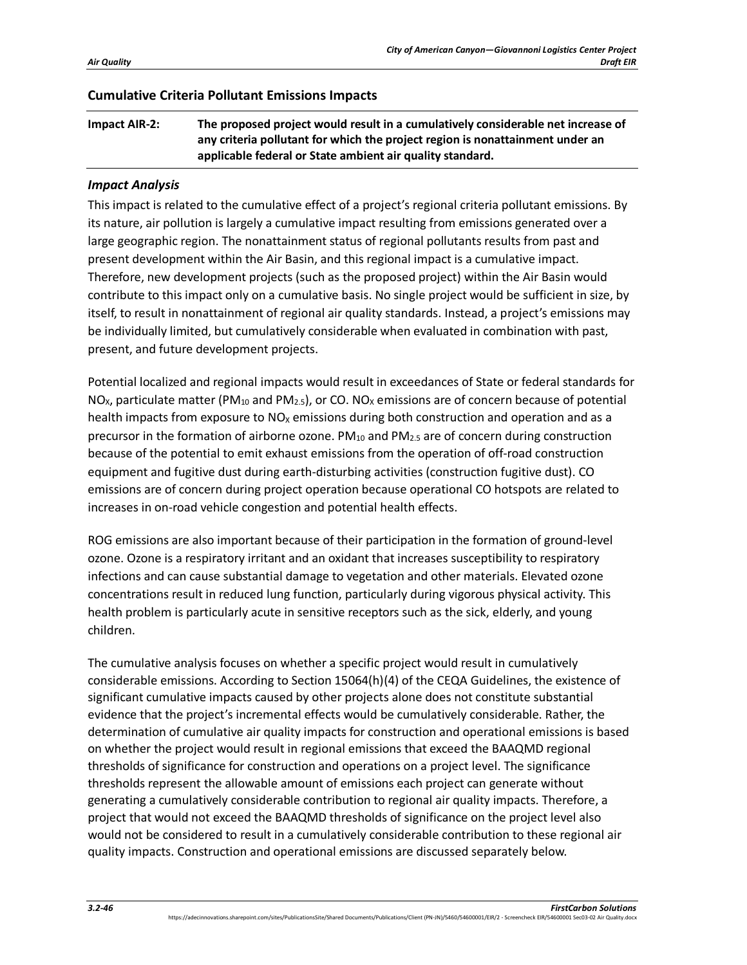#### **Cumulative Criteria Pollutant Emissions Impacts**

**Impact AIR-2: The proposed project would result in a cumulatively considerable net increase of any criteria pollutant for which the project region is nonattainment under an applicable federal or State ambient air quality standard.** 

#### *Impact Analysis*

This impact is related to the cumulative effect of a project's regional criteria pollutant emissions. By its nature, air pollution is largely a cumulative impact resulting from emissions generated over a large geographic region. The nonattainment status of regional pollutants results from past and present development within the Air Basin, and this regional impact is a cumulative impact. Therefore, new development projects (such as the proposed project) within the Air Basin would contribute to this impact only on a cumulative basis. No single project would be sufficient in size, by itself, to result in nonattainment of regional air quality standards. Instead, a project's emissions may be individually limited, but cumulatively considerable when evaluated in combination with past, present, and future development projects.

Potential localized and regional impacts would result in exceedances of State or federal standards for NO<sub>x</sub>, particulate matter (PM<sub>10</sub> and PM<sub>2.5</sub>), or CO. NO<sub>x</sub> emissions are of concern because of potential health impacts from exposure to  $NO<sub>X</sub>$  emissions during both construction and operation and as a precursor in the formation of airborne ozone.  $PM_{10}$  and  $PM_{2.5}$  are of concern during construction because of the potential to emit exhaust emissions from the operation of off-road construction equipment and fugitive dust during earth-disturbing activities (construction fugitive dust). CO emissions are of concern during project operation because operational CO hotspots are related to increases in on-road vehicle congestion and potential health effects.

ROG emissions are also important because of their participation in the formation of ground-level ozone. Ozone is a respiratory irritant and an oxidant that increases susceptibility to respiratory infections and can cause substantial damage to vegetation and other materials. Elevated ozone concentrations result in reduced lung function, particularly during vigorous physical activity. This health problem is particularly acute in sensitive receptors such as the sick, elderly, and young children.

The cumulative analysis focuses on whether a specific project would result in cumulatively considerable emissions. According to Section 15064(h)(4) of the CEQA Guidelines, the existence of significant cumulative impacts caused by other projects alone does not constitute substantial evidence that the project's incremental effects would be cumulatively considerable. Rather, the determination of cumulative air quality impacts for construction and operational emissions is based on whether the project would result in regional emissions that exceed the BAAQMD regional thresholds of significance for construction and operations on a project level. The significance thresholds represent the allowable amount of emissions each project can generate without generating a cumulatively considerable contribution to regional air quality impacts. Therefore, a project that would not exceed the BAAQMD thresholds of significance on the project level also would not be considered to result in a cumulatively considerable contribution to these regional air quality impacts. Construction and operational emissions are discussed separately below.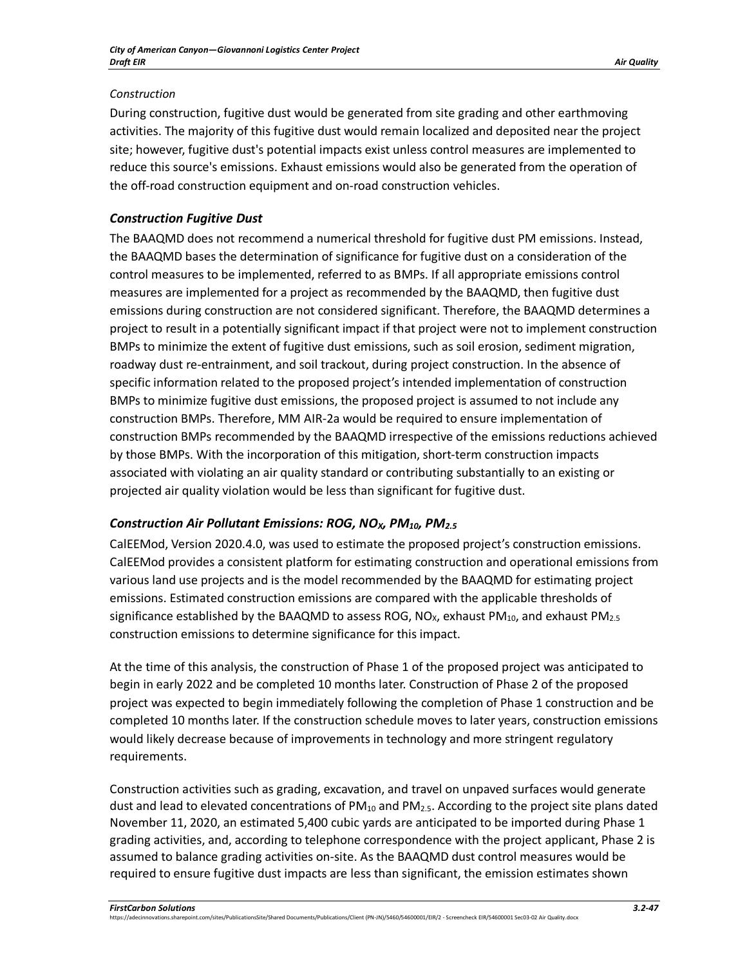## *Construction*

During construction, fugitive dust would be generated from site grading and other earthmoving activities. The majority of this fugitive dust would remain localized and deposited near the project site; however, fugitive dust's potential impacts exist unless control measures are implemented to reduce this source's emissions. Exhaust emissions would also be generated from the operation of the off-road construction equipment and on-road construction vehicles.

# *Construction Fugitive Dust*

The BAAQMD does not recommend a numerical threshold for fugitive dust PM emissions. Instead, the BAAQMD bases the determination of significance for fugitive dust on a consideration of the control measures to be implemented, referred to as BMPs. If all appropriate emissions control measures are implemented for a project as recommended by the BAAQMD, then fugitive dust emissions during construction are not considered significant. Therefore, the BAAQMD determines a project to result in a potentially significant impact if that project were not to implement construction BMPs to minimize the extent of fugitive dust emissions, such as soil erosion, sediment migration, roadway dust re-entrainment, and soil trackout, during project construction. In the absence of specific information related to the proposed project's intended implementation of construction BMPs to minimize fugitive dust emissions, the proposed project is assumed to not include any construction BMPs. Therefore, MM AIR-2a would be required to ensure implementation of construction BMPs recommended by the BAAQMD irrespective of the emissions reductions achieved by those BMPs. With the incorporation of this mitigation, short-term construction impacts associated with violating an air quality standard or contributing substantially to an existing or projected air quality violation would be less than significant for fugitive dust.

# *Construction Air Pollutant Emissions: ROG, NOX, PM10, PM2.5*

CalEEMod, Version 2020.4.0, was used to estimate the proposed project's construction emissions. CalEEMod provides a consistent platform for estimating construction and operational emissions from various land use projects and is the model recommended by the BAAQMD for estimating project emissions. Estimated construction emissions are compared with the applicable thresholds of significance established by the BAAQMD to assess ROG, NO<sub>x</sub>, exhaust PM<sub>10</sub>, and exhaust PM<sub>2.5</sub> construction emissions to determine significance for this impact.

At the time of this analysis, the construction of Phase 1 of the proposed project was anticipated to begin in early 2022 and be completed 10 months later. Construction of Phase 2 of the proposed project was expected to begin immediately following the completion of Phase 1 construction and be completed 10 months later. If the construction schedule moves to later years, construction emissions would likely decrease because of improvements in technology and more stringent regulatory requirements.

Construction activities such as grading, excavation, and travel on unpaved surfaces would generate dust and lead to elevated concentrations of  $PM_{10}$  and  $PM_{2.5}$ . According to the project site plans dated November 11, 2020, an estimated 5,400 cubic yards are anticipated to be imported during Phase 1 grading activities, and, according to telephone correspondence with the project applicant, Phase 2 is assumed to balance grading activities on-site. As the BAAQMD dust control measures would be required to ensure fugitive dust impacts are less than significant, the emission estimates shown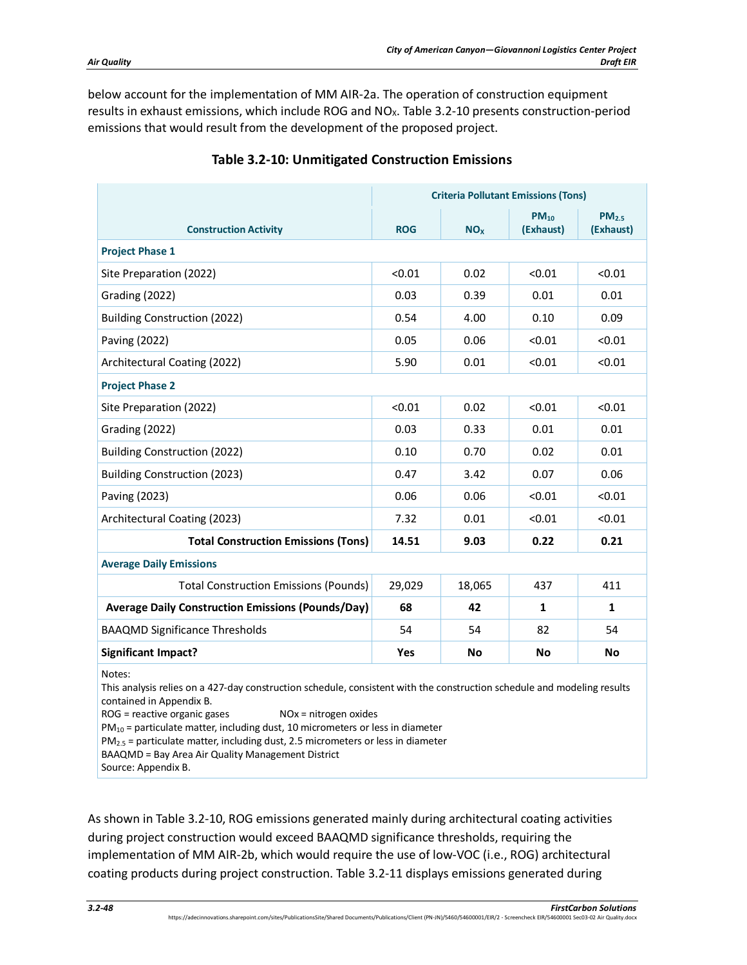below account for the implementation of MM AIR-2a. The operation of construction equipment results in exhaust emissions, which include ROG and NO<sub>x</sub>. [Table 3.2-10](#page-47-0) presents construction-period emissions that would result from the development of the proposed project.

<span id="page-47-0"></span>

|                                                                                                                                                                                                                                                                                                                                                                                                     | <b>Criteria Pollutant Emissions (Tons)</b> |                 |                        |                                |  |
|-----------------------------------------------------------------------------------------------------------------------------------------------------------------------------------------------------------------------------------------------------------------------------------------------------------------------------------------------------------------------------------------------------|--------------------------------------------|-----------------|------------------------|--------------------------------|--|
| <b>Construction Activity</b>                                                                                                                                                                                                                                                                                                                                                                        | <b>ROG</b>                                 | NO <sub>x</sub> | $PM_{10}$<br>(Exhaust) | PM <sub>2.5</sub><br>(Exhaust) |  |
| <b>Project Phase 1</b>                                                                                                                                                                                                                                                                                                                                                                              |                                            |                 |                        |                                |  |
| Site Preparation (2022)                                                                                                                                                                                                                                                                                                                                                                             | < 0.01                                     | 0.02            | < 0.01                 | < 0.01                         |  |
| Grading (2022)                                                                                                                                                                                                                                                                                                                                                                                      | 0.03                                       | 0.39            | 0.01                   | 0.01                           |  |
| <b>Building Construction (2022)</b>                                                                                                                                                                                                                                                                                                                                                                 | 0.54                                       | 4.00            | 0.10                   | 0.09                           |  |
| Paving (2022)                                                                                                                                                                                                                                                                                                                                                                                       | 0.05                                       | 0.06            | < 0.01                 | < 0.01                         |  |
| Architectural Coating (2022)                                                                                                                                                                                                                                                                                                                                                                        | 5.90                                       | 0.01            | < 0.01                 | < 0.01                         |  |
| <b>Project Phase 2</b>                                                                                                                                                                                                                                                                                                                                                                              |                                            |                 |                        |                                |  |
| Site Preparation (2022)                                                                                                                                                                                                                                                                                                                                                                             | < 0.01                                     | 0.02            | < 0.01                 | < 0.01                         |  |
| Grading (2022)                                                                                                                                                                                                                                                                                                                                                                                      | 0.03                                       | 0.33            | 0.01                   | 0.01                           |  |
| <b>Building Construction (2022)</b>                                                                                                                                                                                                                                                                                                                                                                 | 0.10                                       | 0.70            | 0.02                   | 0.01                           |  |
| <b>Building Construction (2023)</b>                                                                                                                                                                                                                                                                                                                                                                 | 0.47                                       | 3.42            | 0.07                   | 0.06                           |  |
| Paving (2023)                                                                                                                                                                                                                                                                                                                                                                                       | 0.06                                       | 0.06            | < 0.01                 | < 0.01                         |  |
| Architectural Coating (2023)                                                                                                                                                                                                                                                                                                                                                                        | 7.32                                       | 0.01            | < 0.01                 | < 0.01                         |  |
| <b>Total Construction Emissions (Tons)</b>                                                                                                                                                                                                                                                                                                                                                          | 14.51                                      | 9.03            | 0.22                   | 0.21                           |  |
| <b>Average Daily Emissions</b>                                                                                                                                                                                                                                                                                                                                                                      |                                            |                 |                        |                                |  |
| <b>Total Construction Emissions (Pounds)</b>                                                                                                                                                                                                                                                                                                                                                        | 29,029                                     | 18,065          | 437                    | 411                            |  |
| <b>Average Daily Construction Emissions (Pounds/Day)</b>                                                                                                                                                                                                                                                                                                                                            | 68                                         | 42              | 1                      | 1                              |  |
| <b>BAAQMD Significance Thresholds</b>                                                                                                                                                                                                                                                                                                                                                               | 54                                         | 54              | 82                     | 54                             |  |
| <b>Significant Impact?</b>                                                                                                                                                                                                                                                                                                                                                                          | Yes                                        | No              | No                     | No                             |  |
| Notes:<br>This analysis relies on a 427-day construction schedule, consistent with the construction schedule and modeling results<br>contained in Appendix B.<br>ROG = reactive organic gases<br>$NOx = nitrogen$ oxides<br>$PM_{10}$ = particulate matter, including dust, 10 micrometers or less in diameter<br>$PM2.5$ = particulate matter, including dust, 2.5 micrometers or less in diameter |                                            |                 |                        |                                |  |

# **Table 3.2-10: Unmitigated Construction Emissions**

As shown in [Table 3.2-10,](#page-47-0) ROG emissions generated mainly during architectural coating activities during project construction would exceed BAAQMD significance thresholds, requiring the

BAAQMD = Bay Area Air Quality Management District

implementation of MM AIR-2b, which would require the use of low-VOC (i.e., ROG) architectural coating products during project construction. [Table 3.2-11](#page-48-0) displays emissions generated during

Source: Appendix B.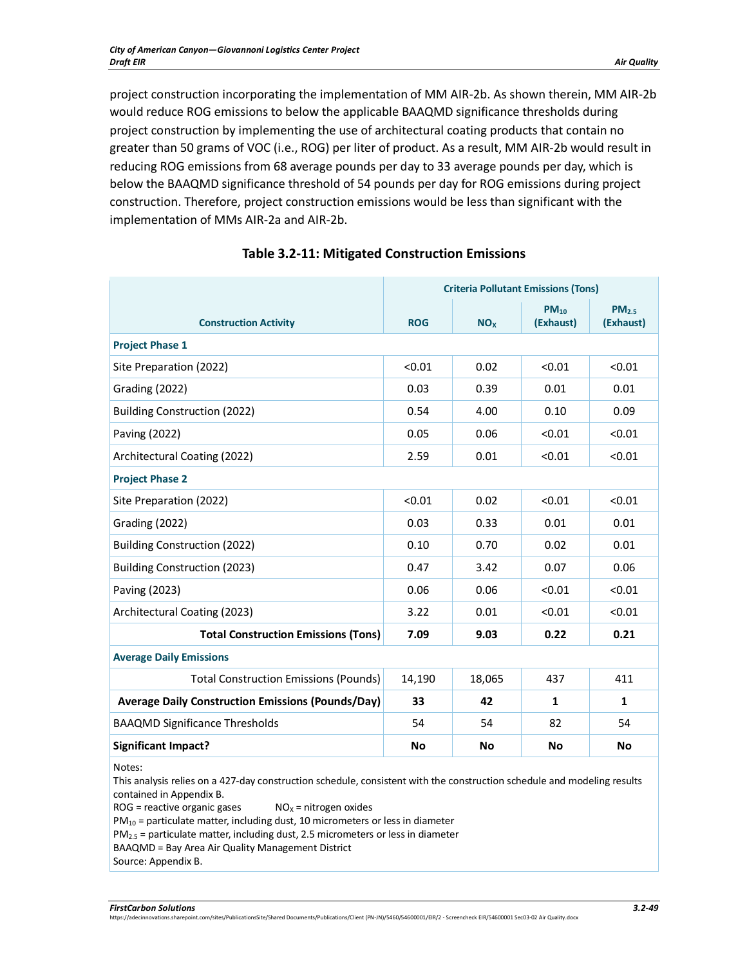project construction incorporating the implementation of MM AIR-2b. As shown therein, MM AIR-2b would reduce ROG emissions to below the applicable BAAQMD significance thresholds during project construction by implementing the use of architectural coating products that contain no greater than 50 grams of VOC (i.e., ROG) per liter of product. As a result, MM AIR-2b would result in reducing ROG emissions from 68 average pounds per day to 33 average pounds per day, which is below the BAAQMD significance threshold of 54 pounds per day for ROG emissions during project construction. Therefore, project construction emissions would be less than significant with the implementation of MMs AIR-2a and AIR-2b.

<span id="page-48-0"></span>

|                                                          | <b>Criteria Pollutant Emissions (Tons)</b> |                       |                        |                                |  |
|----------------------------------------------------------|--------------------------------------------|-----------------------|------------------------|--------------------------------|--|
| <b>Construction Activity</b>                             | <b>ROG</b>                                 | <b>NO<sub>x</sub></b> | $PM_{10}$<br>(Exhaust) | PM <sub>2.5</sub><br>(Exhaust) |  |
| <b>Project Phase 1</b>                                   |                                            |                       |                        |                                |  |
| Site Preparation (2022)                                  | < 0.01                                     | 0.02                  | < 0.01                 | < 0.01                         |  |
| Grading (2022)                                           | 0.03                                       | 0.39                  | 0.01                   | 0.01                           |  |
| <b>Building Construction (2022)</b>                      | 0.54                                       | 4.00                  | 0.10                   | 0.09                           |  |
| Paving (2022)                                            | 0.05                                       | 0.06                  | < 0.01                 | < 0.01                         |  |
| Architectural Coating (2022)                             | 2.59                                       | 0.01                  | < 0.01                 | < 0.01                         |  |
| <b>Project Phase 2</b>                                   |                                            |                       |                        |                                |  |
| Site Preparation (2022)                                  | < 0.01                                     | 0.02                  | < 0.01                 | < 0.01                         |  |
| Grading (2022)                                           | 0.03                                       | 0.33                  | 0.01                   | 0.01                           |  |
| <b>Building Construction (2022)</b>                      | 0.10                                       | 0.70                  | 0.02                   | 0.01                           |  |
| <b>Building Construction (2023)</b>                      | 0.47                                       | 3.42                  | 0.07                   | 0.06                           |  |
| Paving (2023)                                            | 0.06                                       | 0.06                  | < 0.01                 | < 0.01                         |  |
| Architectural Coating (2023)                             | 3.22                                       | 0.01                  | < 0.01                 | < 0.01                         |  |
| <b>Total Construction Emissions (Tons)</b>               | 7.09                                       | 9.03                  | 0.22                   | 0.21                           |  |
| <b>Average Daily Emissions</b>                           |                                            |                       |                        |                                |  |
| <b>Total Construction Emissions (Pounds)</b>             | 14,190                                     | 18,065                | 437                    | 411                            |  |
| <b>Average Daily Construction Emissions (Pounds/Day)</b> | 33                                         | 42                    | 1                      | 1                              |  |
| <b>BAAQMD Significance Thresholds</b>                    | 54                                         | 54                    | 82                     | 54                             |  |
| <b>Significant Impact?</b>                               | <b>No</b>                                  | <b>No</b>             | <b>No</b>              | <b>No</b>                      |  |

# **Table 3.2-11: Mitigated Construction Emissions**

Notes:

This analysis relies on a 427-day construction schedule, consistent with the construction schedule and modeling results contained in Appendix B.

 $ROG =$  reactive organic gases  $NO_X =$  nitrogen oxides

 $PM_{10}$  = particulate matter, including dust, 10 micrometers or less in diameter

PM2.5 = particulate matter, including dust, 2.5 micrometers or less in diameter

BAAQMD = Bay Area Air Quality Management District

Source: Appendix B.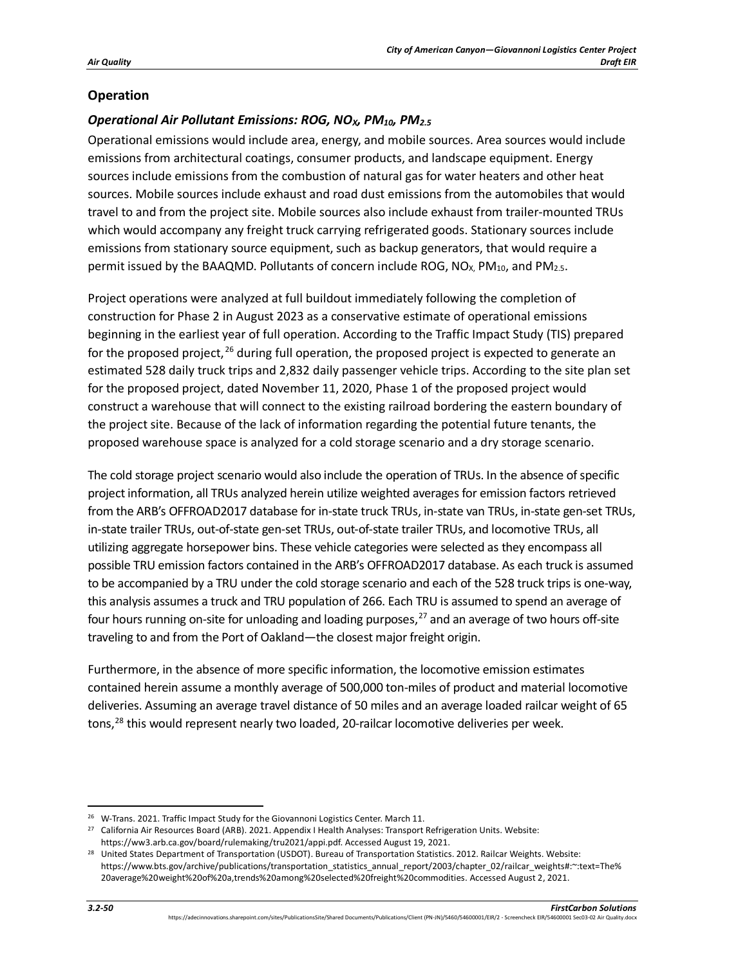## **Operation**

# *Operational Air Pollutant Emissions: ROG, NOX, PM10, PM2.5*

Operational emissions would include area, energy, and mobile sources. Area sources would include emissions from architectural coatings, consumer products, and landscape equipment. Energy sources include emissions from the combustion of natural gas for water heaters and other heat sources. Mobile sources include exhaust and road dust emissions from the automobiles that would travel to and from the project site. Mobile sources also include exhaust from trailer-mounted TRUs which would accompany any freight truck carrying refrigerated goods. Stationary sources include emissions from stationary source equipment, such as backup generators, that would require a permit issued by the BAAQMD. Pollutants of concern include ROG,  $NO<sub>X</sub>$ , PM<sub>10</sub>, and PM<sub>2.5</sub>.

Project operations were analyzed at full buildout immediately following the completion of construction for Phase 2 in August 2023 as a conservative estimate of operational emissions beginning in the earliest year of full operation. According to the Traffic Impact Study (TIS) prepared for the proposed project,  $^{26}$  $^{26}$  $^{26}$  during full operation, the proposed project is expected to generate an estimated 528 daily truck trips and 2,832 daily passenger vehicle trips. According to the site plan set for the proposed project, dated November 11, 2020, Phase 1 of the proposed project would construct a warehouse that will connect to the existing railroad bordering the eastern boundary of the project site. Because of the lack of information regarding the potential future tenants, the proposed warehouse space is analyzed for a cold storage scenario and a dry storage scenario.

The cold storage project scenario would also include the operation of TRUs. In the absence of specific project information, all TRUs analyzed herein utilize weighted averages for emission factors retrieved from the ARB's OFFROAD2017 database for in-state truck TRUs, in-state van TRUs, in-state gen-set TRUs, in-state trailer TRUs, out-of-state gen-set TRUs, out-of-state trailer TRUs, and locomotive TRUs, all utilizing aggregate horsepower bins. These vehicle categories were selected as they encompass all possible TRU emission factors contained in the ARB's OFFROAD2017 database. As each truck is assumed to be accompanied by a TRU under the cold storage scenario and each of the 528 truck trips is one-way, this analysis assumes a truck and TRU population of 266. Each TRU is assumed to spend an average of four hours running on-site for unloading and loading purposes, $27$  and an average of two hours off-site traveling to and from the Port of Oakland—the closest major freight origin.

Furthermore, in the absence of more specific information, the locomotive emission estimates contained herein assume a monthly average of 500,000 ton-miles of product and material locomotive deliveries. Assuming an average travel distance of 50 miles and an average loaded railcar weight of 65 tons,<sup>[28](#page-49-2)</sup> this would represent nearly two loaded, 20-railcar locomotive deliveries per week.

<span id="page-49-0"></span><sup>&</sup>lt;sup>26</sup> W-Trans. 2021. Traffic Impact Study for the Giovannoni Logistics Center. March 11.

<span id="page-49-1"></span><sup>&</sup>lt;sup>27</sup> California Air Resources Board (ARB). 2021. Appendix I Health Analyses: Transport Refrigeration Units. Website: https://ww3.arb.ca.gov/board/rulemaking/tru2021/appi.pdf. Accessed August 19, 2021.

<span id="page-49-2"></span><sup>&</sup>lt;sup>28</sup> United States Department of Transportation (USDOT). Bureau of Transportation Statistics. 2012. Railcar Weights. Website: https://www.bts.gov/archive/publications/transportation\_statistics\_annual\_report/2003/chapter\_02/railcar\_weights#:~:text=The% 20average%20weight%20of%20a,trends%20among%20selected%20freight%20commodities. Accessed August 2, 2021.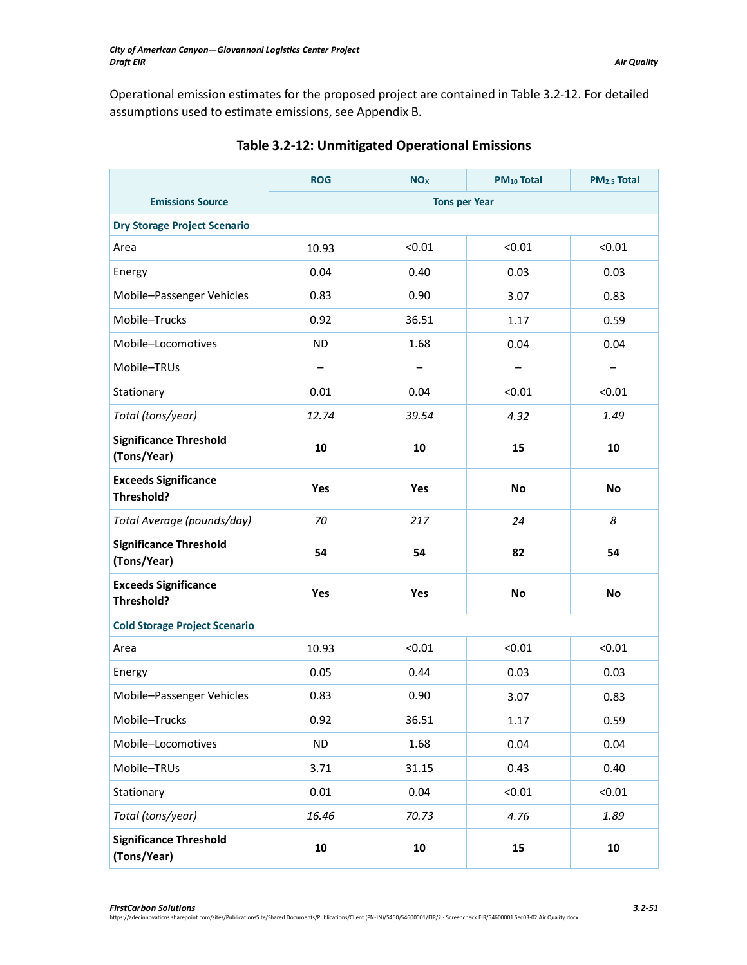Operational emission estimates for the proposed project are contained in [Table 3.2-12.](#page-50-0) For detailed assumptions used to estimate emissions, see Appendix B.

<span id="page-50-0"></span>

|                                              | <b>ROG</b>               | NO <sub>x</sub> | PM <sub>10</sub> Total | PM <sub>2.5</sub> Total |  |  |
|----------------------------------------------|--------------------------|-----------------|------------------------|-------------------------|--|--|
| <b>Emissions Source</b>                      | <b>Tons per Year</b>     |                 |                        |                         |  |  |
| <b>Dry Storage Project Scenario</b>          |                          |                 |                        |                         |  |  |
| Area                                         | 10.93                    | < 0.01          | < 0.01                 | < 0.01                  |  |  |
| Energy                                       | 0.04                     | 0.40            | 0.03                   | 0.03                    |  |  |
| Mobile-Passenger Vehicles                    | 0.83                     | 0.90            | 3.07                   | 0.83                    |  |  |
| Mobile-Trucks                                | 0.92                     | 36.51           | 1.17                   | 0.59                    |  |  |
| Mobile-Locomotives                           | <b>ND</b>                | 1.68            | 0.04                   | 0.04                    |  |  |
| Mobile-TRUs                                  | $\overline{\phantom{0}}$ |                 | —                      | —                       |  |  |
| Stationary                                   | 0.01                     | 0.04            | < 0.01                 | < 0.01                  |  |  |
| Total (tons/year)                            | 12.74                    | 39.54           | 4.32                   | 1.49                    |  |  |
| <b>Significance Threshold</b><br>(Tons/Year) | 10                       | 10              | 15                     | 10                      |  |  |
| <b>Exceeds Significance</b><br>Threshold?    | Yes                      | Yes             | No                     | No                      |  |  |
| Total Average (pounds/day)                   | 70                       | 217             | 24                     | 8                       |  |  |
| <b>Significance Threshold</b><br>(Tons/Year) | 54                       | 54              | 82                     | 54                      |  |  |
| <b>Exceeds Significance</b><br>Threshold?    | Yes                      | Yes             | <b>No</b>              | <b>No</b>               |  |  |
| <b>Cold Storage Project Scenario</b>         |                          |                 |                        |                         |  |  |
| Area                                         | 10.93                    | < 0.01          | < 0.01                 | < 0.01                  |  |  |
| Energy                                       | 0.05                     | 0.44            | 0.03                   | 0.03                    |  |  |
| Mobile-Passenger Vehicles                    | 0.83                     | 0.90            | 3.07                   | 0.83                    |  |  |
| Mobile-Trucks                                | 0.92                     | 36.51           | 1.17                   | 0.59                    |  |  |
| Mobile-Locomotives                           | <b>ND</b>                | 1.68            | 0.04                   | 0.04                    |  |  |
| Mobile-TRUs                                  | 3.71                     | 31.15           | 0.43                   | 0.40                    |  |  |
| Stationary                                   | 0.01                     | 0.04            | < 0.01                 | < 0.01                  |  |  |
| Total (tons/year)                            | 16.46                    | 70.73           | 4.76                   | 1.89                    |  |  |
| <b>Significance Threshold</b><br>(Tons/Year) | 10                       | ${\bf 10}$      | 15                     | ${\bf 10}$              |  |  |

# **Table 3.2-12: Unmitigated Operational Emissions**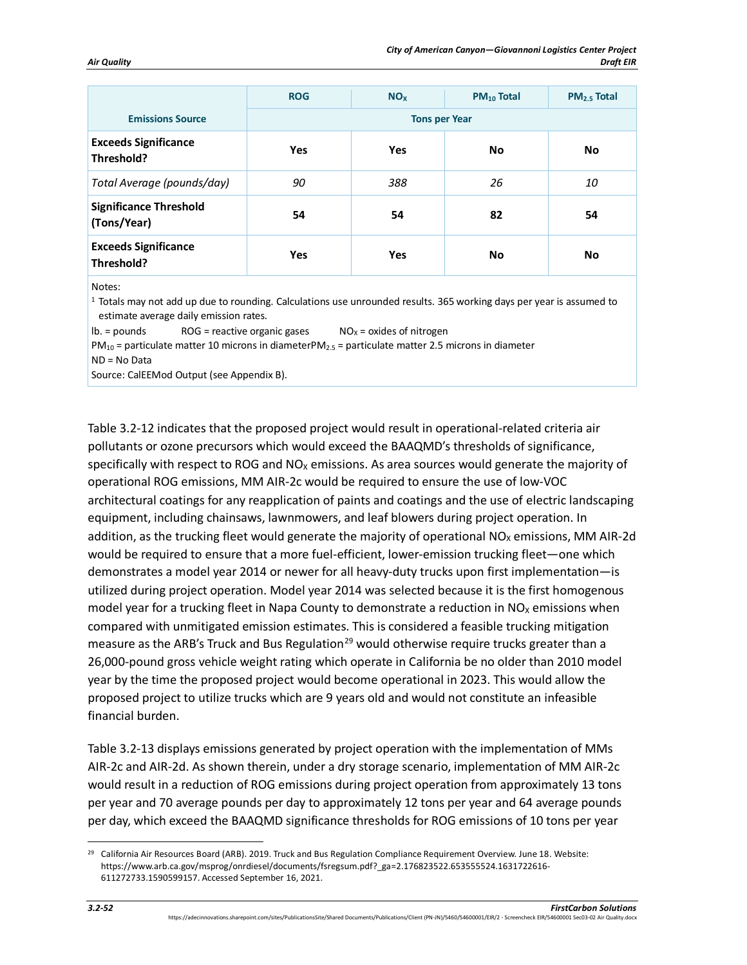|                                              | <b>ROG</b> | <b>NO<sub>x</sub></b> | PM <sub>10</sub> Total | PM <sub>2.5</sub> Total |
|----------------------------------------------|------------|-----------------------|------------------------|-------------------------|
| <b>Emissions Source</b>                      |            | <b>Tons per Year</b>  |                        |                         |
| <b>Exceeds Significance</b><br>Threshold?    | Yes        | <b>Yes</b>            | <b>No</b>              | No                      |
| Total Average (pounds/day)                   | 90         | 388                   | 26                     | 10                      |
| <b>Significance Threshold</b><br>(Tons/Year) | 54         | 54                    | 82                     | 54                      |
| <b>Exceeds Significance</b><br>Threshold?    | Yes        | Yes                   | No                     | No                      |

Notes:

1 Totals may not add up due to rounding. Calculations use unrounded results. 365 working days per year is assumed to estimate average daily emission rates.

 $\text{lb.} = \text{pounds}$  ROG = reactive organic gases  $\text{NO}_X = \text{oxides}$  of nitrogen

 $PM_{10}$  = particulate matter 10 microns in diameterPM<sub>2.5</sub> = particulate matter 2.5 microns in diameter ND = No Data

Source: CalEEMod Output (see Appendix B).

[Table 3.2-12](#page-50-0) indicates that the proposed project would result in operational-related criteria air pollutants or ozone precursors which would exceed the BAAQMD's thresholds of significance, specifically with respect to ROG and  $NO<sub>x</sub>$  emissions. As area sources would generate the majority of operational ROG emissions, MM AIR-2c would be required to ensure the use of low-VOC architectural coatings for any reapplication of paints and coatings and the use of electric landscaping equipment, including chainsaws, lawnmowers, and leaf blowers during project operation. In addition, as the trucking fleet would generate the majority of operational  $NO<sub>x</sub>$  emissions, MM AIR-2d would be required to ensure that a more fuel-efficient, lower-emission trucking fleet—one which demonstrates a model year 2014 or newer for all heavy-duty trucks upon first implementation—is utilized during project operation. Model year 2014 was selected because it is the first homogenous model year for a trucking fleet in Napa County to demonstrate a reduction in  $NO<sub>x</sub>$  emissions when compared with unmitigated emission estimates. This is considered a feasible trucking mitigation measure as the ARB's Truck and Bus Regulation<sup>[29](#page-51-0)</sup> would otherwise require trucks greater than a 26,000-pound gross vehicle weight rating which operate in California be no older than 2010 model year by the time the proposed project would become operational in 2023. This would allow the proposed project to utilize trucks which are 9 years old and would not constitute an infeasible financial burden.

[Table 3.2-13](#page-52-0) displays emissions generated by project operation with the implementation of MMs AIR-2c and AIR-2d. As shown therein, under a dry storage scenario, implementation of MM AIR-2c would result in a reduction of ROG emissions during project operation from approximately 13 tons per year and 70 average pounds per day to approximately 12 tons per year and 64 average pounds per day, which exceed the BAAQMD significance thresholds for ROG emissions of 10 tons per year

<span id="page-51-0"></span><sup>&</sup>lt;sup>29</sup> California Air Resources Board (ARB). 2019. Truck and Bus Regulation Compliance Requirement Overview. June 18. Website: https://www.arb.ca.gov/msprog/onrdiesel/documents/fsregsum.pdf?\_ga=2.176823522.653555524.1631722616- 611272733.1590599157. Accessed September 16, 2021.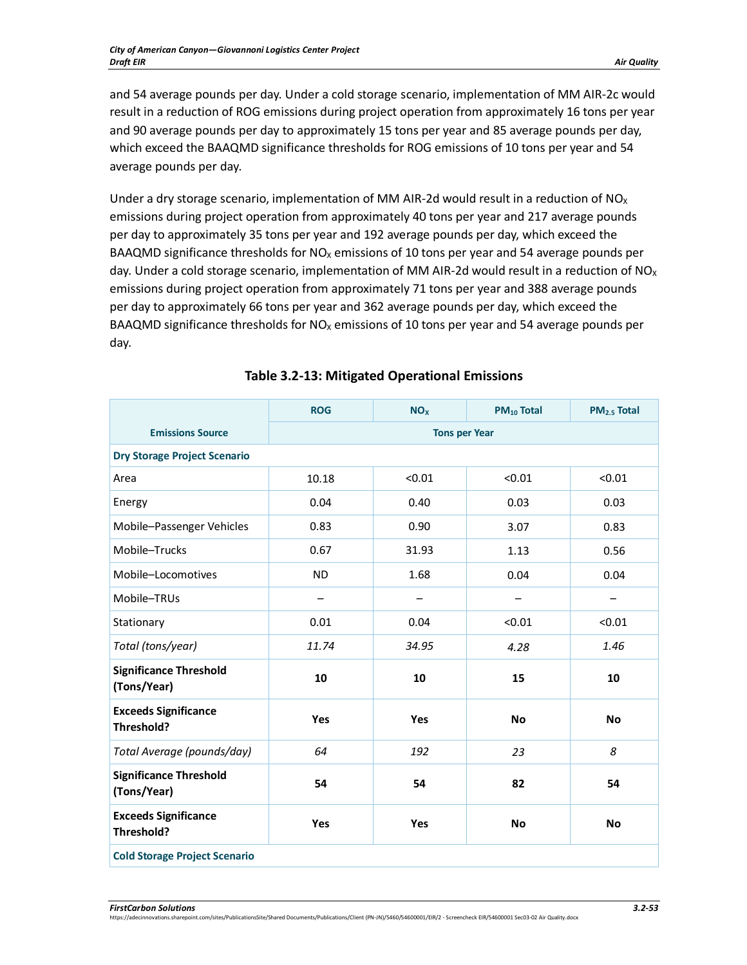and 54 average pounds per day. Under a cold storage scenario, implementation of MM AIR-2c would result in a reduction of ROG emissions during project operation from approximately 16 tons per year and 90 average pounds per day to approximately 15 tons per year and 85 average pounds per day, which exceed the BAAQMD significance thresholds for ROG emissions of 10 tons per year and 54 average pounds per day.

Under a dry storage scenario, implementation of MM AIR-2d would result in a reduction of NO<sub>x</sub> emissions during project operation from approximately 40 tons per year and 217 average pounds per day to approximately 35 tons per year and 192 average pounds per day, which exceed the BAAQMD significance thresholds for  $NO<sub>x</sub>$  emissions of 10 tons per year and 54 average pounds per day. Under a cold storage scenario, implementation of MM AIR-2d would result in a reduction of  $NO<sub>X</sub>$ emissions during project operation from approximately 71 tons per year and 388 average pounds per day to approximately 66 tons per year and 362 average pounds per day, which exceed the BAAQMD significance thresholds for  $NO<sub>x</sub>$  emissions of 10 tons per year and 54 average pounds per day.

<span id="page-52-0"></span>

|                                              | <b>ROG</b>           | <b>NO<sub>x</sub></b> | <b>PM<sub>10</sub> Total</b> | PM <sub>2.5</sub> Total |  |  |  |
|----------------------------------------------|----------------------|-----------------------|------------------------------|-------------------------|--|--|--|
| <b>Emissions Source</b>                      | <b>Tons per Year</b> |                       |                              |                         |  |  |  |
| <b>Dry Storage Project Scenario</b>          |                      |                       |                              |                         |  |  |  |
| Area                                         | 10.18                | < 0.01                | < 0.01                       | < 0.01                  |  |  |  |
| Energy                                       | 0.04                 | 0.40                  | 0.03                         | 0.03                    |  |  |  |
| Mobile-Passenger Vehicles                    | 0.83                 | 0.90                  | 3.07                         | 0.83                    |  |  |  |
| Mobile-Trucks                                | 0.67                 | 31.93                 | 1.13                         | 0.56                    |  |  |  |
| Mobile-Locomotives                           | <b>ND</b>            | 1.68                  | 0.04                         | 0.04                    |  |  |  |
| Mobile-TRUs                                  |                      |                       |                              |                         |  |  |  |
| Stationary                                   | 0.01                 | 0.04                  | < 0.01                       | < 0.01                  |  |  |  |
| Total (tons/year)                            | 11.74                | 34.95                 | 4.28                         | 1.46                    |  |  |  |
| <b>Significance Threshold</b><br>(Tons/Year) | 10                   | 10                    | 15                           | 10                      |  |  |  |
| <b>Exceeds Significance</b><br>Threshold?    | Yes                  | Yes                   | <b>No</b>                    | <b>No</b>               |  |  |  |
| Total Average (pounds/day)                   | 64                   | 192                   | 23                           | 8                       |  |  |  |
| <b>Significance Threshold</b><br>(Tons/Year) | 54                   | 54                    | 82                           | 54                      |  |  |  |
| <b>Exceeds Significance</b><br>Threshold?    | Yes                  | Yes                   | <b>No</b>                    | <b>No</b>               |  |  |  |
| <b>Cold Storage Project Scenario</b>         |                      |                       |                              |                         |  |  |  |

# **Table 3.2-13: Mitigated Operational Emissions**

*FirstCarbon Solutions 3.2-53*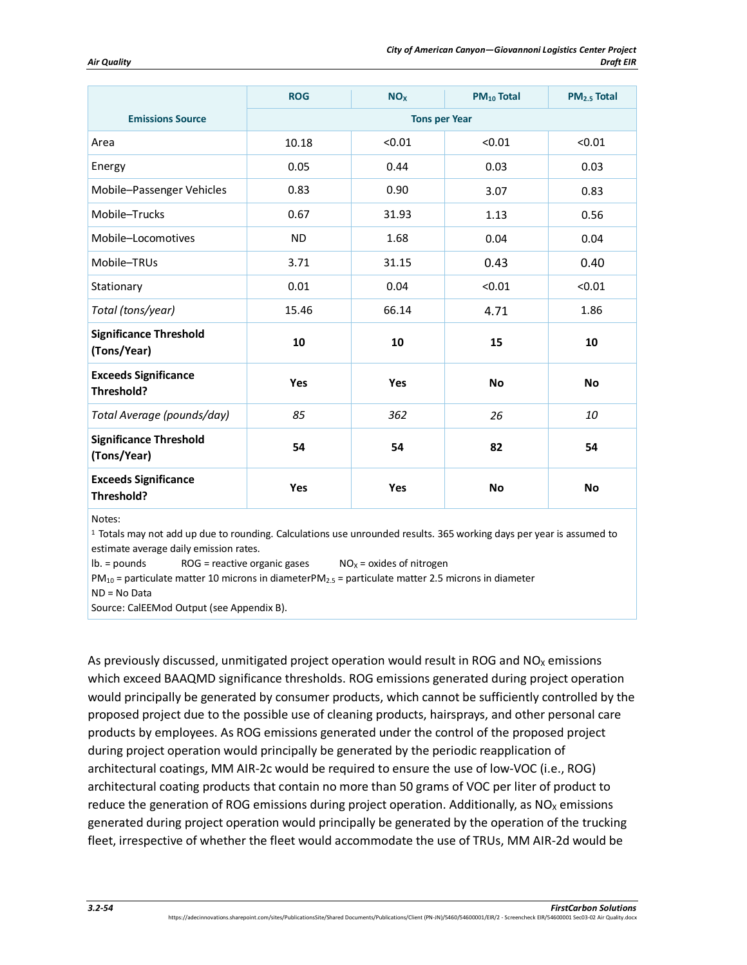|                                              | <b>ROG</b>           | <b>NO<sub>x</sub></b> | <b>PM10 Total</b> | PM <sub>2.5</sub> Total |  |
|----------------------------------------------|----------------------|-----------------------|-------------------|-------------------------|--|
| <b>Emissions Source</b>                      | <b>Tons per Year</b> |                       |                   |                         |  |
| Area                                         | 10.18                | < 0.01                | < 0.01            | < 0.01                  |  |
| Energy                                       | 0.05                 | 0.44                  | 0.03              | 0.03                    |  |
| Mobile-Passenger Vehicles                    | 0.83                 | 0.90                  | 3.07              | 0.83                    |  |
| Mobile-Trucks                                | 0.67                 | 31.93                 | 1.13              | 0.56                    |  |
| Mobile-Locomotives                           | <b>ND</b>            | 1.68                  | 0.04              | 0.04                    |  |
| Mobile-TRUs                                  | 3.71                 | 31.15                 | 0.43              | 0.40                    |  |
| Stationary                                   | 0.01                 | 0.04                  | < 0.01            | < 0.01                  |  |
| Total (tons/year)                            | 15.46                | 66.14                 | 4.71              | 1.86                    |  |
| <b>Significance Threshold</b><br>(Tons/Year) | 10                   | 10                    | 15                | 10                      |  |
| <b>Exceeds Significance</b><br>Threshold?    | Yes                  | Yes                   | <b>No</b>         | <b>No</b>               |  |
| Total Average (pounds/day)                   | 85                   | 362                   | 26                | 10                      |  |
| <b>Significance Threshold</b><br>(Tons/Year) | 54                   | 54                    | 82                | 54                      |  |
| <b>Exceeds Significance</b><br>Threshold?    | Yes                  | Yes                   | <b>No</b>         | <b>No</b>               |  |

Notes:

1 Totals may not add up due to rounding. Calculations use unrounded results. 365 working days per year is assumed to estimate average daily emission rates.

 $\text{lb.} = \text{pounds}$  ROG = reactive organic gases  $\text{NO}_X = \text{oxides of nitrogen}$ 

 $PM_{10}$  = particulate matter 10 microns in diameterPM<sub>2.5</sub> = particulate matter 2.5 microns in diameter

ND = No Data

Source: CalEEMod Output (see Appendix B).

As previously discussed, unmitigated project operation would result in ROG and  $NO<sub>x</sub>$  emissions which exceed BAAQMD significance thresholds. ROG emissions generated during project operation would principally be generated by consumer products, which cannot be sufficiently controlled by the proposed project due to the possible use of cleaning products, hairsprays, and other personal care products by employees. As ROG emissions generated under the control of the proposed project during project operation would principally be generated by the periodic reapplication of architectural coatings, MM AIR-2c would be required to ensure the use of low-VOC (i.e., ROG) architectural coating products that contain no more than 50 grams of VOC per liter of product to reduce the generation of ROG emissions during project operation. Additionally, as  $NO<sub>x</sub>$  emissions generated during project operation would principally be generated by the operation of the trucking fleet, irrespective of whether the fleet would accommodate the use of TRUs, MM AIR-2d would be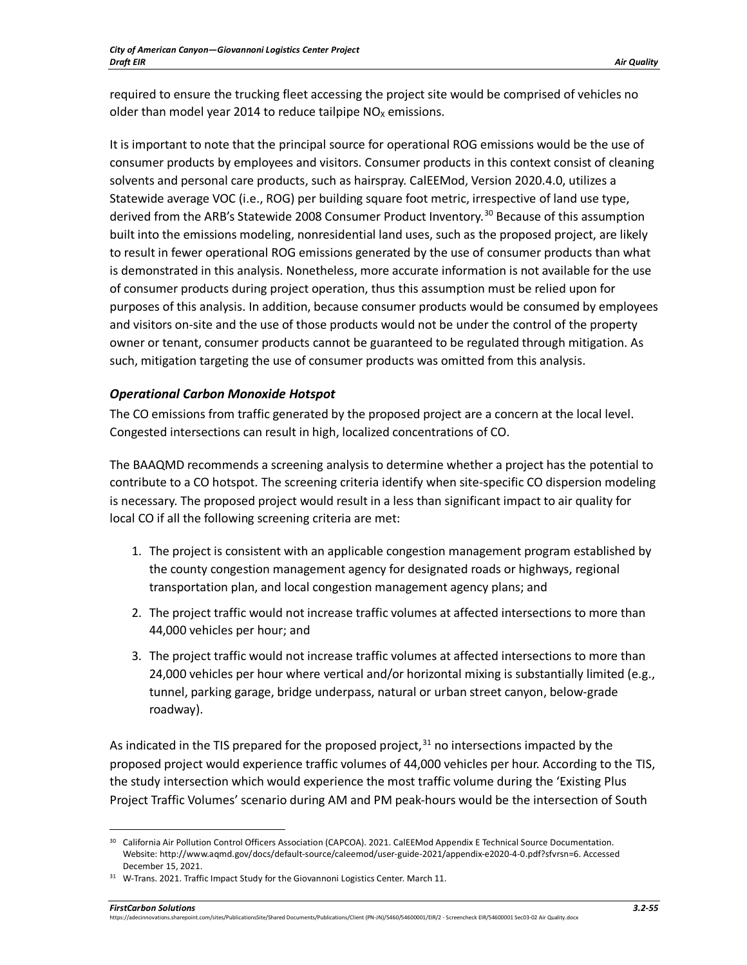required to ensure the trucking fleet accessing the project site would be comprised of vehicles no older than model year 2014 to reduce tailpipe  $NO<sub>x</sub>$  emissions.

It is important to note that the principal source for operational ROG emissions would be the use of consumer products by employees and visitors. Consumer products in this context consist of cleaning solvents and personal care products, such as hairspray. CalEEMod, Version 2020.4.0, utilizes a Statewide average VOC (i.e., ROG) per building square foot metric, irrespective of land use type, derived from the ARB's Statewide 2008 Consumer Product Inventory. [30](#page-54-0) Because of this assumption built into the emissions modeling, nonresidential land uses, such as the proposed project, are likely to result in fewer operational ROG emissions generated by the use of consumer products than what is demonstrated in this analysis. Nonetheless, more accurate information is not available for the use of consumer products during project operation, thus this assumption must be relied upon for purposes of this analysis. In addition, because consumer products would be consumed by employees and visitors on-site and the use of those products would not be under the control of the property owner or tenant, consumer products cannot be guaranteed to be regulated through mitigation. As such, mitigation targeting the use of consumer products was omitted from this analysis.

## *Operational Carbon Monoxide Hotspot*

The CO emissions from traffic generated by the proposed project are a concern at the local level. Congested intersections can result in high, localized concentrations of CO.

The BAAQMD recommends a screening analysis to determine whether a project has the potential to contribute to a CO hotspot. The screening criteria identify when site-specific CO dispersion modeling is necessary. The proposed project would result in a less than significant impact to air quality for local CO if all the following screening criteria are met:

- 1. The project is consistent with an applicable congestion management program established by the county congestion management agency for designated roads or highways, regional transportation plan, and local congestion management agency plans; and
- 2. The project traffic would not increase traffic volumes at affected intersections to more than 44,000 vehicles per hour; and
- 3. The project traffic would not increase traffic volumes at affected intersections to more than 24,000 vehicles per hour where vertical and/or horizontal mixing is substantially limited (e.g., tunnel, parking garage, bridge underpass, natural or urban street canyon, below-grade roadway).

As indicated in the TIS prepared for the proposed project, $31$  no intersections impacted by the proposed project would experience traffic volumes of 44,000 vehicles per hour. According to the TIS, the study intersection which would experience the most traffic volume during the 'Existing Plus Project Traffic Volumes' scenario during AM and PM peak-hours would be the intersection of South

*FirstCarbon Solutions 3.2-55* https://adecinnovations.sharepoint.com/sites/PublicationsSite/Shared Documents/Publications/Client (PN-JN)/5460/54600001/EIR/2 - Screencheck EIR/54600001 Sec03-02 Air Quality.docx

<span id="page-54-0"></span><sup>&</sup>lt;sup>30</sup> California Air Pollution Control Officers Association (CAPCOA). 2021. CalEEMod Appendix E Technical Source Documentation. Website: http://www.aqmd.gov/docs/default-source/caleemod/user-guide-2021/appendix-e2020-4-0.pdf?sfvrsn=6. Accessed December 15, 2021.

<span id="page-54-1"></span><sup>&</sup>lt;sup>31</sup> W-Trans. 2021. Traffic Impact Study for the Giovannoni Logistics Center. March 11.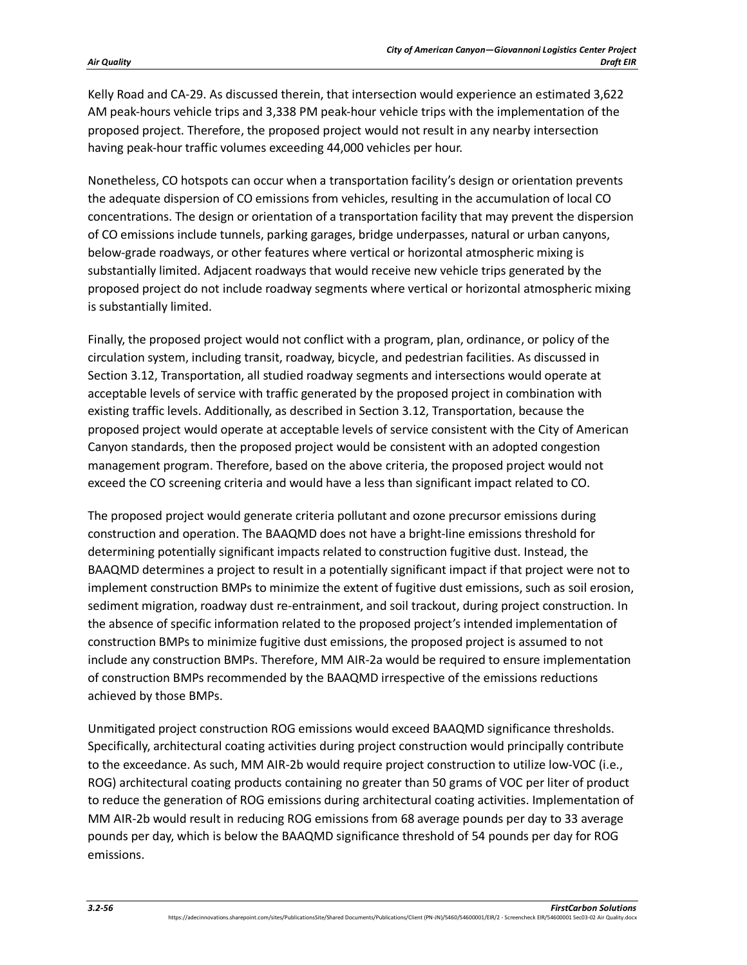Kelly Road and CA-29. As discussed therein, that intersection would experience an estimated 3,622 AM peak-hours vehicle trips and 3,338 PM peak-hour vehicle trips with the implementation of the proposed project. Therefore, the proposed project would not result in any nearby intersection having peak-hour traffic volumes exceeding 44,000 vehicles per hour.

Nonetheless, CO hotspots can occur when a transportation facility's design or orientation prevents the adequate dispersion of CO emissions from vehicles, resulting in the accumulation of local CO concentrations. The design or orientation of a transportation facility that may prevent the dispersion of CO emissions include tunnels, parking garages, bridge underpasses, natural or urban canyons, below-grade roadways, or other features where vertical or horizontal atmospheric mixing is substantially limited. Adjacent roadways that would receive new vehicle trips generated by the proposed project do not include roadway segments where vertical or horizontal atmospheric mixing is substantially limited.

Finally, the proposed project would not conflict with a program, plan, ordinance, or policy of the circulation system, including transit, roadway, bicycle, and pedestrian facilities. As discussed in Section 3.12, Transportation, all studied roadway segments and intersections would operate at acceptable levels of service with traffic generated by the proposed project in combination with existing traffic levels. Additionally, as described in Section 3.12, Transportation, because the proposed project would operate at acceptable levels of service consistent with the City of American Canyon standards, then the proposed project would be consistent with an adopted congestion management program. Therefore, based on the above criteria, the proposed project would not exceed the CO screening criteria and would have a less than significant impact related to CO.

The proposed project would generate criteria pollutant and ozone precursor emissions during construction and operation. The BAAQMD does not have a bright-line emissions threshold for determining potentially significant impacts related to construction fugitive dust. Instead, the BAAQMD determines a project to result in a potentially significant impact if that project were not to implement construction BMPs to minimize the extent of fugitive dust emissions, such as soil erosion, sediment migration, roadway dust re-entrainment, and soil trackout, during project construction. In the absence of specific information related to the proposed project's intended implementation of construction BMPs to minimize fugitive dust emissions, the proposed project is assumed to not include any construction BMPs. Therefore, MM AIR-2a would be required to ensure implementation of construction BMPs recommended by the BAAQMD irrespective of the emissions reductions achieved by those BMPs.

Unmitigated project construction ROG emissions would exceed BAAQMD significance thresholds. Specifically, architectural coating activities during project construction would principally contribute to the exceedance. As such, MM AIR-2b would require project construction to utilize low-VOC (i.e., ROG) architectural coating products containing no greater than 50 grams of VOC per liter of product to reduce the generation of ROG emissions during architectural coating activities. Implementation of MM AIR-2b would result in reducing ROG emissions from 68 average pounds per day to 33 average pounds per day, which is below the BAAQMD significance threshold of 54 pounds per day for ROG emissions.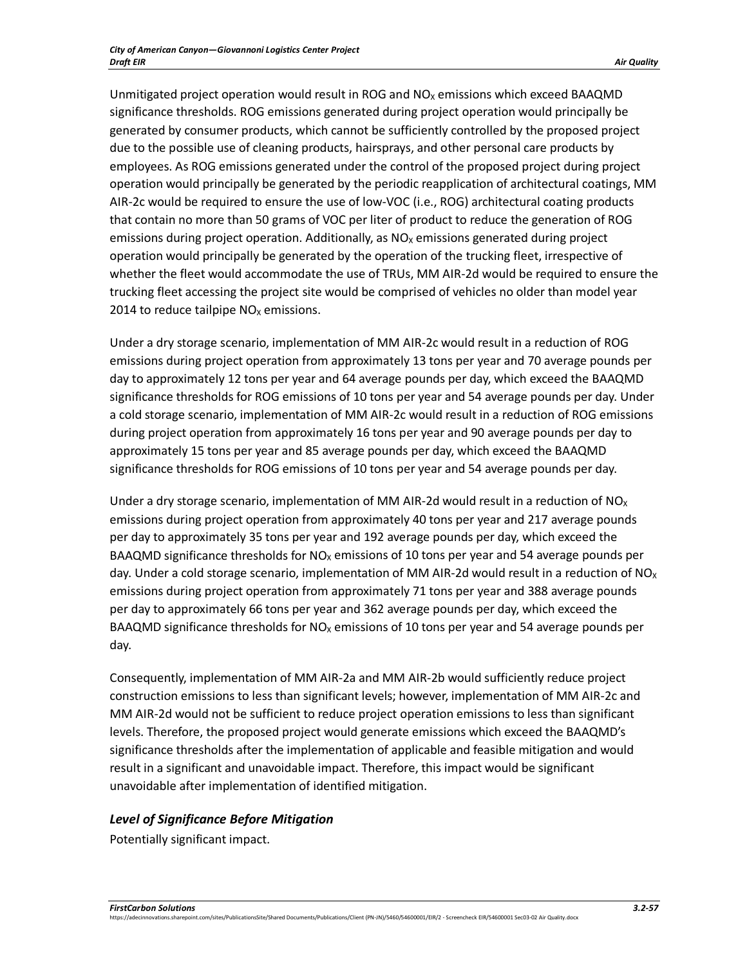Unmitigated project operation would result in ROG and  $NO<sub>X</sub>$  emissions which exceed BAAQMD significance thresholds. ROG emissions generated during project operation would principally be generated by consumer products, which cannot be sufficiently controlled by the proposed project due to the possible use of cleaning products, hairsprays, and other personal care products by employees. As ROG emissions generated under the control of the proposed project during project operation would principally be generated by the periodic reapplication of architectural coatings, MM AIR-2c would be required to ensure the use of low-VOC (i.e., ROG) architectural coating products that contain no more than 50 grams of VOC per liter of product to reduce the generation of ROG emissions during project operation. Additionally, as  $NO<sub>x</sub>$  emissions generated during project operation would principally be generated by the operation of the trucking fleet, irrespective of whether the fleet would accommodate the use of TRUs, MM AIR-2d would be required to ensure the trucking fleet accessing the project site would be comprised of vehicles no older than model year 2014 to reduce tailpipe  $NO<sub>x</sub>$  emissions.

Under a dry storage scenario, implementation of MM AIR-2c would result in a reduction of ROG emissions during project operation from approximately 13 tons per year and 70 average pounds per day to approximately 12 tons per year and 64 average pounds per day, which exceed the BAAQMD significance thresholds for ROG emissions of 10 tons per year and 54 average pounds per day. Under a cold storage scenario, implementation of MM AIR-2c would result in a reduction of ROG emissions during project operation from approximately 16 tons per year and 90 average pounds per day to approximately 15 tons per year and 85 average pounds per day, which exceed the BAAQMD significance thresholds for ROG emissions of 10 tons per year and 54 average pounds per day.

Under a dry storage scenario, implementation of MM AIR-2d would result in a reduction of NO<sub>x</sub> emissions during project operation from approximately 40 tons per year and 217 average pounds per day to approximately 35 tons per year and 192 average pounds per day, which exceed the BAAQMD significance thresholds for  $NO<sub>X</sub>$  emissions of 10 tons per year and 54 average pounds per day. Under a cold storage scenario, implementation of MM AIR-2d would result in a reduction of NO<sub>x</sub> emissions during project operation from approximately 71 tons per year and 388 average pounds per day to approximately 66 tons per year and 362 average pounds per day, which exceed the BAAQMD significance thresholds for  $NO<sub>x</sub>$  emissions of 10 tons per year and 54 average pounds per day.

Consequently, implementation of MM AIR-2a and MM AIR-2b would sufficiently reduce project construction emissions to less than significant levels; however, implementation of MM AIR-2c and MM AIR-2d would not be sufficient to reduce project operation emissions to less than significant levels. Therefore, the proposed project would generate emissions which exceed the BAAQMD's significance thresholds after the implementation of applicable and feasible mitigation and would result in a significant and unavoidable impact. Therefore, this impact would be significant unavoidable after implementation of identified mitigation.

# *Level of Significance Before Mitigation*

Potentially significant impact.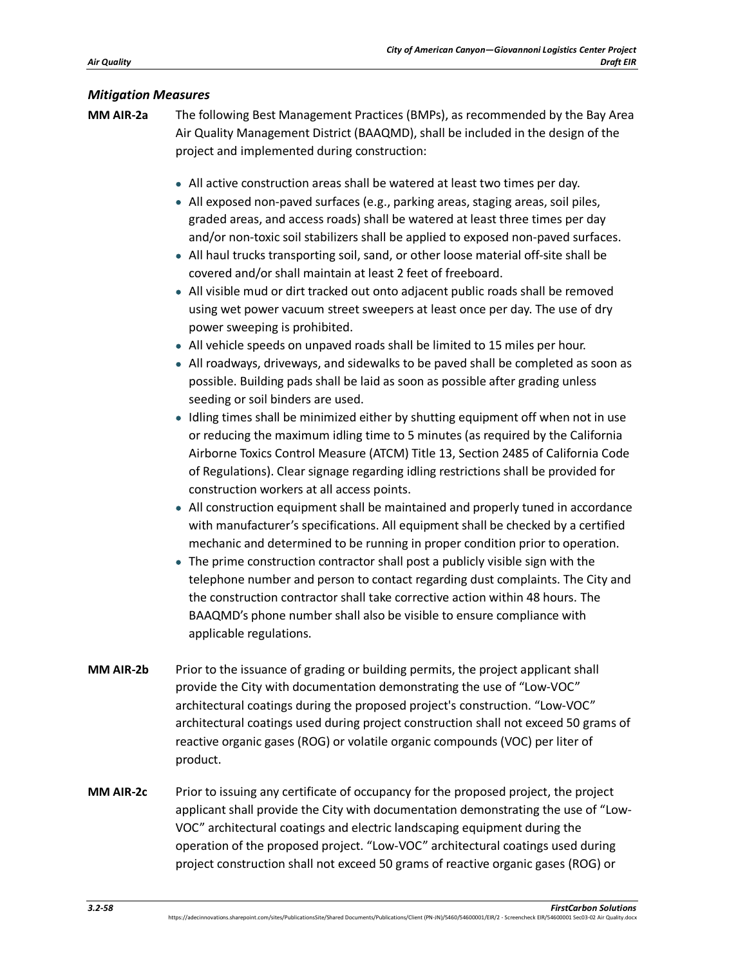#### *Mitigation Measures*

- **MM AIR-2a** The following Best Management Practices (BMPs), as recommended by the Bay Area Air Quality Management District (BAAQMD), shall be included in the design of the project and implemented during construction:
	- All active construction areas shall be watered at least two times per day.
	- All exposed non-paved surfaces (e.g., parking areas, staging areas, soil piles, graded areas, and access roads) shall be watered at least three times per day and/or non-toxic soil stabilizers shall be applied to exposed non-paved surfaces.
	- All haul trucks transporting soil, sand, or other loose material off-site shall be covered and/or shall maintain at least 2 feet of freeboard.
	- All visible mud or dirt tracked out onto adjacent public roads shall be removed using wet power vacuum street sweepers at least once per day. The use of dry power sweeping is prohibited.
	- All vehicle speeds on unpaved roads shall be limited to 15 miles per hour.
	- All roadways, driveways, and sidewalks to be paved shall be completed as soon as possible. Building pads shall be laid as soon as possible after grading unless seeding or soil binders are used.
	- Idling times shall be minimized either by shutting equipment off when not in use or reducing the maximum idling time to 5 minutes (as required by the California Airborne Toxics Control Measure (ATCM) Title 13, Section 2485 of California Code of Regulations). Clear signage regarding idling restrictions shall be provided for construction workers at all access points.
	- All construction equipment shall be maintained and properly tuned in accordance with manufacturer's specifications. All equipment shall be checked by a certified mechanic and determined to be running in proper condition prior to operation.
	- The prime construction contractor shall post a publicly visible sign with the telephone number and person to contact regarding dust complaints. The City and the construction contractor shall take corrective action within 48 hours. The BAAQMD's phone number shall also be visible to ensure compliance with applicable regulations.
- **MM AIR-2b** Prior to the issuance of grading or building permits, the project applicant shall provide the City with documentation demonstrating the use of "Low-VOC" architectural coatings during the proposed project's construction. "Low-VOC" architectural coatings used during project construction shall not exceed 50 grams of reactive organic gases (ROG) or volatile organic compounds (VOC) per liter of product.
- **MM AIR-2c** Prior to issuing any certificate of occupancy for the proposed project, the project applicant shall provide the City with documentation demonstrating the use of "Low-VOC" architectural coatings and electric landscaping equipment during the operation of the proposed project. "Low-VOC" architectural coatings used during project construction shall not exceed 50 grams of reactive organic gases (ROG) or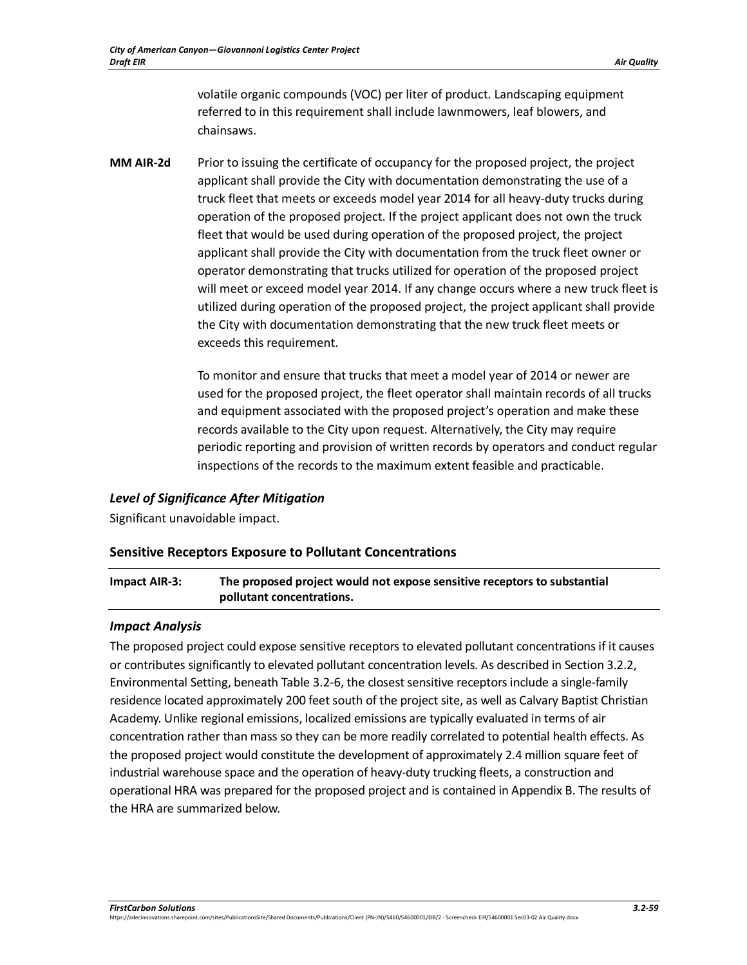volatile organic compounds (VOC) per liter of product. Landscaping equipment referred to in this requirement shall include lawnmowers, leaf blowers, and chainsaws.

**MM AIR-2d** Prior to issuing the certificate of occupancy for the proposed project, the project applicant shall provide the City with documentation demonstrating the use of a truck fleet that meets or exceeds model year 2014 for all heavy-duty trucks during operation of the proposed project. If the project applicant does not own the truck fleet that would be used during operation of the proposed project, the project applicant shall provide the City with documentation from the truck fleet owner or operator demonstrating that trucks utilized for operation of the proposed project will meet or exceed model year 2014. If any change occurs where a new truck fleet is utilized during operation of the proposed project, the project applicant shall provide the City with documentation demonstrating that the new truck fleet meets or exceeds this requirement.

> To monitor and ensure that trucks that meet a model year of 2014 or newer are used for the proposed project, the fleet operator shall maintain records of all trucks and equipment associated with the proposed project's operation and make these records available to the City upon request. Alternatively, the City may require periodic reporting and provision of written records by operators and conduct regular inspections of the records to the maximum extent feasible and practicable.

#### *Level of Significance After Mitigation*

Significant unavoidable impact.

#### **Sensitive Receptors Exposure to Pollutant Concentrations**

**Impact AIR-3: The proposed project would not expose sensitive receptors to substantial pollutant concentrations.**

#### *Impact Analysis*

The proposed project could expose sensitive receptors to elevated pollutant concentrations if it causes or contributes significantly to elevated pollutant concentration levels. As described in Section 3.2.2, Environmental Setting, beneat[h Table 3.2-6,](#page-14-0) the closest sensitive receptors include a single-family residence located approximately 200 feet south of the project site, as well as Calvary Baptist Christian Academy. Unlike regional emissions, localized emissions are typically evaluated in terms of air concentration rather than mass so they can be more readily correlated to potential health effects. As the proposed project would constitute the development of approximately 2.4 million square feet of industrial warehouse space and the operation of heavy-duty trucking fleets, a construction and operational HRA was prepared for the proposed project and is contained in Appendix B. The results of the HRA are summarized below.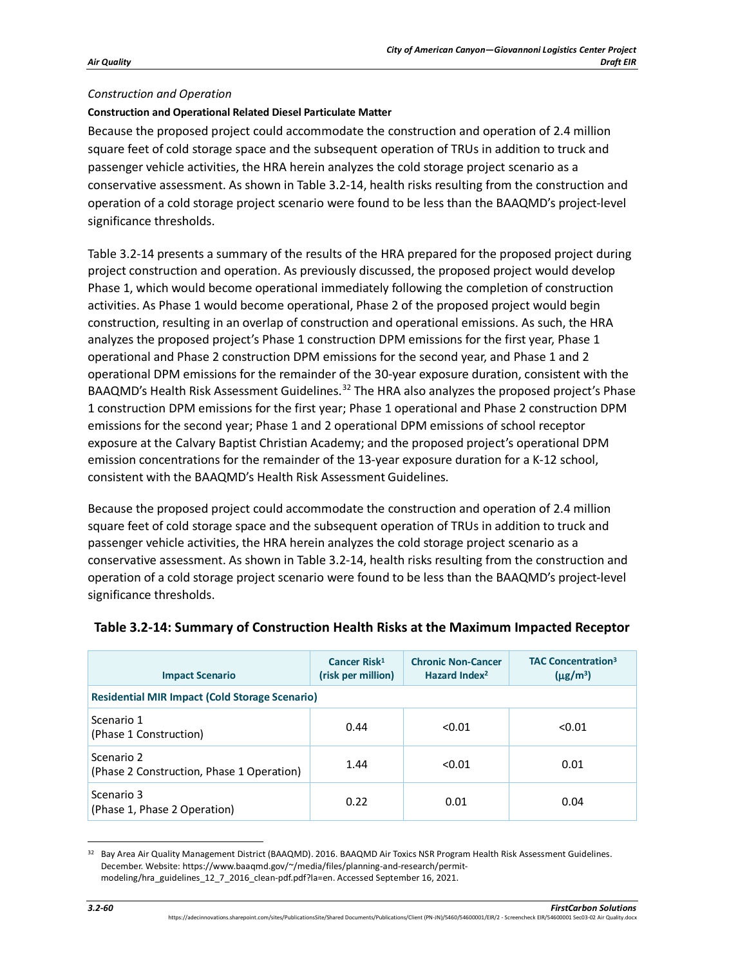#### *Construction and Operation*

#### **Construction and Operational Related Diesel Particulate Matter**

Because the proposed project could accommodate the construction and operation of 2.4 million square feet of cold storage space and the subsequent operation of TRUs in addition to truck and passenger vehicle activities, the HRA herein analyzes the cold storage project scenario as a conservative assessment. As shown in Table 3.2-14, health risks resulting from the construction and operation of a cold storage project scenario were found to be less than the BAAQMD's project-level significance thresholds.

[Table 3.2-14](#page-59-0) presents a summary of the results of the HRA prepared for the proposed project during project construction and operation. As previously discussed, the proposed project would develop Phase 1, which would become operational immediately following the completion of construction activities. As Phase 1 would become operational, Phase 2 of the proposed project would begin construction, resulting in an overlap of construction and operational emissions. As such, the HRA analyzes the proposed project's Phase 1 construction DPM emissions for the first year, Phase 1 operational and Phase 2 construction DPM emissions for the second year, and Phase 1 and 2 operational DPM emissions for the remainder of the 30-year exposure duration, consistent with the BAAQMD's Health Risk Assessment Guidelines.<sup>[32](#page-59-1)</sup> The HRA also analyzes the proposed project's Phase 1 construction DPM emissions for the first year; Phase 1 operational and Phase 2 construction DPM emissions for the second year; Phase 1 and 2 operational DPM emissions of school receptor exposure at the Calvary Baptist Christian Academy; and the proposed project's operational DPM emission concentrations for the remainder of the 13-year exposure duration for a K-12 school, consistent with the BAAQMD's Health Risk Assessment Guidelines.

Because the proposed project could accommodate the construction and operation of 2.4 million square feet of cold storage space and the subsequent operation of TRUs in addition to truck and passenger vehicle activities, the HRA herein analyzes the cold storage project scenario as a conservative assessment. As shown in [Table 3.2-14,](#page-59-0) health risks resulting from the construction and operation of a cold storage project scenario were found to be less than the BAAQMD's project-level significance thresholds.

| <b>Impact Scenario</b>                                  | Cancer Risk <sup>1</sup><br>(risk per million) | <b>Chronic Non-Cancer</b><br>Hazard Index <sup>2</sup> | <b>TAC Concentration<sup>3</sup></b><br>$(\mu$ g/m <sup>3</sup> ) |
|---------------------------------------------------------|------------------------------------------------|--------------------------------------------------------|-------------------------------------------------------------------|
| <b>Residential MIR Impact (Cold Storage Scenario)</b>   |                                                |                                                        |                                                                   |
| Scenario 1<br>(Phase 1 Construction)                    | 0.44                                           | < 0.01                                                 | < 0.01                                                            |
| Scenario 2<br>(Phase 2 Construction, Phase 1 Operation) | 1.44                                           | < 0.01                                                 | 0.01                                                              |
| Scenario 3<br>(Phase 1, Phase 2 Operation)              | 0.22                                           | 0.01                                                   | 0.04                                                              |

## <span id="page-59-0"></span>**Table 3.2-14: Summary of Construction Health Risks at the Maximum Impacted Receptor**

<span id="page-59-1"></span><sup>32</sup> Bay Area Air Quality Management District (BAAQMD). 2016. BAAQMD Air Toxics NSR Program Health Risk Assessment Guidelines. December. Website: https://www.baaqmd.gov/~/media/files/planning-and-research/permitmodeling/hra\_guidelines\_12\_7\_2016\_clean-pdf.pdf?la=en. Accessed September 16, 2021.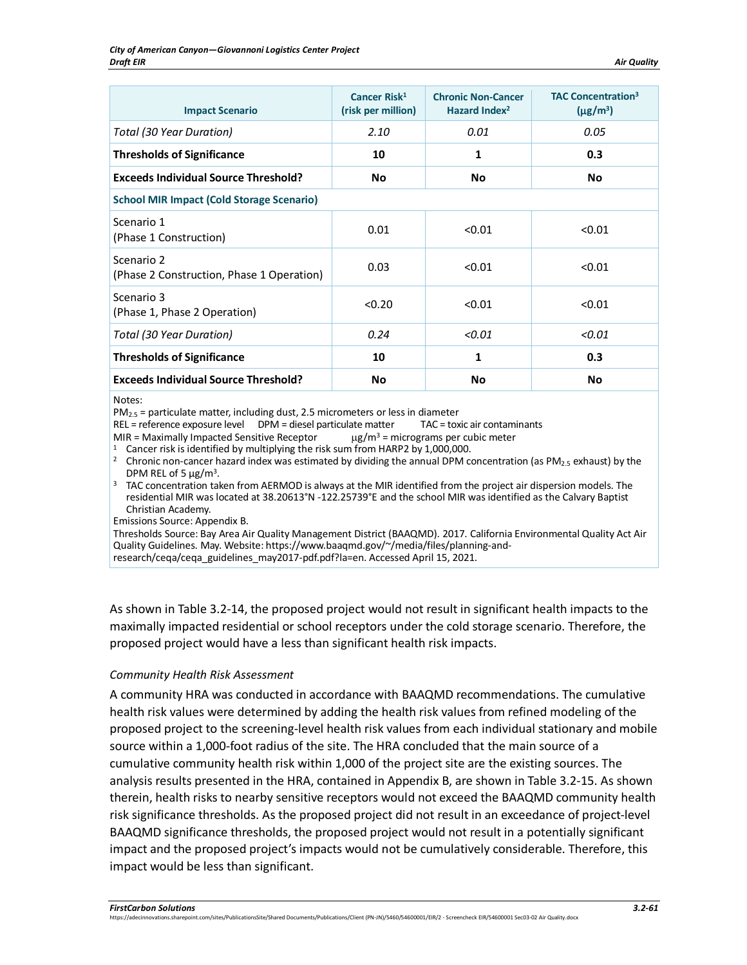| <b>Impact Scenario</b>                                  | Cancer Risk <sup>1</sup><br>(risk per million) | <b>Chronic Non-Cancer</b><br>Hazard Index <sup>2</sup> | <b>TAC Concentration<sup>3</sup></b><br>$(\mu$ g/m <sup>3</sup> ) |
|---------------------------------------------------------|------------------------------------------------|--------------------------------------------------------|-------------------------------------------------------------------|
| Total (30 Year Duration)                                | 2.10                                           | 0.01                                                   | 0.05                                                              |
| <b>Thresholds of Significance</b>                       | 10                                             | 1                                                      | 0.3                                                               |
| <b>Exceeds Individual Source Threshold?</b>             | No                                             | <b>No</b>                                              | No                                                                |
| <b>School MIR Impact (Cold Storage Scenario)</b>        |                                                |                                                        |                                                                   |
| Scenario 1<br>(Phase 1 Construction)                    | 0.01                                           | < 0.01                                                 | < 0.01                                                            |
| Scenario 2<br>(Phase 2 Construction, Phase 1 Operation) | 0.03                                           | < 0.01                                                 | < 0.01                                                            |
| Scenario 3<br>(Phase 1, Phase 2 Operation)              | < 0.20                                         | < 0.01                                                 | < 0.01                                                            |
| Total (30 Year Duration)                                | 0.24                                           | < 0.01                                                 | < 0.01                                                            |
| <b>Thresholds of Significance</b>                       | 10                                             | 1                                                      | 0.3                                                               |
| <b>Exceeds Individual Source Threshold?</b>             | <b>No</b>                                      | No                                                     | No                                                                |

Notes:

 $PM_{2.5}$  = particulate matter, including dust, 2.5 micrometers or less in diameter<br>REL = reference exposure level DPM = diesel particulate matter TAC = toxic air contaminants  $REL = reference$  exposure level  $DPM =$  diesel particulate matter

MIR = Maximally Impacted Sensitive Receptor  $\mu$ g/m<sup>3</sup> = micrograms per cubic meter

<sup>1</sup> Cancer risk is identified by multiplying the risk sum from HARP2 by 1,000,000.

<sup>2</sup> Chronic non-cancer hazard index was estimated by dividing the annual DPM concentration (as PM<sub>2.5</sub> exhaust) by the

DPM REL of 5  $\mu$ g/m<sup>3</sup>.<br><sup>3</sup> TAC concentration taken from AERMOD is always at the MIR identified from the project air dispersion models. The residential MIR was located at 38.20613°N -122.25739°E and the school MIR was identified as the Calvary Baptist Christian Academy.

Emissions Source: Appendix B.

Thresholds Source: Bay Area Air Quality Management District (BAAQMD). 2017. California Environmental Quality Act Air Quality Guidelines. May. Website: https://www.baaqmd.gov/~/media/files/planning-andresearch/ceqa/ceqa\_guidelines\_may2017-pdf.pdf?la=en. Accessed April 15, 2021.

As shown in [Table 3.2-14,](#page-59-0) the proposed project would not result in significant health impacts to the maximally impacted residential or school receptors under the cold storage scenario. Therefore, the proposed project would have a less than significant health risk impacts.

#### *Community Health Risk Assessment*

A community HRA was conducted in accordance with BAAQMD recommendations. The cumulative health risk values were determined by adding the health risk values from refined modeling of the proposed project to the screening-level health risk values from each individual stationary and mobile source within a 1,000-foot radius of the site. The HRA concluded that the main source of a cumulative community health risk within 1,000 of the project site are the existing sources. The analysis results presented in the HRA, contained in Appendix B, are shown in [Table 3.2-15.](#page-61-0) As shown therein, health risks to nearby sensitive receptors would not exceed the BAAQMD community health risk significance thresholds. As the proposed project did not result in an exceedance of project-level BAAQMD significance thresholds, the proposed project would not result in a potentially significant impact and the proposed project's impacts would not be cumulatively considerable. Therefore, this impact would be less than significant.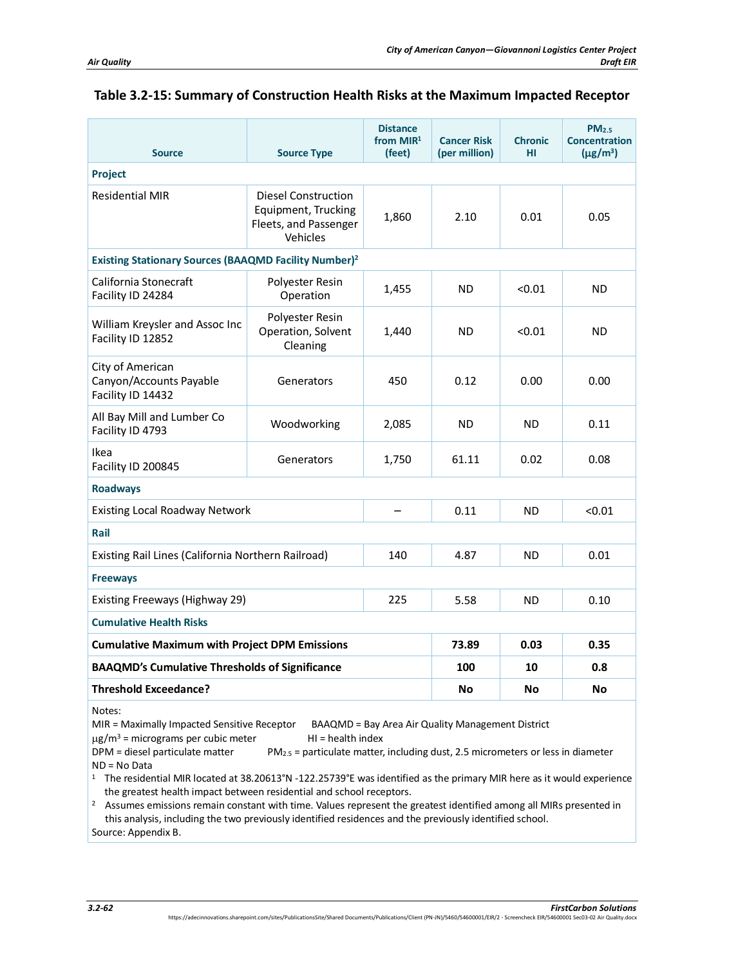| <b>Source</b>                                                           | <b>Source Type</b>                                                              | <b>Distance</b><br>from $MIR1$<br>(feet) | <b>Cancer Risk</b><br>(per million) | <b>Chronic</b><br>HI | PM <sub>2.5</sub><br><b>Concentration</b><br>$(\mu$ g/m <sup>3</sup> ) |
|-------------------------------------------------------------------------|---------------------------------------------------------------------------------|------------------------------------------|-------------------------------------|----------------------|------------------------------------------------------------------------|
| <b>Project</b>                                                          |                                                                                 |                                          |                                     |                      |                                                                        |
| <b>Residential MIR</b>                                                  | Diesel Construction<br>Equipment, Trucking<br>Fleets, and Passenger<br>Vehicles | 1,860                                    | 2.10                                | 0.01                 | 0.05                                                                   |
| <b>Existing Stationary Sources (BAAQMD Facility Number)<sup>2</sup></b> |                                                                                 |                                          |                                     |                      |                                                                        |
| California Stonecraft<br>Facility ID 24284                              | Polyester Resin<br>Operation                                                    | 1,455                                    | ND                                  | < 0.01               | ND                                                                     |
| William Kreysler and Assoc Inc<br>Facility ID 12852                     | Polyester Resin<br>Operation, Solvent<br>Cleaning                               | 1,440                                    | ND.                                 | < 0.01               | <b>ND</b>                                                              |
| City of American<br>Canyon/Accounts Payable<br>Facility ID 14432        | Generators                                                                      | 450                                      | 0.12                                | 0.00                 | 0.00                                                                   |
| All Bay Mill and Lumber Co<br>Facility ID 4793                          | Woodworking                                                                     | 2,085                                    | ND.                                 | <b>ND</b>            | 0.11                                                                   |
| Ikea<br>Facility ID 200845                                              | Generators                                                                      | 1,750                                    | 61.11                               | 0.02                 | 0.08                                                                   |
| <b>Roadways</b>                                                         |                                                                                 |                                          |                                     |                      |                                                                        |
| <b>Existing Local Roadway Network</b>                                   |                                                                                 |                                          | 0.11                                | <b>ND</b>            | < 0.01                                                                 |
| Rail                                                                    |                                                                                 |                                          |                                     |                      |                                                                        |
| Existing Rail Lines (California Northern Railroad)                      |                                                                                 | 140                                      | 4.87                                | <b>ND</b>            | 0.01                                                                   |
| <b>Freeways</b>                                                         |                                                                                 |                                          |                                     |                      |                                                                        |
| Existing Freeways (Highway 29)                                          | 225                                                                             | 5.58                                     | <b>ND</b>                           | 0.10                 |                                                                        |
| <b>Cumulative Health Risks</b>                                          |                                                                                 |                                          |                                     |                      |                                                                        |
| <b>Cumulative Maximum with Project DPM Emissions</b>                    |                                                                                 |                                          | 73.89                               | 0.03                 | 0.35                                                                   |
| <b>BAAQMD's Cumulative Thresholds of Significance</b>                   |                                                                                 |                                          | 100                                 | 10                   | 0.8                                                                    |
| Threshold Exceedance?                                                   |                                                                                 |                                          | No                                  | No                   | No                                                                     |
| Notes:                                                                  |                                                                                 |                                          |                                     |                      |                                                                        |

# <span id="page-61-0"></span>**Table 3.2-15: Summary of Construction Health Risks at the Maximum Impacted Receptor**

MIR = Maximally Impacted Sensitive Receptor BAAQMD = Bay Area Air Quality Management District

 $\mu$ g/m<sup>3</sup> = micrograms per cubic meter HI = health index

DPM = diesel particulate matter  $PM_{2.5}$  = particulate matter, including dust, 2.5 micrometers or less in diameter ND = No Data

1 The residential MIR located at 38.20613°N -122.25739°E was identified as the primary MIR here as it would experience the greatest health impact between residential and school receptors.<br><sup>2</sup> Assumes emissions remain constant with time. Values represent the greatest identified among all MIRs presented in

this analysis, including the two previously identified residences and the previously identified school. Source: Appendix B.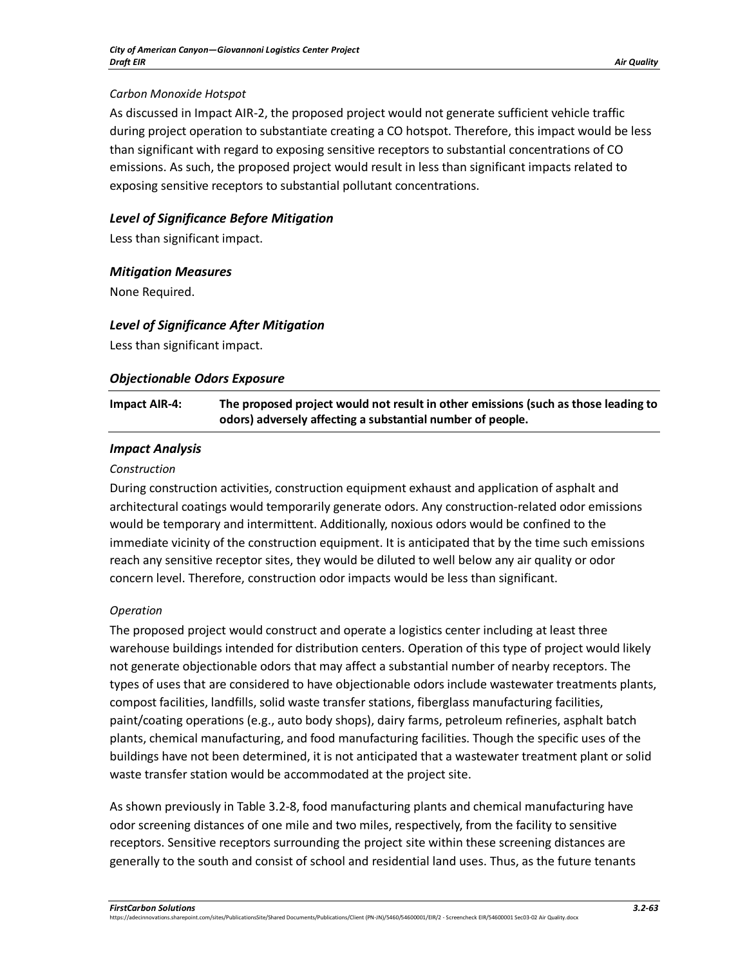#### *Carbon Monoxide Hotspot*

As discussed in Impact AIR-2, the proposed project would not generate sufficient vehicle traffic during project operation to substantiate creating a CO hotspot. Therefore, this impact would be less than significant with regard to exposing sensitive receptors to substantial concentrations of CO emissions. As such, the proposed project would result in less than significant impacts related to exposing sensitive receptors to substantial pollutant concentrations.

# *Level of Significance Before Mitigation*

Less than significant impact.

## *Mitigation Measures*

None Required.

## *Level of Significance After Mitigation*

Less than significant impact.

## *Objectionable Odors Exposure*

| Impact AIR-4: | The proposed project would not result in other emissions (such as those leading to |
|---------------|------------------------------------------------------------------------------------|
|               | odors) adversely affecting a substantial number of people.                         |

## *Impact Analysis*

#### *Construction*

During construction activities, construction equipment exhaust and application of asphalt and architectural coatings would temporarily generate odors. Any construction-related odor emissions would be temporary and intermittent. Additionally, noxious odors would be confined to the immediate vicinity of the construction equipment. It is anticipated that by the time such emissions reach any sensitive receptor sites, they would be diluted to well below any air quality or odor concern level. Therefore, construction odor impacts would be less than significant.

#### *Operation*

The proposed project would construct and operate a logistics center including at least three warehouse buildings intended for distribution centers. Operation of this type of project would likely not generate objectionable odors that may affect a substantial number of nearby receptors. The types of uses that are considered to have objectionable odors include wastewater treatments plants, compost facilities, landfills, solid waste transfer stations, fiberglass manufacturing facilities, paint/coating operations (e.g., auto body shops), dairy farms, petroleum refineries, asphalt batch plants, chemical manufacturing, and food manufacturing facilities. Though the specific uses of the buildings have not been determined, it is not anticipated that a wastewater treatment plant or solid waste transfer station would be accommodated at the project site.

As shown previously in Table 3.2-8, food manufacturing plants and chemical manufacturing have odor screening distances of one mile and two miles, respectively, from the facility to sensitive receptors. Sensitive receptors surrounding the project site within these screening distances are generally to the south and consist of school and residential land uses. Thus, as the future tenants